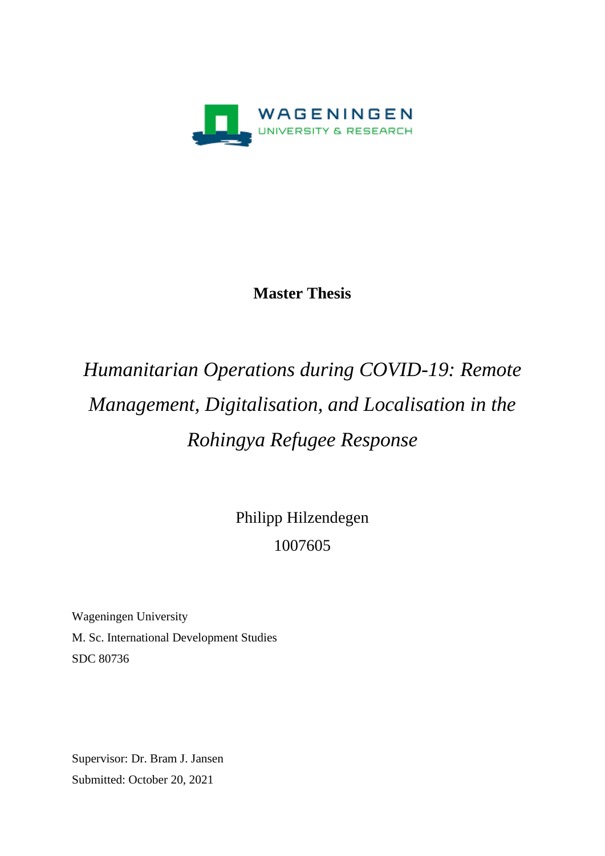

### **Master Thesis**

# *Humanitarian Operations during COVID-19: Remote Management, Digitalisation, and Localisation in the Rohingya Refugee Response*

Philipp Hilzendegen 1007605

Wageningen University M. Sc. International Development Studies SDC 80736

Supervisor: Dr. Bram J. Jansen Submitted: October 20, 2021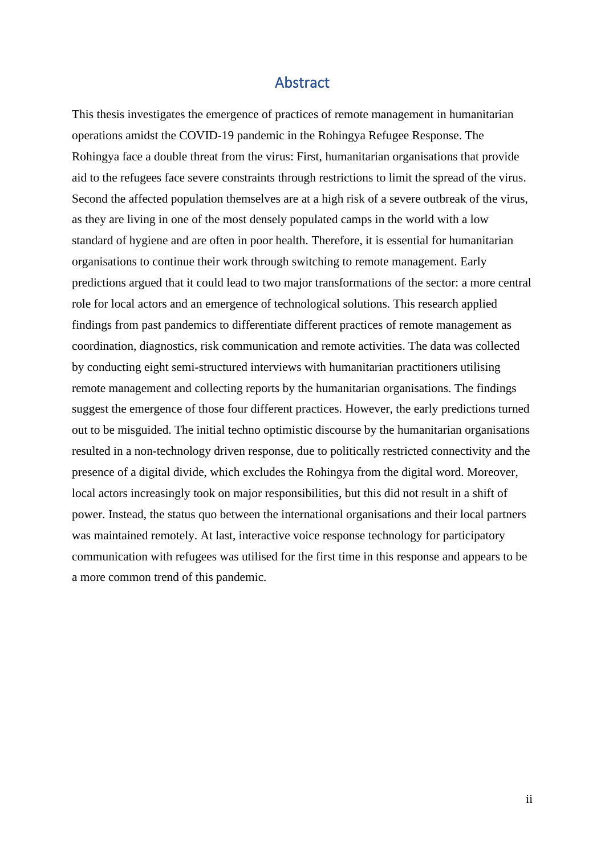#### Abstract

This thesis investigates the emergence of practices of remote management in humanitarian operations amidst the COVID-19 pandemic in the Rohingya Refugee Response. The Rohingya face a double threat from the virus: First, humanitarian organisations that provide aid to the refugees face severe constraints through restrictions to limit the spread of the virus. Second the affected population themselves are at a high risk of a severe outbreak of the virus, as they are living in one of the most densely populated camps in the world with a low standard of hygiene and are often in poor health. Therefore, it is essential for humanitarian organisations to continue their work through switching to remote management. Early predictions argued that it could lead to two major transformations of the sector: a more central role for local actors and an emergence of technological solutions. This research applied findings from past pandemics to differentiate different practices of remote management as coordination, diagnostics, risk communication and remote activities. The data was collected by conducting eight semi-structured interviews with humanitarian practitioners utilising remote management and collecting reports by the humanitarian organisations. The findings suggest the emergence of those four different practices. However, the early predictions turned out to be misguided. The initial techno optimistic discourse by the humanitarian organisations resulted in a non-technology driven response, due to politically restricted connectivity and the presence of a digital divide, which excludes the Rohingya from the digital word. Moreover, local actors increasingly took on major responsibilities, but this did not result in a shift of power. Instead, the status quo between the international organisations and their local partners was maintained remotely. At last, interactive voice response technology for participatory communication with refugees was utilised for the first time in this response and appears to be a more common trend of this pandemic.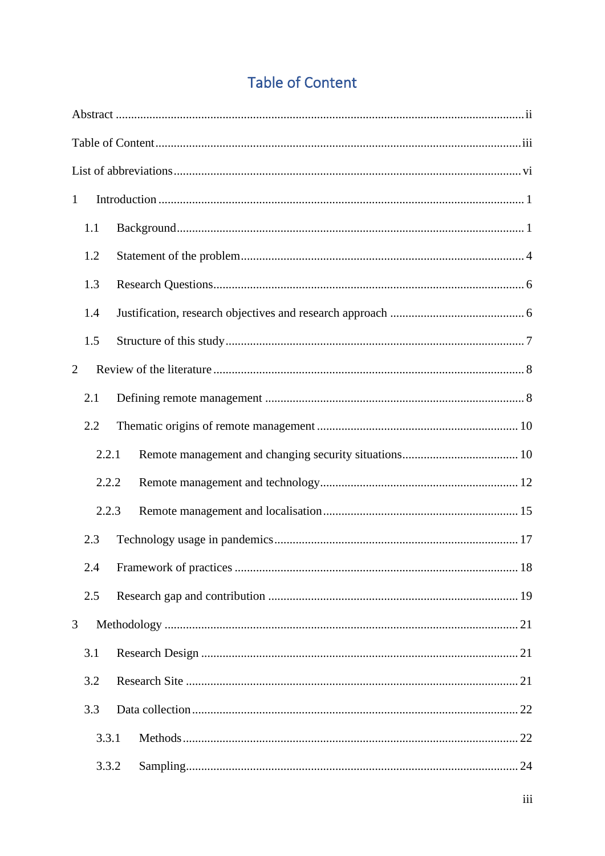# **Table of Content**

| $\mathbf{1}$ |       |  |  |  |  |  |  |
|--------------|-------|--|--|--|--|--|--|
|              | 1.1   |  |  |  |  |  |  |
|              | 1.2   |  |  |  |  |  |  |
| 1.3          |       |  |  |  |  |  |  |
|              | 1.4   |  |  |  |  |  |  |
|              | 1.5   |  |  |  |  |  |  |
| 2            |       |  |  |  |  |  |  |
|              | 2.1   |  |  |  |  |  |  |
|              | 2.2   |  |  |  |  |  |  |
|              | 2.2.1 |  |  |  |  |  |  |
|              | 2.2.2 |  |  |  |  |  |  |
|              | 2.2.3 |  |  |  |  |  |  |
|              | 2.3   |  |  |  |  |  |  |
|              | 2.4   |  |  |  |  |  |  |
|              | 2.5   |  |  |  |  |  |  |
| 3            |       |  |  |  |  |  |  |
|              | 3.1   |  |  |  |  |  |  |
|              | 3.2   |  |  |  |  |  |  |
|              | 3.3   |  |  |  |  |  |  |
|              | 3.3.1 |  |  |  |  |  |  |
|              | 3.3.2 |  |  |  |  |  |  |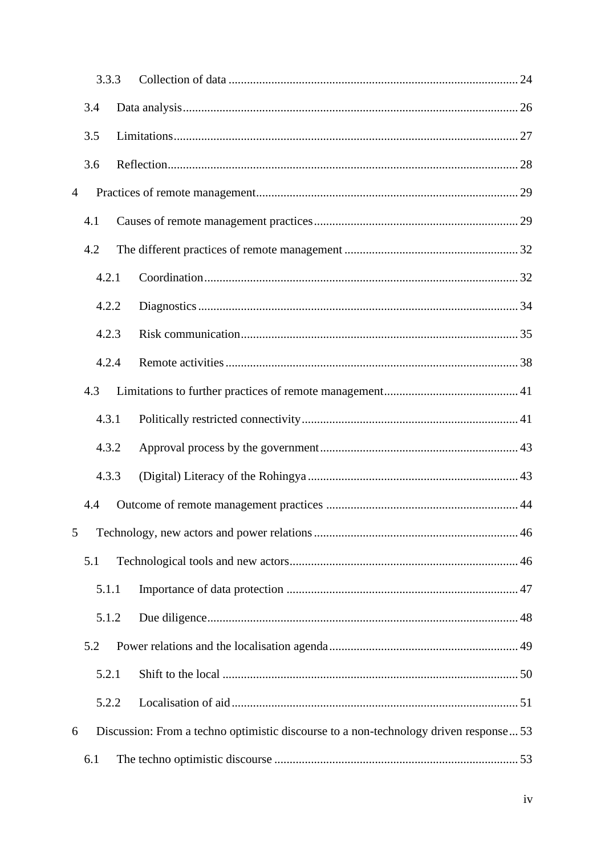|                |       | 3.3.3 |                                                                                       |  |
|----------------|-------|-------|---------------------------------------------------------------------------------------|--|
|                | 3.4   |       |                                                                                       |  |
|                | 3.5   |       |                                                                                       |  |
|                | 3.6   |       |                                                                                       |  |
| $\overline{4}$ |       |       |                                                                                       |  |
|                | 4.1   |       |                                                                                       |  |
|                | 4.2   |       |                                                                                       |  |
|                |       | 4.2.1 |                                                                                       |  |
|                |       | 4.2.2 |                                                                                       |  |
|                |       | 4.2.3 |                                                                                       |  |
|                |       | 4.2.4 |                                                                                       |  |
|                | 4.3   |       |                                                                                       |  |
|                | 4.3.1 |       |                                                                                       |  |
|                | 4.3.2 |       |                                                                                       |  |
|                |       | 4.3.3 |                                                                                       |  |
|                | 4.4   |       |                                                                                       |  |
| 5              |       |       |                                                                                       |  |
|                | 5.1   |       |                                                                                       |  |
|                |       | 5.1.1 |                                                                                       |  |
|                |       | 5.1.2 |                                                                                       |  |
|                | 5.2   |       |                                                                                       |  |
|                |       | 5.2.1 |                                                                                       |  |
|                |       | 5.2.2 |                                                                                       |  |
| 6              |       |       | Discussion: From a techno optimistic discourse to a non-technology driven response 53 |  |
|                | 6.1   |       |                                                                                       |  |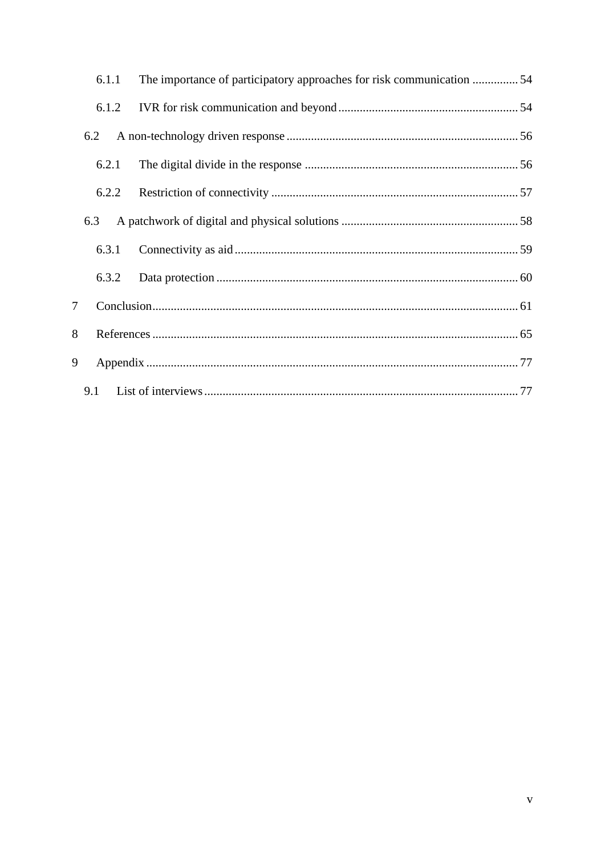| 6.1.1 | The importance of participatory approaches for risk communication 54 |  |  |  |  |
|-------|----------------------------------------------------------------------|--|--|--|--|
| 6.1.2 |                                                                      |  |  |  |  |
| 6.2   |                                                                      |  |  |  |  |
| 6.2.1 |                                                                      |  |  |  |  |
| 6.2.2 |                                                                      |  |  |  |  |
| 6.3   |                                                                      |  |  |  |  |
| 6.3.1 |                                                                      |  |  |  |  |
| 6.3.2 |                                                                      |  |  |  |  |
| 7     |                                                                      |  |  |  |  |
| 8     |                                                                      |  |  |  |  |
| 9     |                                                                      |  |  |  |  |
| 9.1   |                                                                      |  |  |  |  |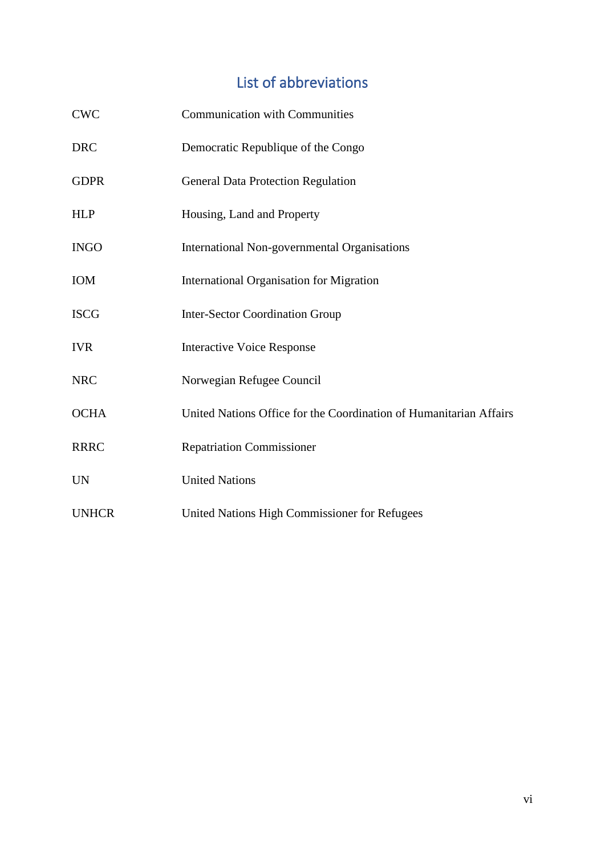## List of abbreviations

| <b>CWC</b>   | <b>Communication with Communities</b>                              |
|--------------|--------------------------------------------------------------------|
| <b>DRC</b>   | Democratic Republique of the Congo                                 |
| <b>GDPR</b>  | <b>General Data Protection Regulation</b>                          |
| <b>HLP</b>   | Housing, Land and Property                                         |
| <b>INGO</b>  | International Non-governmental Organisations                       |
| <b>IOM</b>   | <b>International Organisation for Migration</b>                    |
| <b>ISCG</b>  | <b>Inter-Sector Coordination Group</b>                             |
| <b>IVR</b>   | <b>Interactive Voice Response</b>                                  |
| <b>NRC</b>   | Norwegian Refugee Council                                          |
| <b>OCHA</b>  | United Nations Office for the Coordination of Humanitarian Affairs |
| <b>RRRC</b>  | <b>Repatriation Commissioner</b>                                   |
| <b>UN</b>    | <b>United Nations</b>                                              |
| <b>UNHCR</b> | United Nations High Commissioner for Refugees                      |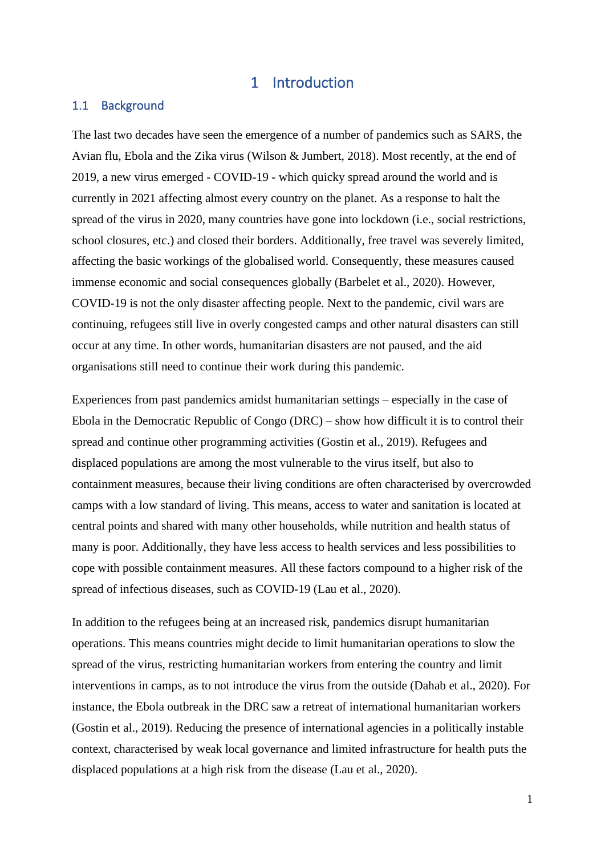#### 1 Introduction

#### 1.1 Background

The last two decades have seen the emergence of a number of pandemics such as SARS, the Avian flu, Ebola and the Zika virus (Wilson & Jumbert, 2018). Most recently, at the end of 2019, a new virus emerged - COVID-19 - which quicky spread around the world and is currently in 2021 affecting almost every country on the planet. As a response to halt the spread of the virus in 2020, many countries have gone into lockdown (i.e., social restrictions, school closures, etc.) and closed their borders. Additionally, free travel was severely limited, affecting the basic workings of the globalised world. Consequently, these measures caused immense economic and social consequences globally (Barbelet et al., 2020). However, COVID-19 is not the only disaster affecting people. Next to the pandemic, civil wars are continuing, refugees still live in overly congested camps and other natural disasters can still occur at any time. In other words, humanitarian disasters are not paused, and the aid organisations still need to continue their work during this pandemic.

Experiences from past pandemics amidst humanitarian settings – especially in the case of Ebola in the Democratic Republic of Congo (DRC) – show how difficult it is to control their spread and continue other programming activities (Gostin et al., 2019). Refugees and displaced populations are among the most vulnerable to the virus itself, but also to containment measures, because their living conditions are often characterised by overcrowded camps with a low standard of living. This means, access to water and sanitation is located at central points and shared with many other households, while nutrition and health status of many is poor. Additionally, they have less access to health services and less possibilities to cope with possible containment measures. All these factors compound to a higher risk of the spread of infectious diseases, such as COVID-19 (Lau et al., 2020).

In addition to the refugees being at an increased risk, pandemics disrupt humanitarian operations. This means countries might decide to limit humanitarian operations to slow the spread of the virus, restricting humanitarian workers from entering the country and limit interventions in camps, as to not introduce the virus from the outside (Dahab et al., 2020). For instance, the Ebola outbreak in the DRC saw a retreat of international humanitarian workers (Gostin et al., 2019). Reducing the presence of international agencies in a politically instable context, characterised by weak local governance and limited infrastructure for health puts the displaced populations at a high risk from the disease (Lau et al., 2020).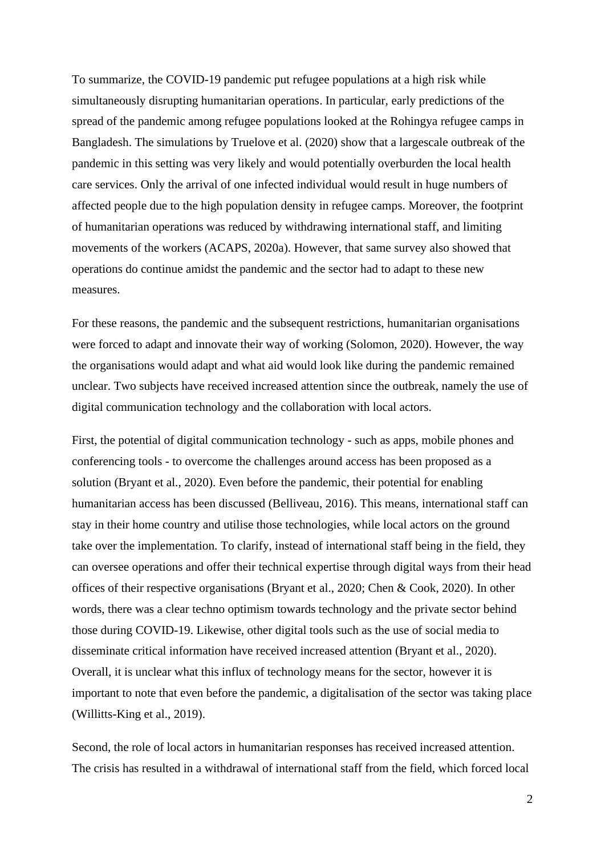To summarize, the COVID-19 pandemic put refugee populations at a high risk while simultaneously disrupting humanitarian operations. In particular, early predictions of the spread of the pandemic among refugee populations looked at the Rohingya refugee camps in Bangladesh. The simulations by Truelove et al. (2020) show that a largescale outbreak of the pandemic in this setting was very likely and would potentially overburden the local health care services. Only the arrival of one infected individual would result in huge numbers of affected people due to the high population density in refugee camps. Moreover, the footprint of humanitarian operations was reduced by withdrawing international staff, and limiting movements of the workers (ACAPS, 2020a). However, that same survey also showed that operations do continue amidst the pandemic and the sector had to adapt to these new measures.

For these reasons, the pandemic and the subsequent restrictions, humanitarian organisations were forced to adapt and innovate their way of working (Solomon, 2020). However, the way the organisations would adapt and what aid would look like during the pandemic remained unclear. Two subjects have received increased attention since the outbreak, namely the use of digital communication technology and the collaboration with local actors.

First, the potential of digital communication technology - such as apps, mobile phones and conferencing tools - to overcome the challenges around access has been proposed as a solution (Bryant et al., 2020). Even before the pandemic, their potential for enabling humanitarian access has been discussed (Belliveau, 2016). This means, international staff can stay in their home country and utilise those technologies, while local actors on the ground take over the implementation. To clarify, instead of international staff being in the field, they can oversee operations and offer their technical expertise through digital ways from their head offices of their respective organisations (Bryant et al., 2020; Chen & Cook, 2020). In other words, there was a clear techno optimism towards technology and the private sector behind those during COVID-19. Likewise, other digital tools such as the use of social media to disseminate critical information have received increased attention (Bryant et al., 2020). Overall, it is unclear what this influx of technology means for the sector, however it is important to note that even before the pandemic, a digitalisation of the sector was taking place (Willitts-King et al., 2019).

Second, the role of local actors in humanitarian responses has received increased attention. The crisis has resulted in a withdrawal of international staff from the field, which forced local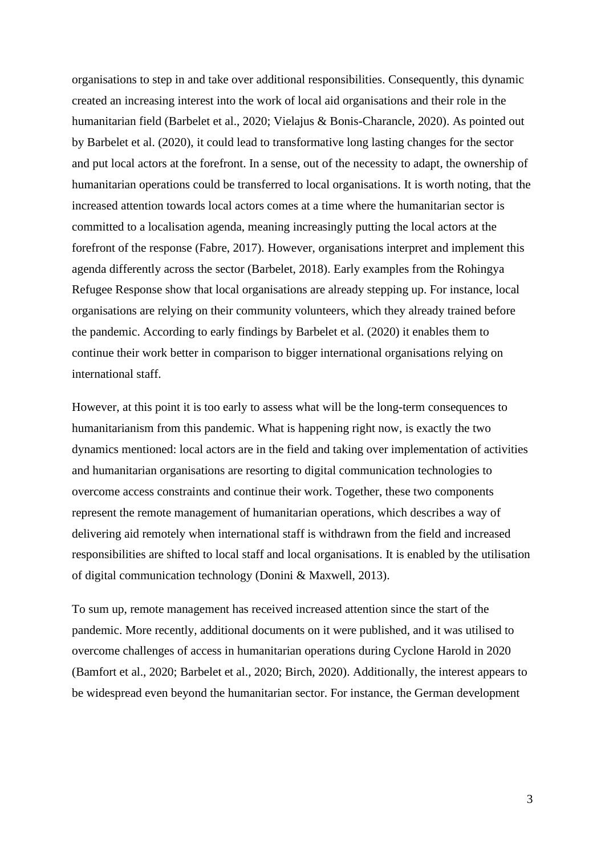organisations to step in and take over additional responsibilities. Consequently, this dynamic created an increasing interest into the work of local aid organisations and their role in the humanitarian field (Barbelet et al., 2020; Vielajus & Bonis-Charancle, 2020). As pointed out by Barbelet et al. (2020), it could lead to transformative long lasting changes for the sector and put local actors at the forefront. In a sense, out of the necessity to adapt, the ownership of humanitarian operations could be transferred to local organisations. It is worth noting, that the increased attention towards local actors comes at a time where the humanitarian sector is committed to a localisation agenda, meaning increasingly putting the local actors at the forefront of the response (Fabre, 2017). However, organisations interpret and implement this agenda differently across the sector (Barbelet, 2018). Early examples from the Rohingya Refugee Response show that local organisations are already stepping up. For instance, local organisations are relying on their community volunteers, which they already trained before the pandemic. According to early findings by Barbelet et al. (2020) it enables them to continue their work better in comparison to bigger international organisations relying on international staff.

However, at this point it is too early to assess what will be the long-term consequences to humanitarianism from this pandemic. What is happening right now, is exactly the two dynamics mentioned: local actors are in the field and taking over implementation of activities and humanitarian organisations are resorting to digital communication technologies to overcome access constraints and continue their work. Together, these two components represent the remote management of humanitarian operations, which describes a way of delivering aid remotely when international staff is withdrawn from the field and increased responsibilities are shifted to local staff and local organisations. It is enabled by the utilisation of digital communication technology (Donini & Maxwell, 2013).

To sum up, remote management has received increased attention since the start of the pandemic. More recently, additional documents on it were published, and it was utilised to overcome challenges of access in humanitarian operations during Cyclone Harold in 2020 (Bamfort et al., 2020; Barbelet et al., 2020; Birch, 2020). Additionally, the interest appears to be widespread even beyond the humanitarian sector. For instance, the German development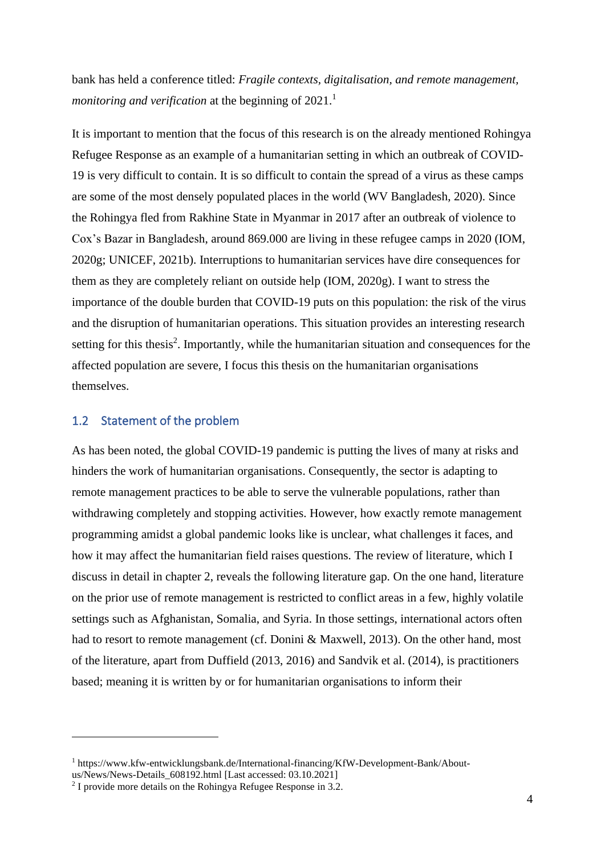bank has held a conference titled: *Fragile contexts, digitalisation, and remote management, monitoring and verification* at the beginning of 2021. 1

It is important to mention that the focus of this research is on the already mentioned Rohingya Refugee Response as an example of a humanitarian setting in which an outbreak of COVID-19 is very difficult to contain. It is so difficult to contain the spread of a virus as these camps are some of the most densely populated places in the world (WV Bangladesh, 2020). Since the Rohingya fled from Rakhine State in Myanmar in 2017 after an outbreak of violence to Cox's Bazar in Bangladesh, around 869.000 are living in these refugee camps in 2020 (IOM, 2020g; UNICEF, 2021b). Interruptions to humanitarian services have dire consequences for them as they are completely reliant on outside help (IOM, 2020g). I want to stress the importance of the double burden that COVID-19 puts on this population: the risk of the virus and the disruption of humanitarian operations. This situation provides an interesting research setting for this thesis<sup>2</sup>. Importantly, while the humanitarian situation and consequences for the affected population are severe, I focus this thesis on the humanitarian organisations themselves.

#### 1.2 Statement of the problem

As has been noted, the global COVID-19 pandemic is putting the lives of many at risks and hinders the work of humanitarian organisations. Consequently, the sector is adapting to remote management practices to be able to serve the vulnerable populations, rather than withdrawing completely and stopping activities. However, how exactly remote management programming amidst a global pandemic looks like is unclear, what challenges it faces, and how it may affect the humanitarian field raises questions. The review of literature, which I discuss in detail in chapter 2, reveals the following literature gap. On the one hand, literature on the prior use of remote management is restricted to conflict areas in a few, highly volatile settings such as Afghanistan, Somalia, and Syria. In those settings, international actors often had to resort to remote management (cf. Donini & Maxwell, 2013). On the other hand, most of the literature, apart from Duffield (2013, 2016) and Sandvik et al. (2014), is practitioners based; meaning it is written by or for humanitarian organisations to inform their

<sup>1</sup> https://www.kfw-entwicklungsbank.de/International-financing/KfW-Development-Bank/Aboutus/News/News-Details\_608192.html [Last accessed: 03.10.2021]

<sup>2</sup> I provide more details on the Rohingya Refugee Response in 3.2.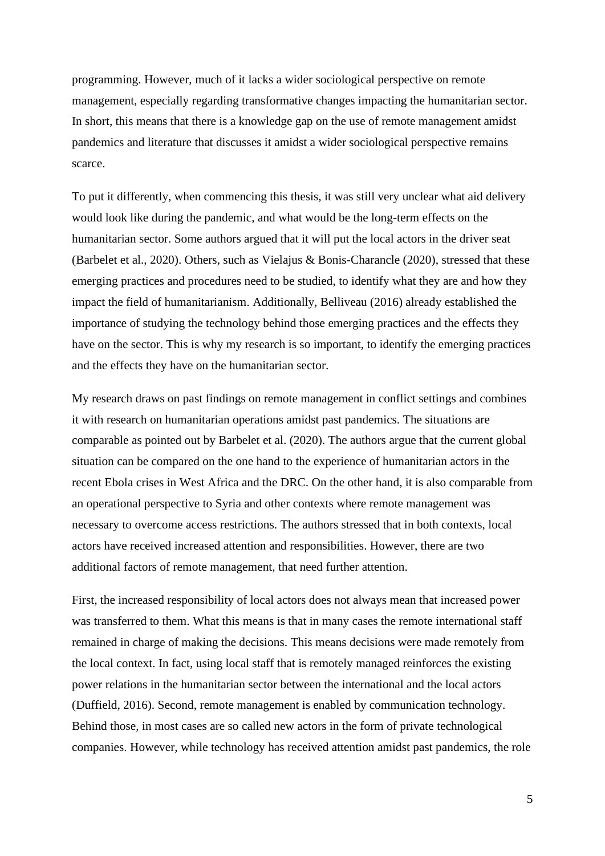programming. However, much of it lacks a wider sociological perspective on remote management, especially regarding transformative changes impacting the humanitarian sector. In short, this means that there is a knowledge gap on the use of remote management amidst pandemics and literature that discusses it amidst a wider sociological perspective remains scarce.

To put it differently, when commencing this thesis, it was still very unclear what aid delivery would look like during the pandemic, and what would be the long-term effects on the humanitarian sector. Some authors argued that it will put the local actors in the driver seat (Barbelet et al., 2020). Others, such as Vielajus & Bonis-Charancle (2020), stressed that these emerging practices and procedures need to be studied, to identify what they are and how they impact the field of humanitarianism. Additionally, Belliveau (2016) already established the importance of studying the technology behind those emerging practices and the effects they have on the sector. This is why my research is so important, to identify the emerging practices and the effects they have on the humanitarian sector.

My research draws on past findings on remote management in conflict settings and combines it with research on humanitarian operations amidst past pandemics. The situations are comparable as pointed out by Barbelet et al. (2020). The authors argue that the current global situation can be compared on the one hand to the experience of humanitarian actors in the recent Ebola crises in West Africa and the DRC. On the other hand, it is also comparable from an operational perspective to Syria and other contexts where remote management was necessary to overcome access restrictions. The authors stressed that in both contexts, local actors have received increased attention and responsibilities. However, there are two additional factors of remote management, that need further attention.

First, the increased responsibility of local actors does not always mean that increased power was transferred to them. What this means is that in many cases the remote international staff remained in charge of making the decisions. This means decisions were made remotely from the local context. In fact, using local staff that is remotely managed reinforces the existing power relations in the humanitarian sector between the international and the local actors (Duffield, 2016). Second, remote management is enabled by communication technology. Behind those, in most cases are so called new actors in the form of private technological companies. However, while technology has received attention amidst past pandemics, the role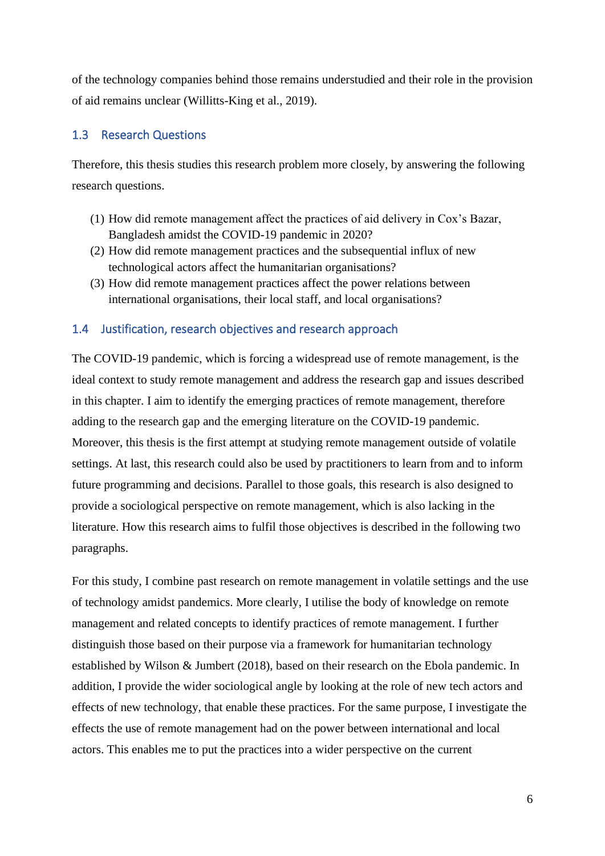of the technology companies behind those remains understudied and their role in the provision of aid remains unclear (Willitts-King et al., 2019).

#### 1.3 Research Questions

Therefore, this thesis studies this research problem more closely, by answering the following research questions.

- (1) How did remote management affect the practices of aid delivery in Cox's Bazar, Bangladesh amidst the COVID-19 pandemic in 2020?
- (2) How did remote management practices and the subsequential influx of new technological actors affect the humanitarian organisations?
- (3) How did remote management practices affect the power relations between international organisations, their local staff, and local organisations?

#### 1.4 Justification, research objectives and research approach

The COVID-19 pandemic, which is forcing a widespread use of remote management, is the ideal context to study remote management and address the research gap and issues described in this chapter. I aim to identify the emerging practices of remote management, therefore adding to the research gap and the emerging literature on the COVID-19 pandemic. Moreover, this thesis is the first attempt at studying remote management outside of volatile settings. At last, this research could also be used by practitioners to learn from and to inform future programming and decisions. Parallel to those goals, this research is also designed to provide a sociological perspective on remote management, which is also lacking in the literature. How this research aims to fulfil those objectives is described in the following two paragraphs.

For this study, I combine past research on remote management in volatile settings and the use of technology amidst pandemics. More clearly, I utilise the body of knowledge on remote management and related concepts to identify practices of remote management. I further distinguish those based on their purpose via a framework for humanitarian technology established by Wilson & Jumbert (2018), based on their research on the Ebola pandemic. In addition, I provide the wider sociological angle by looking at the role of new tech actors and effects of new technology, that enable these practices. For the same purpose, I investigate the effects the use of remote management had on the power between international and local actors. This enables me to put the practices into a wider perspective on the current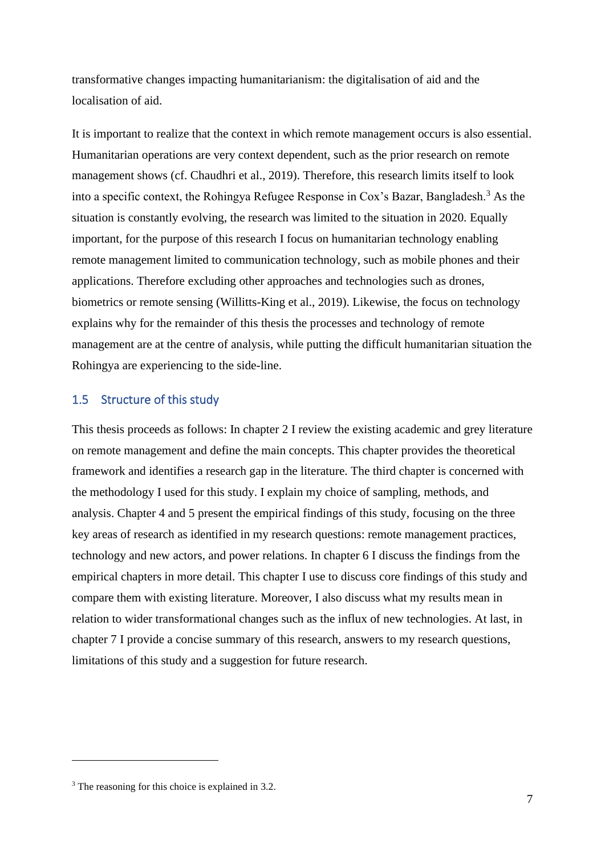transformative changes impacting humanitarianism: the digitalisation of aid and the localisation of aid.

It is important to realize that the context in which remote management occurs is also essential. Humanitarian operations are very context dependent, such as the prior research on remote management shows (cf. Chaudhri et al., 2019). Therefore, this research limits itself to look into a specific context, the Rohingya Refugee Response in Cox's Bazar, Bangladesh.<sup>3</sup> As the situation is constantly evolving, the research was limited to the situation in 2020. Equally important, for the purpose of this research I focus on humanitarian technology enabling remote management limited to communication technology, such as mobile phones and their applications. Therefore excluding other approaches and technologies such as drones, biometrics or remote sensing (Willitts-King et al., 2019). Likewise, the focus on technology explains why for the remainder of this thesis the processes and technology of remote management are at the centre of analysis, while putting the difficult humanitarian situation the Rohingya are experiencing to the side-line.

#### 1.5 Structure of this study

This thesis proceeds as follows: In chapter 2 I review the existing academic and grey literature on remote management and define the main concepts. This chapter provides the theoretical framework and identifies a research gap in the literature. The third chapter is concerned with the methodology I used for this study. I explain my choice of sampling, methods, and analysis. Chapter 4 and 5 present the empirical findings of this study, focusing on the three key areas of research as identified in my research questions: remote management practices, technology and new actors, and power relations. In chapter 6 I discuss the findings from the empirical chapters in more detail. This chapter I use to discuss core findings of this study and compare them with existing literature. Moreover, I also discuss what my results mean in relation to wider transformational changes such as the influx of new technologies. At last, in chapter 7 I provide a concise summary of this research, answers to my research questions, limitations of this study and a suggestion for future research.

<sup>&</sup>lt;sup>3</sup> The reasoning for this choice is explained in 3.2.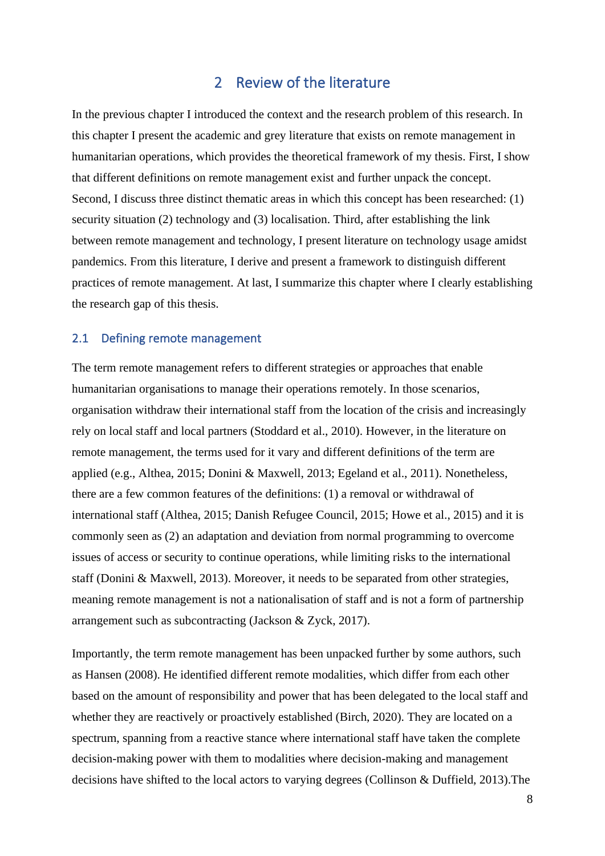#### 2 Review of the literature

In the previous chapter I introduced the context and the research problem of this research. In this chapter I present the academic and grey literature that exists on remote management in humanitarian operations, which provides the theoretical framework of my thesis. First, I show that different definitions on remote management exist and further unpack the concept. Second, I discuss three distinct thematic areas in which this concept has been researched: (1) security situation (2) technology and (3) localisation. Third, after establishing the link between remote management and technology, I present literature on technology usage amidst pandemics. From this literature, I derive and present a framework to distinguish different practices of remote management. At last, I summarize this chapter where I clearly establishing the research gap of this thesis.

#### 2.1 Defining remote management

The term remote management refers to different strategies or approaches that enable humanitarian organisations to manage their operations remotely. In those scenarios, organisation withdraw their international staff from the location of the crisis and increasingly rely on local staff and local partners (Stoddard et al., 2010). However, in the literature on remote management, the terms used for it vary and different definitions of the term are applied (e.g., Althea, 2015; Donini & Maxwell, 2013; Egeland et al., 2011). Nonetheless, there are a few common features of the definitions: (1) a removal or withdrawal of international staff (Althea, 2015; Danish Refugee Council, 2015; Howe et al., 2015) and it is commonly seen as (2) an adaptation and deviation from normal programming to overcome issues of access or security to continue operations, while limiting risks to the international staff (Donini & Maxwell, 2013). Moreover, it needs to be separated from other strategies, meaning remote management is not a nationalisation of staff and is not a form of partnership arrangement such as subcontracting (Jackson & Zyck, 2017).

Importantly, the term remote management has been unpacked further by some authors, such as Hansen (2008). He identified different remote modalities, which differ from each other based on the amount of responsibility and power that has been delegated to the local staff and whether they are reactively or proactively established (Birch, 2020). They are located on a spectrum, spanning from a reactive stance where international staff have taken the complete decision-making power with them to modalities where decision-making and management decisions have shifted to the local actors to varying degrees (Collinson & Duffield, 2013).The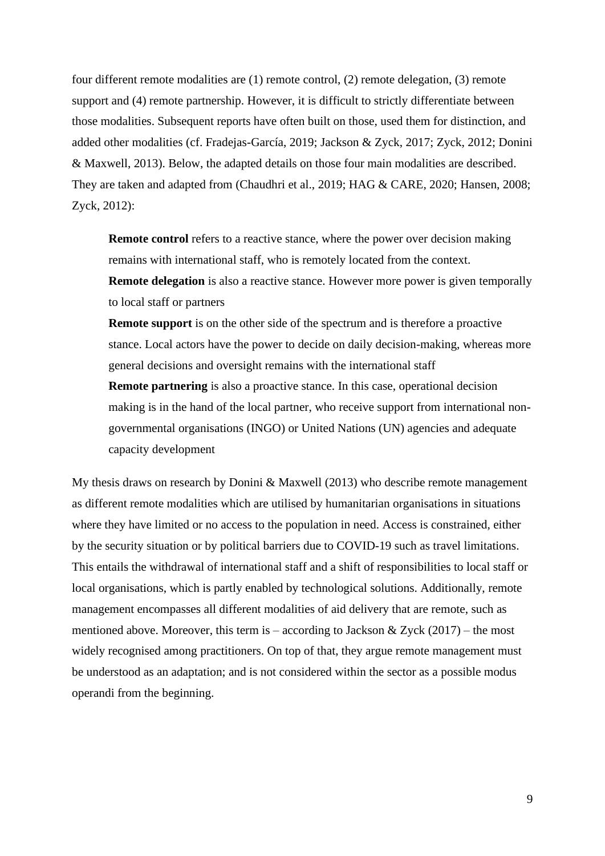four different remote modalities are (1) remote control, (2) remote delegation, (3) remote support and (4) remote partnership. However, it is difficult to strictly differentiate between those modalities. Subsequent reports have often built on those, used them for distinction, and added other modalities (cf. Fradejas-García, 2019; Jackson & Zyck, 2017; Zyck, 2012; Donini & Maxwell, 2013). Below, the adapted details on those four main modalities are described. They are taken and adapted from (Chaudhri et al., 2019; HAG & CARE, 2020; Hansen, 2008; Zyck, 2012):

**Remote control** refers to a reactive stance, where the power over decision making remains with international staff, who is remotely located from the context. **Remote delegation** is also a reactive stance. However more power is given temporally to local staff or partners

**Remote support** is on the other side of the spectrum and is therefore a proactive stance. Local actors have the power to decide on daily decision-making, whereas more general decisions and oversight remains with the international staff

**Remote partnering** is also a proactive stance. In this case, operational decision making is in the hand of the local partner, who receive support from international nongovernmental organisations (INGO) or United Nations (UN) agencies and adequate capacity development

My thesis draws on research by Donini & Maxwell (2013) who describe remote management as different remote modalities which are utilised by humanitarian organisations in situations where they have limited or no access to the population in need. Access is constrained, either by the security situation or by political barriers due to COVID-19 such as travel limitations. This entails the withdrawal of international staff and a shift of responsibilities to local staff or local organisations, which is partly enabled by technological solutions. Additionally, remote management encompasses all different modalities of aid delivery that are remote, such as mentioned above. Moreover, this term is – according to Jackson & Zyck  $(2017)$  – the most widely recognised among practitioners. On top of that, they argue remote management must be understood as an adaptation; and is not considered within the sector as a possible modus operandi from the beginning.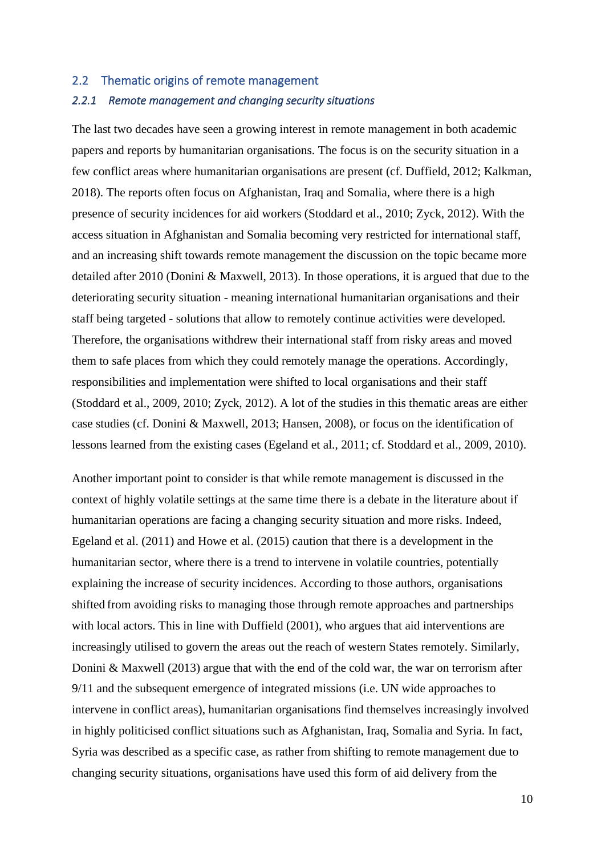## 2.2 Thematic origins of remote management

#### *2.2.1 Remote management and changing security situations*

The last two decades have seen a growing interest in remote management in both academic papers and reports by humanitarian organisations. The focus is on the security situation in a few conflict areas where humanitarian organisations are present (cf. Duffield, 2012; Kalkman, 2018). The reports often focus on Afghanistan, Iraq and Somalia, where there is a high presence of security incidences for aid workers (Stoddard et al., 2010; Zyck, 2012). With the access situation in Afghanistan and Somalia becoming very restricted for international staff, and an increasing shift towards remote management the discussion on the topic became more detailed after 2010 (Donini & Maxwell, 2013). In those operations, it is argued that due to the deteriorating security situation - meaning international humanitarian organisations and their staff being targeted - solutions that allow to remotely continue activities were developed. Therefore, the organisations withdrew their international staff from risky areas and moved them to safe places from which they could remotely manage the operations. Accordingly, responsibilities and implementation were shifted to local organisations and their staff (Stoddard et al., 2009, 2010; Zyck, 2012). A lot of the studies in this thematic areas are either case studies (cf. Donini & Maxwell, 2013; Hansen, 2008), or focus on the identification of lessons learned from the existing cases (Egeland et al., 2011; cf. Stoddard et al., 2009, 2010).

Another important point to consider is that while remote management is discussed in the context of highly volatile settings at the same time there is a debate in the literature about if humanitarian operations are facing a changing security situation and more risks. Indeed, Egeland et al. (2011) and Howe et al. (2015) caution that there is a development in the humanitarian sector, where there is a trend to intervene in volatile countries, potentially explaining the increase of security incidences. According to those authors, organisations shifted from avoiding risks to managing those through remote approaches and partnerships with local actors. This in line with Duffield (2001), who argues that aid interventions are increasingly utilised to govern the areas out the reach of western States remotely. Similarly, Donini & Maxwell (2013) argue that with the end of the cold war, the war on terrorism after 9/11 and the subsequent emergence of integrated missions (i.e. UN wide approaches to intervene in conflict areas), humanitarian organisations find themselves increasingly involved in highly politicised conflict situations such as Afghanistan, Iraq, Somalia and Syria. In fact, Syria was described as a specific case, as rather from shifting to remote management due to changing security situations, organisations have used this form of aid delivery from the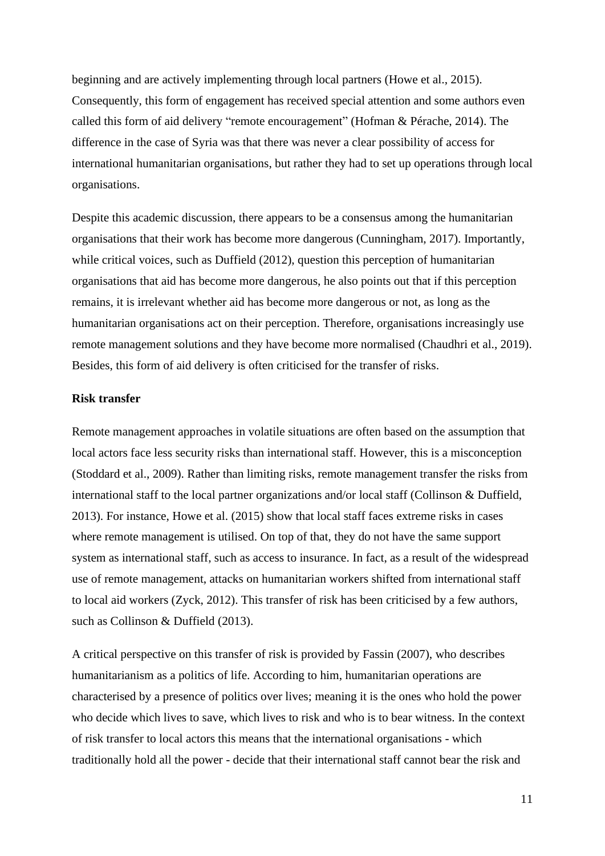beginning and are actively implementing through local partners (Howe et al., 2015). Consequently, this form of engagement has received special attention and some authors even called this form of aid delivery "remote encouragement" (Hofman & Pérache, 2014). The difference in the case of Syria was that there was never a clear possibility of access for international humanitarian organisations, but rather they had to set up operations through local organisations.

Despite this academic discussion, there appears to be a consensus among the humanitarian organisations that their work has become more dangerous (Cunningham, 2017). Importantly, while critical voices, such as Duffield (2012), question this perception of humanitarian organisations that aid has become more dangerous, he also points out that if this perception remains, it is irrelevant whether aid has become more dangerous or not, as long as the humanitarian organisations act on their perception. Therefore, organisations increasingly use remote management solutions and they have become more normalised (Chaudhri et al., 2019). Besides, this form of aid delivery is often criticised for the transfer of risks.

#### **Risk transfer**

Remote management approaches in volatile situations are often based on the assumption that local actors face less security risks than international staff. However, this is a misconception (Stoddard et al., 2009). Rather than limiting risks, remote management transfer the risks from international staff to the local partner organizations and/or local staff (Collinson & Duffield, 2013). For instance, Howe et al. (2015) show that local staff faces extreme risks in cases where remote management is utilised. On top of that, they do not have the same support system as international staff, such as access to insurance. In fact, as a result of the widespread use of remote management, attacks on humanitarian workers shifted from international staff to local aid workers (Zyck, 2012). This transfer of risk has been criticised by a few authors, such as Collinson & Duffield (2013).

A critical perspective on this transfer of risk is provided by Fassin (2007), who describes humanitarianism as a politics of life. According to him, humanitarian operations are characterised by a presence of politics over lives; meaning it is the ones who hold the power who decide which lives to save, which lives to risk and who is to bear witness. In the context of risk transfer to local actors this means that the international organisations - which traditionally hold all the power - decide that their international staff cannot bear the risk and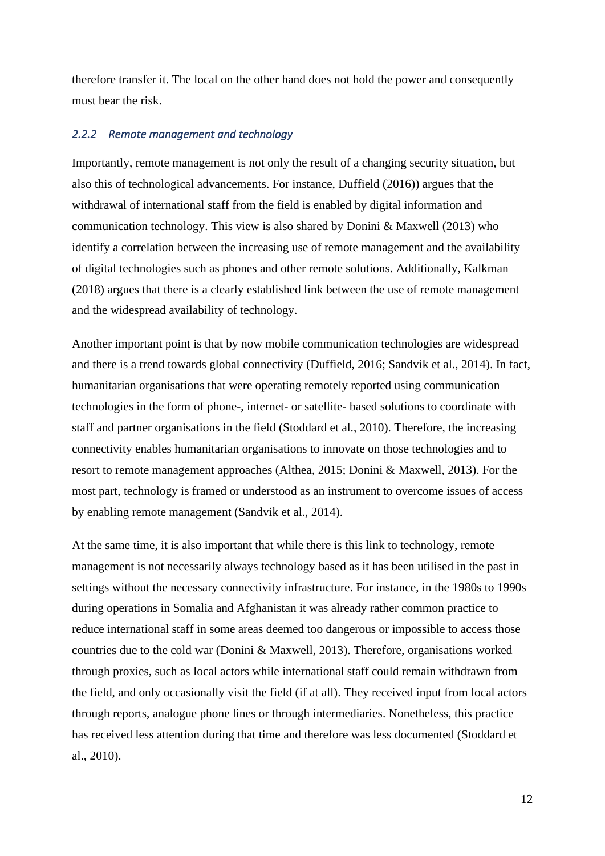therefore transfer it. The local on the other hand does not hold the power and consequently must bear the risk.

#### *2.2.2 Remote management and technology*

Importantly, remote management is not only the result of a changing security situation, but also this of technological advancements. For instance, Duffield (2016)) argues that the withdrawal of international staff from the field is enabled by digital information and communication technology. This view is also shared by Donini & Maxwell (2013) who identify a correlation between the increasing use of remote management and the availability of digital technologies such as phones and other remote solutions. Additionally, Kalkman (2018) argues that there is a clearly established link between the use of remote management and the widespread availability of technology.

Another important point is that by now mobile communication technologies are widespread and there is a trend towards global connectivity (Duffield, 2016; Sandvik et al., 2014). In fact, humanitarian organisations that were operating remotely reported using communication technologies in the form of phone-, internet- or satellite- based solutions to coordinate with staff and partner organisations in the field (Stoddard et al., 2010). Therefore, the increasing connectivity enables humanitarian organisations to innovate on those technologies and to resort to remote management approaches (Althea, 2015; Donini & Maxwell, 2013). For the most part, technology is framed or understood as an instrument to overcome issues of access by enabling remote management (Sandvik et al., 2014).

At the same time, it is also important that while there is this link to technology, remote management is not necessarily always technology based as it has been utilised in the past in settings without the necessary connectivity infrastructure. For instance, in the 1980s to 1990s during operations in Somalia and Afghanistan it was already rather common practice to reduce international staff in some areas deemed too dangerous or impossible to access those countries due to the cold war (Donini & Maxwell, 2013). Therefore, organisations worked through proxies, such as local actors while international staff could remain withdrawn from the field, and only occasionally visit the field (if at all). They received input from local actors through reports, analogue phone lines or through intermediaries. Nonetheless, this practice has received less attention during that time and therefore was less documented (Stoddard et al., 2010).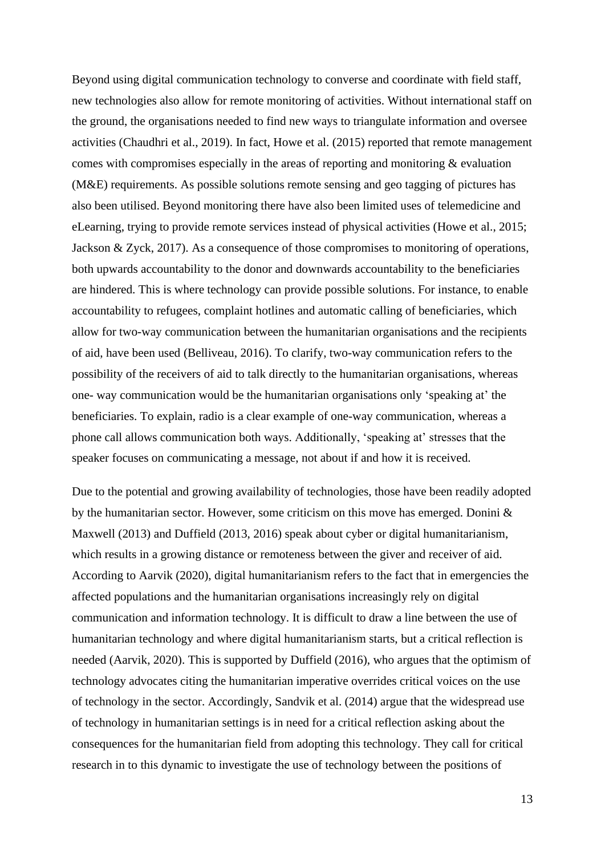Beyond using digital communication technology to converse and coordinate with field staff, new technologies also allow for remote monitoring of activities. Without international staff on the ground, the organisations needed to find new ways to triangulate information and oversee activities (Chaudhri et al., 2019). In fact, Howe et al. (2015) reported that remote management comes with compromises especially in the areas of reporting and monitoring & evaluation (M&E) requirements. As possible solutions remote sensing and geo tagging of pictures has also been utilised. Beyond monitoring there have also been limited uses of telemedicine and eLearning, trying to provide remote services instead of physical activities (Howe et al., 2015; Jackson & Zyck, 2017). As a consequence of those compromises to monitoring of operations, both upwards accountability to the donor and downwards accountability to the beneficiaries are hindered. This is where technology can provide possible solutions. For instance, to enable accountability to refugees, complaint hotlines and automatic calling of beneficiaries, which allow for two-way communication between the humanitarian organisations and the recipients of aid, have been used (Belliveau, 2016). To clarify, two-way communication refers to the possibility of the receivers of aid to talk directly to the humanitarian organisations, whereas one- way communication would be the humanitarian organisations only 'speaking at' the beneficiaries. To explain, radio is a clear example of one-way communication, whereas a phone call allows communication both ways. Additionally, 'speaking at' stresses that the speaker focuses on communicating a message, not about if and how it is received.

Due to the potential and growing availability of technologies, those have been readily adopted by the humanitarian sector. However, some criticism on this move has emerged. Donini & Maxwell (2013) and Duffield (2013, 2016) speak about cyber or digital humanitarianism, which results in a growing distance or remoteness between the giver and receiver of aid. According to Aarvik (2020), digital humanitarianism refers to the fact that in emergencies the affected populations and the humanitarian organisations increasingly rely on digital communication and information technology. It is difficult to draw a line between the use of humanitarian technology and where digital humanitarianism starts, but a critical reflection is needed (Aarvik, 2020). This is supported by Duffield (2016), who argues that the optimism of technology advocates citing the humanitarian imperative overrides critical voices on the use of technology in the sector. Accordingly, Sandvik et al. (2014) argue that the widespread use of technology in humanitarian settings is in need for a critical reflection asking about the consequences for the humanitarian field from adopting this technology. They call for critical research in to this dynamic to investigate the use of technology between the positions of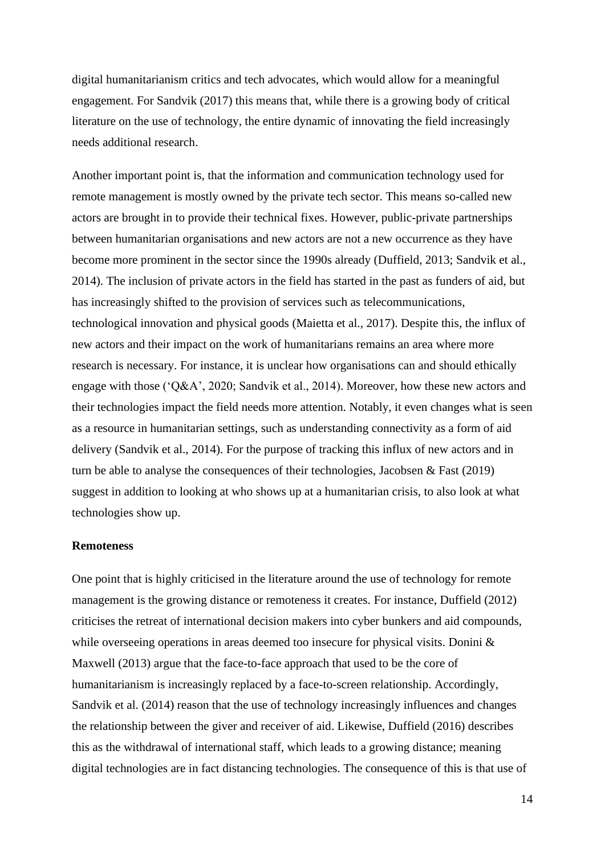digital humanitarianism critics and tech advocates, which would allow for a meaningful engagement. For Sandvik (2017) this means that, while there is a growing body of critical literature on the use of technology, the entire dynamic of innovating the field increasingly needs additional research.

Another important point is, that the information and communication technology used for remote management is mostly owned by the private tech sector. This means so-called new actors are brought in to provide their technical fixes. However, public-private partnerships between humanitarian organisations and new actors are not a new occurrence as they have become more prominent in the sector since the 1990s already (Duffield, 2013; Sandvik et al., 2014). The inclusion of private actors in the field has started in the past as funders of aid, but has increasingly shifted to the provision of services such as telecommunications, technological innovation and physical goods (Maietta et al., 2017). Despite this, the influx of new actors and their impact on the work of humanitarians remains an area where more research is necessary. For instance, it is unclear how organisations can and should ethically engage with those ('Q&A', 2020; Sandvik et al., 2014). Moreover, how these new actors and their technologies impact the field needs more attention. Notably, it even changes what is seen as a resource in humanitarian settings, such as understanding connectivity as a form of aid delivery (Sandvik et al., 2014). For the purpose of tracking this influx of new actors and in turn be able to analyse the consequences of their technologies, Jacobsen & Fast (2019) suggest in addition to looking at who shows up at a humanitarian crisis, to also look at what technologies show up.

#### **Remoteness**

One point that is highly criticised in the literature around the use of technology for remote management is the growing distance or remoteness it creates. For instance, Duffield (2012) criticises the retreat of international decision makers into cyber bunkers and aid compounds, while overseeing operations in areas deemed too insecure for physical visits. Donini & Maxwell (2013) argue that the face-to-face approach that used to be the core of humanitarianism is increasingly replaced by a face-to-screen relationship. Accordingly, Sandvik et al. (2014) reason that the use of technology increasingly influences and changes the relationship between the giver and receiver of aid. Likewise, Duffield (2016) describes this as the withdrawal of international staff, which leads to a growing distance; meaning digital technologies are in fact distancing technologies. The consequence of this is that use of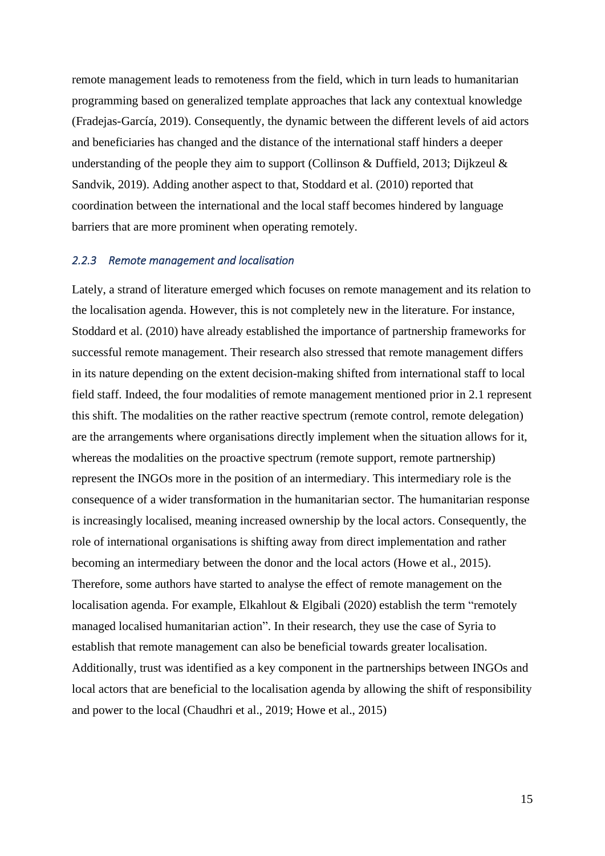remote management leads to remoteness from the field, which in turn leads to humanitarian programming based on generalized template approaches that lack any contextual knowledge (Fradejas-García, 2019). Consequently, the dynamic between the different levels of aid actors and beneficiaries has changed and the distance of the international staff hinders a deeper understanding of the people they aim to support (Collinson & Duffield, 2013; Dijkzeul & Sandvik, 2019). Adding another aspect to that, Stoddard et al. (2010) reported that coordination between the international and the local staff becomes hindered by language barriers that are more prominent when operating remotely.

#### *2.2.3 Remote management and localisation*

Lately, a strand of literature emerged which focuses on remote management and its relation to the localisation agenda. However, this is not completely new in the literature. For instance, Stoddard et al. (2010) have already established the importance of partnership frameworks for successful remote management. Their research also stressed that remote management differs in its nature depending on the extent decision-making shifted from international staff to local field staff. Indeed, the four modalities of remote management mentioned prior in 2.1 represent this shift. The modalities on the rather reactive spectrum (remote control, remote delegation) are the arrangements where organisations directly implement when the situation allows for it, whereas the modalities on the proactive spectrum (remote support, remote partnership) represent the INGOs more in the position of an intermediary. This intermediary role is the consequence of a wider transformation in the humanitarian sector. The humanitarian response is increasingly localised, meaning increased ownership by the local actors. Consequently, the role of international organisations is shifting away from direct implementation and rather becoming an intermediary between the donor and the local actors (Howe et al., 2015). Therefore, some authors have started to analyse the effect of remote management on the localisation agenda. For example, Elkahlout & Elgibali (2020) establish the term "remotely managed localised humanitarian action". In their research, they use the case of Syria to establish that remote management can also be beneficial towards greater localisation. Additionally, trust was identified as a key component in the partnerships between INGOs and local actors that are beneficial to the localisation agenda by allowing the shift of responsibility and power to the local (Chaudhri et al., 2019; Howe et al., 2015)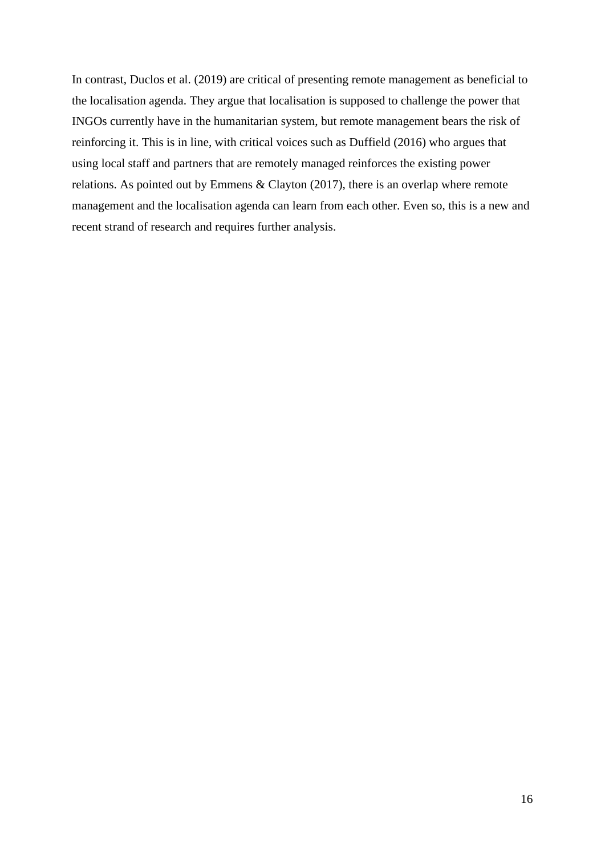In contrast, Duclos et al. (2019) are critical of presenting remote management as beneficial to the localisation agenda. They argue that localisation is supposed to challenge the power that INGOs currently have in the humanitarian system, but remote management bears the risk of reinforcing it. This is in line, with critical voices such as Duffield (2016) who argues that using local staff and partners that are remotely managed reinforces the existing power relations. As pointed out by Emmens & Clayton (2017), there is an overlap where remote management and the localisation agenda can learn from each other. Even so, this is a new and recent strand of research and requires further analysis.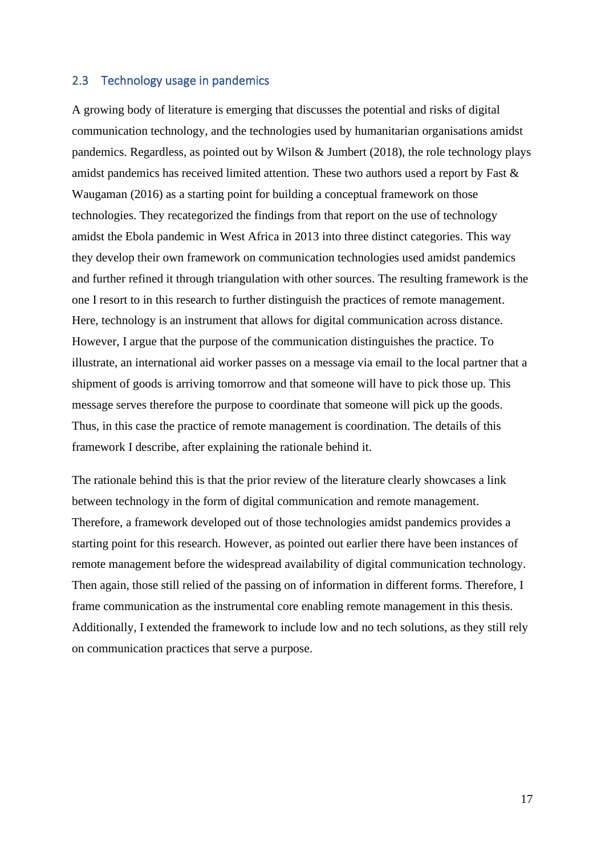#### 2.3 Technology usage in pandemics

A growing body of literature is emerging that discusses the potential and risks of digital communication technology, and the technologies used by humanitarian organisations amidst pandemics. Regardless, as pointed out by Wilson & Jumbert (2018), the role technology plays amidst pandemics has received limited attention. These two authors used a report by Fast & Waugaman (2016) as a starting point for building a conceptual framework on those technologies. They recategorized the findings from that report on the use of technology amidst the Ebola pandemic in West Africa in 2013 into three distinct categories. This way they develop their own framework on communication technologies used amidst pandemics and further refined it through triangulation with other sources. The resulting framework is the one I resort to in this research to further distinguish the practices of remote management. Here, technology is an instrument that allows for digital communication across distance. However, I argue that the purpose of the communication distinguishes the practice. To illustrate, an international aid worker passes on a message via email to the local partner that a shipment of goods is arriving tomorrow and that someone will have to pick those up. This message serves therefore the purpose to coordinate that someone will pick up the goods. Thus, in this case the practice of remote management is coordination. The details of this framework I describe, after explaining the rationale behind it.

The rationale behind this is that the prior review of the literature clearly showcases a link between technology in the form of digital communication and remote management. Therefore, a framework developed out of those technologies amidst pandemics provides a starting point for this research. However, as pointed out earlier there have been instances of remote management before the widespread availability of digital communication technology. Then again, those still relied of the passing on of information in different forms. Therefore, I frame communication as the instrumental core enabling remote management in this thesis. Additionally, I extended the framework to include low and no tech solutions, as they still rely on communication practices that serve a purpose.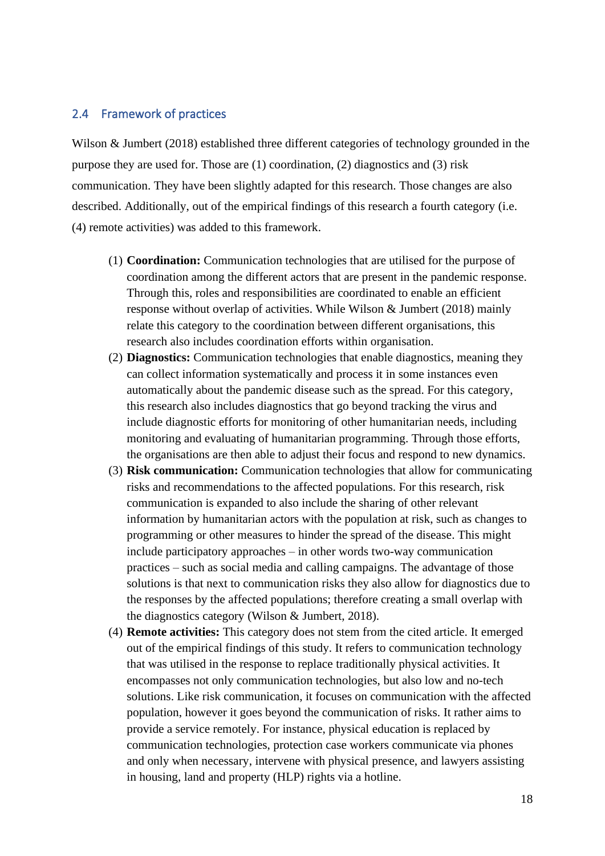#### 2.4 Framework of practices

Wilson & Jumbert (2018) established three different categories of technology grounded in the purpose they are used for. Those are (1) coordination, (2) diagnostics and (3) risk communication. They have been slightly adapted for this research. Those changes are also described. Additionally, out of the empirical findings of this research a fourth category (i.e. (4) remote activities) was added to this framework.

- (1) **Coordination:** Communication technologies that are utilised for the purpose of coordination among the different actors that are present in the pandemic response. Through this, roles and responsibilities are coordinated to enable an efficient response without overlap of activities. While Wilson & Jumbert (2018) mainly relate this category to the coordination between different organisations, this research also includes coordination efforts within organisation.
- (2) **Diagnostics:** Communication technologies that enable diagnostics, meaning they can collect information systematically and process it in some instances even automatically about the pandemic disease such as the spread. For this category, this research also includes diagnostics that go beyond tracking the virus and include diagnostic efforts for monitoring of other humanitarian needs, including monitoring and evaluating of humanitarian programming. Through those efforts, the organisations are then able to adjust their focus and respond to new dynamics.
- (3) **Risk communication:** Communication technologies that allow for communicating risks and recommendations to the affected populations. For this research, risk communication is expanded to also include the sharing of other relevant information by humanitarian actors with the population at risk, such as changes to programming or other measures to hinder the spread of the disease. This might include participatory approaches – in other words two-way communication practices – such as social media and calling campaigns. The advantage of those solutions is that next to communication risks they also allow for diagnostics due to the responses by the affected populations; therefore creating a small overlap with the diagnostics category (Wilson & Jumbert, 2018).
- (4) **Remote activities:** This category does not stem from the cited article. It emerged out of the empirical findings of this study. It refers to communication technology that was utilised in the response to replace traditionally physical activities. It encompasses not only communication technologies, but also low and no-tech solutions. Like risk communication, it focuses on communication with the affected population, however it goes beyond the communication of risks. It rather aims to provide a service remotely. For instance, physical education is replaced by communication technologies, protection case workers communicate via phones and only when necessary, intervene with physical presence, and lawyers assisting in housing, land and property (HLP) rights via a hotline.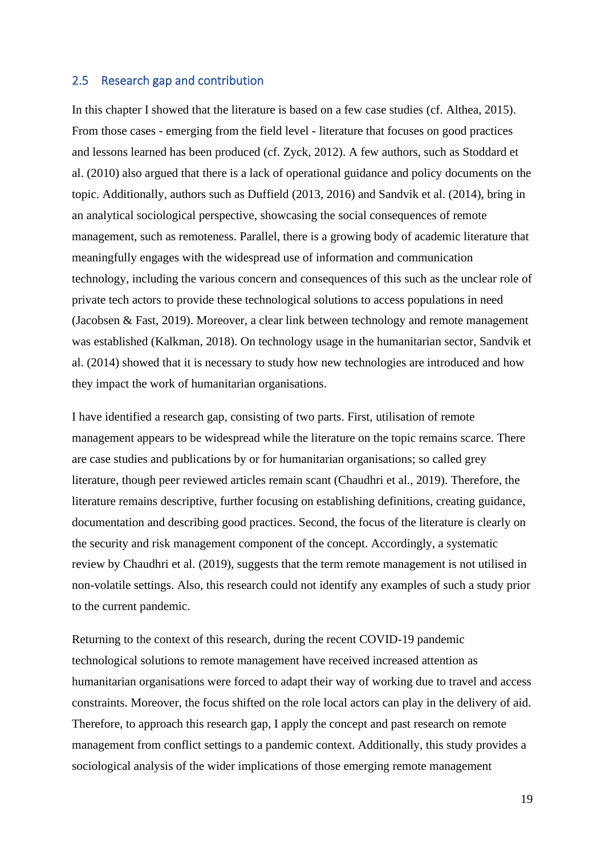#### 2.5 Research gap and contribution

In this chapter I showed that the literature is based on a few case studies (cf. Althea, 2015). From those cases - emerging from the field level - literature that focuses on good practices and lessons learned has been produced (cf. Zyck, 2012). A few authors, such as Stoddard et al. (2010) also argued that there is a lack of operational guidance and policy documents on the topic. Additionally, authors such as Duffield (2013, 2016) and Sandvik et al. (2014), bring in an analytical sociological perspective, showcasing the social consequences of remote management, such as remoteness. Parallel, there is a growing body of academic literature that meaningfully engages with the widespread use of information and communication technology, including the various concern and consequences of this such as the unclear role of private tech actors to provide these technological solutions to access populations in need (Jacobsen & Fast, 2019). Moreover, a clear link between technology and remote management was established (Kalkman, 2018). On technology usage in the humanitarian sector, Sandvik et al. (2014) showed that it is necessary to study how new technologies are introduced and how they impact the work of humanitarian organisations.

I have identified a research gap, consisting of two parts. First, utilisation of remote management appears to be widespread while the literature on the topic remains scarce. There are case studies and publications by or for humanitarian organisations; so called grey literature, though peer reviewed articles remain scant (Chaudhri et al., 2019). Therefore, the literature remains descriptive, further focusing on establishing definitions, creating guidance, documentation and describing good practices. Second, the focus of the literature is clearly on the security and risk management component of the concept. Accordingly, a systematic review by Chaudhri et al. (2019), suggests that the term remote management is not utilised in non-volatile settings. Also, this research could not identify any examples of such a study prior to the current pandemic.

Returning to the context of this research, during the recent COVID-19 pandemic technological solutions to remote management have received increased attention as humanitarian organisations were forced to adapt their way of working due to travel and access constraints. Moreover, the focus shifted on the role local actors can play in the delivery of aid. Therefore, to approach this research gap, I apply the concept and past research on remote management from conflict settings to a pandemic context. Additionally, this study provides a sociological analysis of the wider implications of those emerging remote management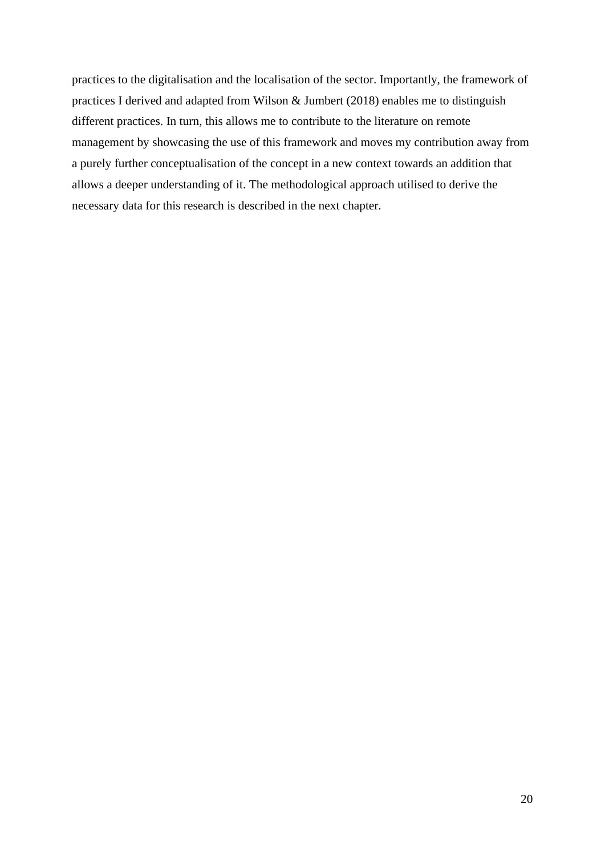practices to the digitalisation and the localisation of the sector. Importantly, the framework of practices I derived and adapted from Wilson & Jumbert (2018) enables me to distinguish different practices. In turn, this allows me to contribute to the literature on remote management by showcasing the use of this framework and moves my contribution away from a purely further conceptualisation of the concept in a new context towards an addition that allows a deeper understanding of it. The methodological approach utilised to derive the necessary data for this research is described in the next chapter.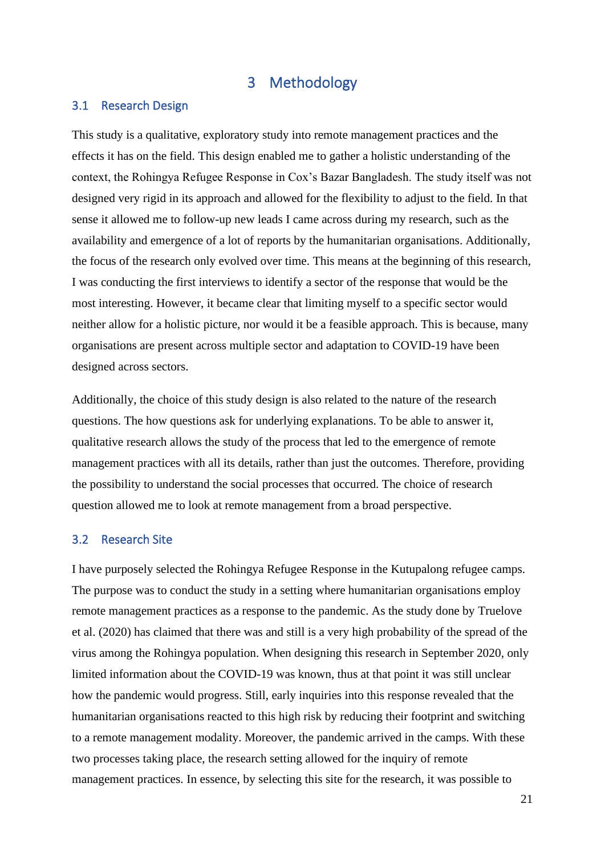### 3 Methodology

#### 3.1 Research Design

This study is a qualitative, exploratory study into remote management practices and the effects it has on the field. This design enabled me to gather a holistic understanding of the context, the Rohingya Refugee Response in Cox's Bazar Bangladesh. The study itself was not designed very rigid in its approach and allowed for the flexibility to adjust to the field. In that sense it allowed me to follow-up new leads I came across during my research, such as the availability and emergence of a lot of reports by the humanitarian organisations. Additionally, the focus of the research only evolved over time. This means at the beginning of this research, I was conducting the first interviews to identify a sector of the response that would be the most interesting. However, it became clear that limiting myself to a specific sector would neither allow for a holistic picture, nor would it be a feasible approach. This is because, many organisations are present across multiple sector and adaptation to COVID-19 have been designed across sectors.

Additionally, the choice of this study design is also related to the nature of the research questions. The how questions ask for underlying explanations. To be able to answer it, qualitative research allows the study of the process that led to the emergence of remote management practices with all its details, rather than just the outcomes. Therefore, providing the possibility to understand the social processes that occurred. The choice of research question allowed me to look at remote management from a broad perspective.

#### 3.2 Research Site

I have purposely selected the Rohingya Refugee Response in the Kutupalong refugee camps. The purpose was to conduct the study in a setting where humanitarian organisations employ remote management practices as a response to the pandemic. As the study done by Truelove et al. (2020) has claimed that there was and still is a very high probability of the spread of the virus among the Rohingya population. When designing this research in September 2020, only limited information about the COVID-19 was known, thus at that point it was still unclear how the pandemic would progress. Still, early inquiries into this response revealed that the humanitarian organisations reacted to this high risk by reducing their footprint and switching to a remote management modality. Moreover, the pandemic arrived in the camps. With these two processes taking place, the research setting allowed for the inquiry of remote management practices. In essence, by selecting this site for the research, it was possible to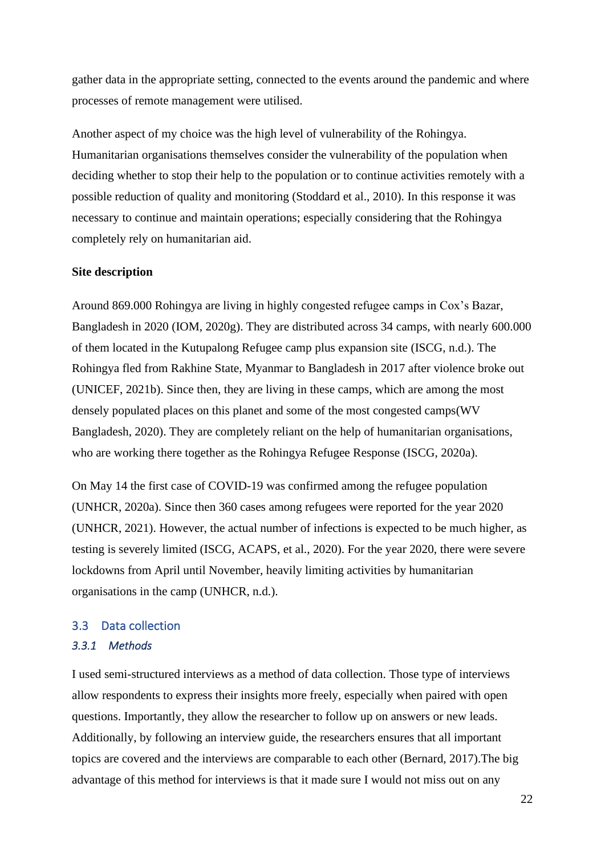gather data in the appropriate setting, connected to the events around the pandemic and where processes of remote management were utilised.

Another aspect of my choice was the high level of vulnerability of the Rohingya. Humanitarian organisations themselves consider the vulnerability of the population when deciding whether to stop their help to the population or to continue activities remotely with a possible reduction of quality and monitoring (Stoddard et al., 2010). In this response it was necessary to continue and maintain operations; especially considering that the Rohingya completely rely on humanitarian aid.

#### **Site description**

Around 869.000 Rohingya are living in highly congested refugee camps in Cox's Bazar, Bangladesh in 2020 (IOM, 2020g). They are distributed across 34 camps, with nearly 600.000 of them located in the Kutupalong Refugee camp plus expansion site (ISCG, n.d.). The Rohingya fled from Rakhine State, Myanmar to Bangladesh in 2017 after violence broke out (UNICEF, 2021b). Since then, they are living in these camps, which are among the most densely populated places on this planet and some of the most congested camps(WV Bangladesh, 2020). They are completely reliant on the help of humanitarian organisations, who are working there together as the Rohingya Refugee Response (ISCG, 2020a).

On May 14 the first case of COVID-19 was confirmed among the refugee population (UNHCR, 2020a). Since then 360 cases among refugees were reported for the year 2020 (UNHCR, 2021). However, the actual number of infections is expected to be much higher, as testing is severely limited (ISCG, ACAPS, et al., 2020). For the year 2020, there were severe lockdowns from April until November, heavily limiting activities by humanitarian organisations in the camp (UNHCR, n.d.).

# 3.3 Data collection

#### *3.3.1 Methods*

I used semi-structured interviews as a method of data collection. Those type of interviews allow respondents to express their insights more freely, especially when paired with open questions. Importantly, they allow the researcher to follow up on answers or new leads. Additionally, by following an interview guide, the researchers ensures that all important topics are covered and the interviews are comparable to each other (Bernard, 2017).The big advantage of this method for interviews is that it made sure I would not miss out on any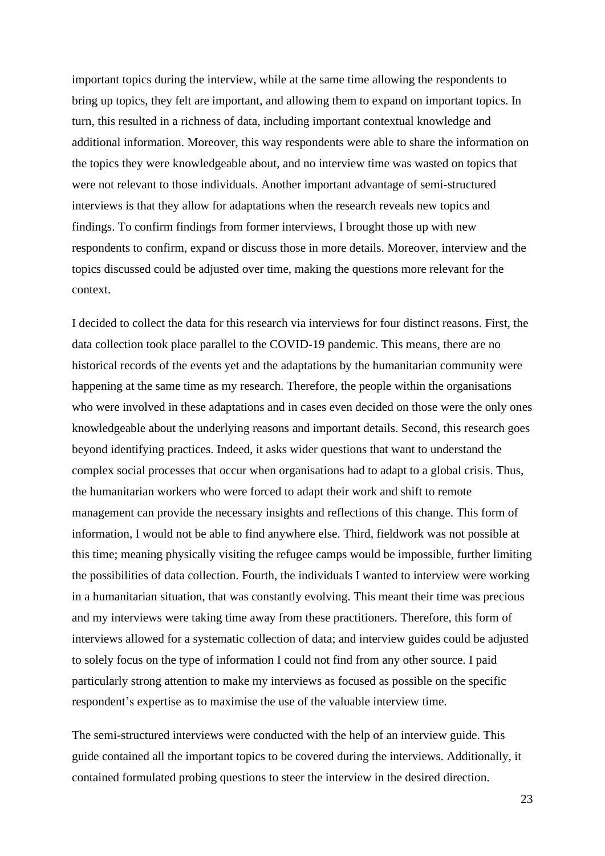important topics during the interview, while at the same time allowing the respondents to bring up topics, they felt are important, and allowing them to expand on important topics. In turn, this resulted in a richness of data, including important contextual knowledge and additional information. Moreover, this way respondents were able to share the information on the topics they were knowledgeable about, and no interview time was wasted on topics that were not relevant to those individuals. Another important advantage of semi-structured interviews is that they allow for adaptations when the research reveals new topics and findings. To confirm findings from former interviews, I brought those up with new respondents to confirm, expand or discuss those in more details. Moreover, interview and the topics discussed could be adjusted over time, making the questions more relevant for the context.

I decided to collect the data for this research via interviews for four distinct reasons. First, the data collection took place parallel to the COVID-19 pandemic. This means, there are no historical records of the events yet and the adaptations by the humanitarian community were happening at the same time as my research. Therefore, the people within the organisations who were involved in these adaptations and in cases even decided on those were the only ones knowledgeable about the underlying reasons and important details. Second, this research goes beyond identifying practices. Indeed, it asks wider questions that want to understand the complex social processes that occur when organisations had to adapt to a global crisis. Thus, the humanitarian workers who were forced to adapt their work and shift to remote management can provide the necessary insights and reflections of this change. This form of information, I would not be able to find anywhere else. Third, fieldwork was not possible at this time; meaning physically visiting the refugee camps would be impossible, further limiting the possibilities of data collection. Fourth, the individuals I wanted to interview were working in a humanitarian situation, that was constantly evolving. This meant their time was precious and my interviews were taking time away from these practitioners. Therefore, this form of interviews allowed for a systematic collection of data; and interview guides could be adjusted to solely focus on the type of information I could not find from any other source. I paid particularly strong attention to make my interviews as focused as possible on the specific respondent's expertise as to maximise the use of the valuable interview time.

The semi-structured interviews were conducted with the help of an interview guide. This guide contained all the important topics to be covered during the interviews. Additionally, it contained formulated probing questions to steer the interview in the desired direction.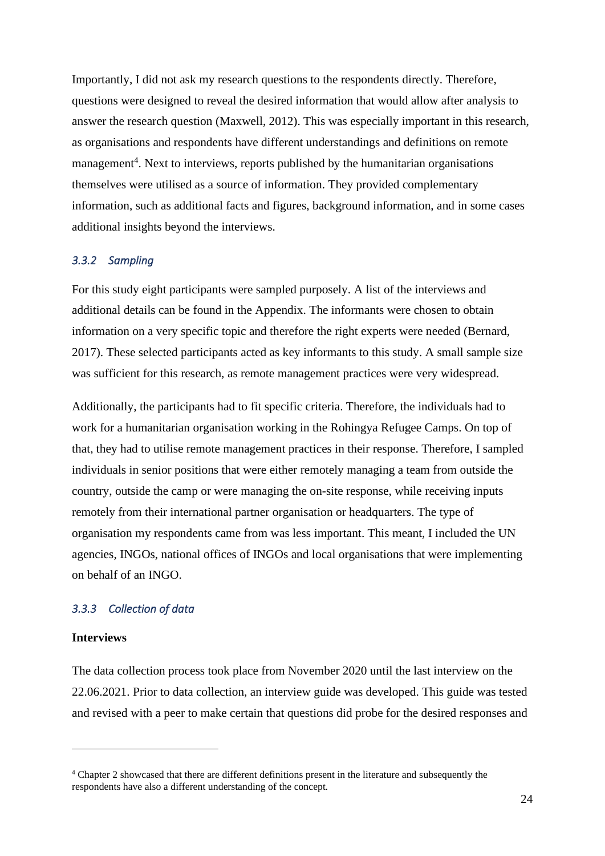Importantly, I did not ask my research questions to the respondents directly. Therefore, questions were designed to reveal the desired information that would allow after analysis to answer the research question (Maxwell, 2012). This was especially important in this research, as organisations and respondents have different understandings and definitions on remote management<sup>4</sup>. Next to interviews, reports published by the humanitarian organisations themselves were utilised as a source of information. They provided complementary information, such as additional facts and figures, background information, and in some cases additional insights beyond the interviews.

#### *3.3.2 Sampling*

For this study eight participants were sampled purposely. A list of the interviews and additional details can be found in the Appendix. The informants were chosen to obtain information on a very specific topic and therefore the right experts were needed (Bernard, 2017). These selected participants acted as key informants to this study. A small sample size was sufficient for this research, as remote management practices were very widespread.

Additionally, the participants had to fit specific criteria. Therefore, the individuals had to work for a humanitarian organisation working in the Rohingya Refugee Camps. On top of that, they had to utilise remote management practices in their response. Therefore, I sampled individuals in senior positions that were either remotely managing a team from outside the country, outside the camp or were managing the on-site response, while receiving inputs remotely from their international partner organisation or headquarters. The type of organisation my respondents came from was less important. This meant, I included the UN agencies, INGOs, national offices of INGOs and local organisations that were implementing on behalf of an INGO.

#### *3.3.3 Collection of data*

#### **Interviews**

The data collection process took place from November 2020 until the last interview on the 22.06.2021. Prior to data collection, an interview guide was developed. This guide was tested and revised with a peer to make certain that questions did probe for the desired responses and

<sup>4</sup> Chapter 2 showcased that there are different definitions present in the literature and subsequently the respondents have also a different understanding of the concept.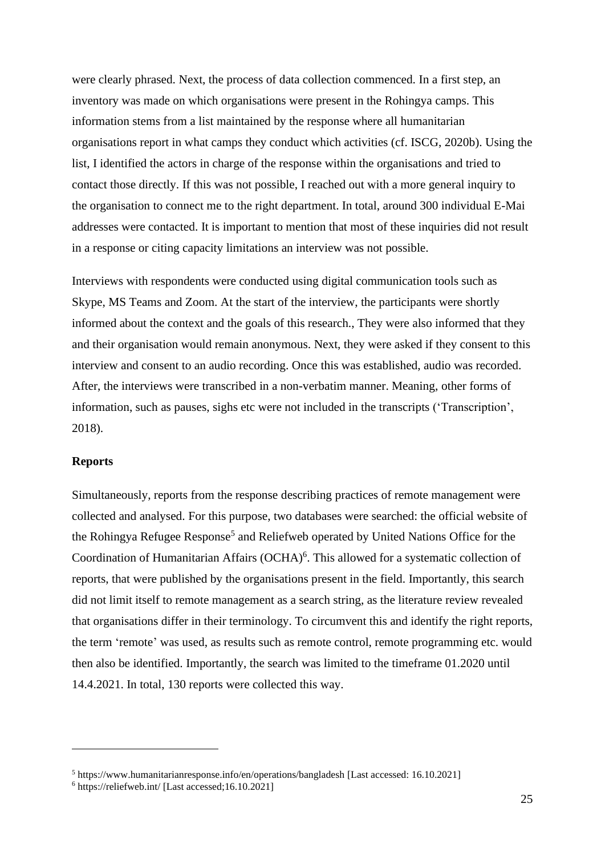were clearly phrased. Next, the process of data collection commenced. In a first step, an inventory was made on which organisations were present in the Rohingya camps. This information stems from a list maintained by the response where all humanitarian organisations report in what camps they conduct which activities (cf. ISCG, 2020b). Using the list, I identified the actors in charge of the response within the organisations and tried to contact those directly. If this was not possible, I reached out with a more general inquiry to the organisation to connect me to the right department. In total, around 300 individual E-Mai addresses were contacted. It is important to mention that most of these inquiries did not result in a response or citing capacity limitations an interview was not possible.

Interviews with respondents were conducted using digital communication tools such as Skype, MS Teams and Zoom. At the start of the interview, the participants were shortly informed about the context and the goals of this research., They were also informed that they and their organisation would remain anonymous. Next, they were asked if they consent to this interview and consent to an audio recording. Once this was established, audio was recorded. After, the interviews were transcribed in a non-verbatim manner. Meaning, other forms of information, such as pauses, sighs etc were not included in the transcripts ('Transcription', 2018).

#### **Reports**

Simultaneously, reports from the response describing practices of remote management were collected and analysed. For this purpose, two databases were searched: the official website of the Rohingya Refugee Response<sup>5</sup> and Reliefweb operated by United Nations Office for the Coordination of Humanitarian Affairs (OCHA) 6 . This allowed for a systematic collection of reports, that were published by the organisations present in the field. Importantly, this search did not limit itself to remote management as a search string, as the literature review revealed that organisations differ in their terminology. To circumvent this and identify the right reports, the term 'remote' was used, as results such as remote control, remote programming etc. would then also be identified. Importantly, the search was limited to the timeframe 01.2020 until 14.4.2021. In total, 130 reports were collected this way.

<sup>5</sup> https://www.humanitarianresponse.info/en/operations/bangladesh [Last accessed: 16.10.2021]

<sup>6</sup> https://reliefweb.int/ [Last accessed;16.10.2021]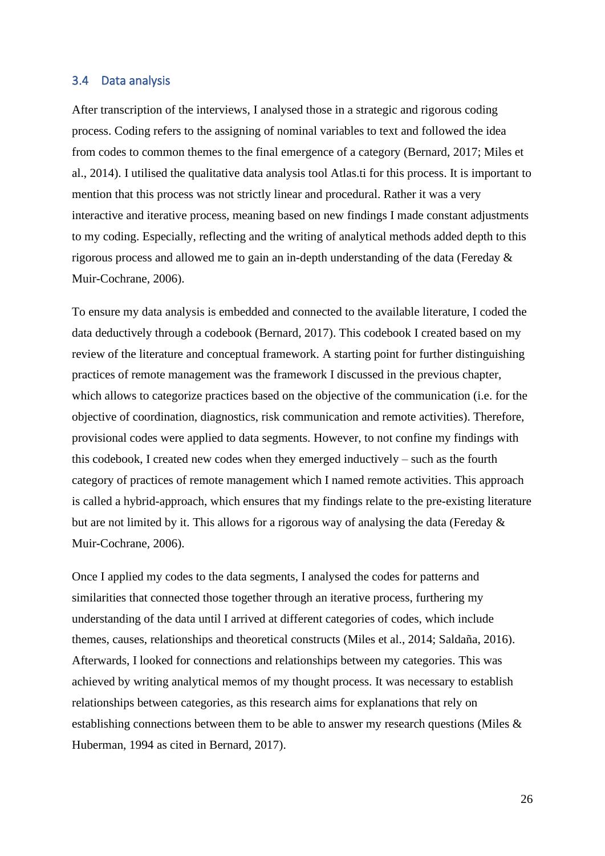#### 3.4 Data analysis

After transcription of the interviews, I analysed those in a strategic and rigorous coding process. Coding refers to the assigning of nominal variables to text and followed the idea from codes to common themes to the final emergence of a category (Bernard, 2017; Miles et al., 2014). I utilised the qualitative data analysis tool Atlas.ti for this process. It is important to mention that this process was not strictly linear and procedural. Rather it was a very interactive and iterative process, meaning based on new findings I made constant adjustments to my coding. Especially, reflecting and the writing of analytical methods added depth to this rigorous process and allowed me to gain an in-depth understanding of the data (Fereday & Muir-Cochrane, 2006).

To ensure my data analysis is embedded and connected to the available literature, I coded the data deductively through a codebook (Bernard, 2017). This codebook I created based on my review of the literature and conceptual framework. A starting point for further distinguishing practices of remote management was the framework I discussed in the previous chapter, which allows to categorize practices based on the objective of the communication (i.e. for the objective of coordination, diagnostics, risk communication and remote activities). Therefore, provisional codes were applied to data segments. However, to not confine my findings with this codebook, I created new codes when they emerged inductively – such as the fourth category of practices of remote management which I named remote activities. This approach is called a hybrid-approach, which ensures that my findings relate to the pre-existing literature but are not limited by it. This allows for a rigorous way of analysing the data (Fereday & Muir-Cochrane, 2006).

Once I applied my codes to the data segments, I analysed the codes for patterns and similarities that connected those together through an iterative process, furthering my understanding of the data until I arrived at different categories of codes, which include themes, causes, relationships and theoretical constructs (Miles et al., 2014; Saldaña, 2016). Afterwards, I looked for connections and relationships between my categories. This was achieved by writing analytical memos of my thought process. It was necessary to establish relationships between categories, as this research aims for explanations that rely on establishing connections between them to be able to answer my research questions (Miles & Huberman, 1994 as cited in Bernard, 2017).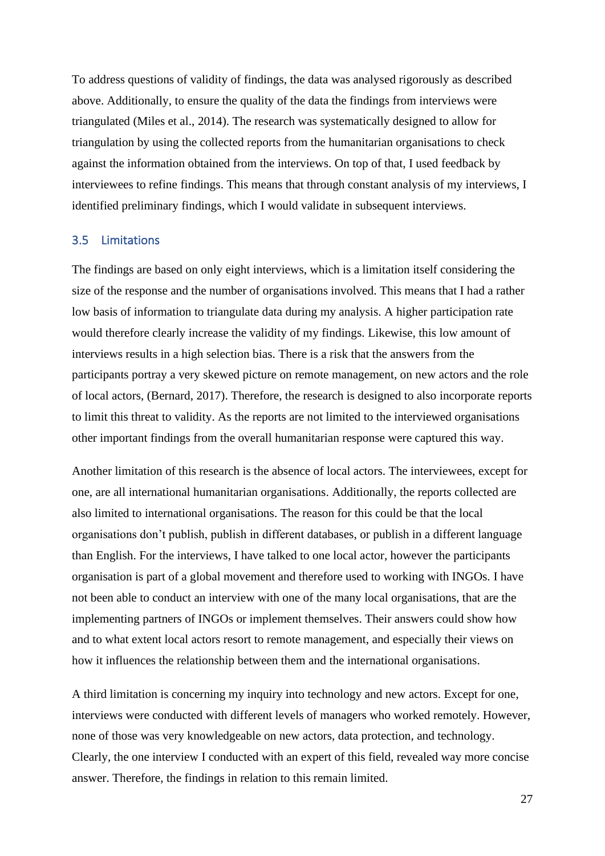To address questions of validity of findings, the data was analysed rigorously as described above. Additionally, to ensure the quality of the data the findings from interviews were triangulated (Miles et al., 2014). The research was systematically designed to allow for triangulation by using the collected reports from the humanitarian organisations to check against the information obtained from the interviews. On top of that, I used feedback by interviewees to refine findings. This means that through constant analysis of my interviews, I identified preliminary findings, which I would validate in subsequent interviews.

#### 3.5 Limitations

The findings are based on only eight interviews, which is a limitation itself considering the size of the response and the number of organisations involved. This means that I had a rather low basis of information to triangulate data during my analysis. A higher participation rate would therefore clearly increase the validity of my findings. Likewise, this low amount of interviews results in a high selection bias. There is a risk that the answers from the participants portray a very skewed picture on remote management, on new actors and the role of local actors, (Bernard, 2017). Therefore, the research is designed to also incorporate reports to limit this threat to validity. As the reports are not limited to the interviewed organisations other important findings from the overall humanitarian response were captured this way.

Another limitation of this research is the absence of local actors. The interviewees, except for one, are all international humanitarian organisations. Additionally, the reports collected are also limited to international organisations. The reason for this could be that the local organisations don't publish, publish in different databases, or publish in a different language than English. For the interviews, I have talked to one local actor, however the participants organisation is part of a global movement and therefore used to working with INGOs. I have not been able to conduct an interview with one of the many local organisations, that are the implementing partners of INGOs or implement themselves. Their answers could show how and to what extent local actors resort to remote management, and especially their views on how it influences the relationship between them and the international organisations.

A third limitation is concerning my inquiry into technology and new actors. Except for one, interviews were conducted with different levels of managers who worked remotely. However, none of those was very knowledgeable on new actors, data protection, and technology. Clearly, the one interview I conducted with an expert of this field, revealed way more concise answer. Therefore, the findings in relation to this remain limited.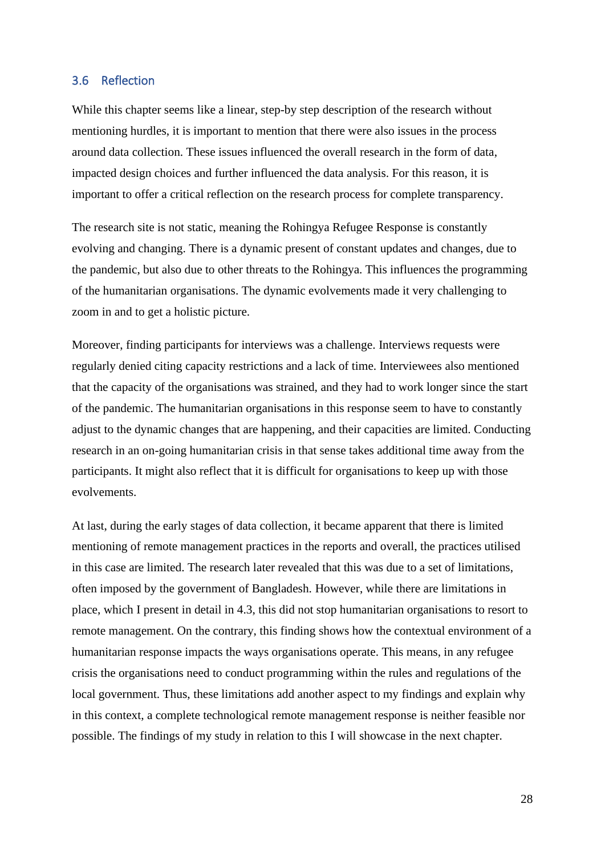#### 3.6 Reflection

While this chapter seems like a linear, step-by step description of the research without mentioning hurdles, it is important to mention that there were also issues in the process around data collection. These issues influenced the overall research in the form of data, impacted design choices and further influenced the data analysis. For this reason, it is important to offer a critical reflection on the research process for complete transparency.

The research site is not static, meaning the Rohingya Refugee Response is constantly evolving and changing. There is a dynamic present of constant updates and changes, due to the pandemic, but also due to other threats to the Rohingya. This influences the programming of the humanitarian organisations. The dynamic evolvements made it very challenging to zoom in and to get a holistic picture.

Moreover, finding participants for interviews was a challenge. Interviews requests were regularly denied citing capacity restrictions and a lack of time. Interviewees also mentioned that the capacity of the organisations was strained, and they had to work longer since the start of the pandemic. The humanitarian organisations in this response seem to have to constantly adjust to the dynamic changes that are happening, and their capacities are limited. Conducting research in an on-going humanitarian crisis in that sense takes additional time away from the participants. It might also reflect that it is difficult for organisations to keep up with those evolvements.

At last, during the early stages of data collection, it became apparent that there is limited mentioning of remote management practices in the reports and overall, the practices utilised in this case are limited. The research later revealed that this was due to a set of limitations, often imposed by the government of Bangladesh. However, while there are limitations in place, which I present in detail in 4.3, this did not stop humanitarian organisations to resort to remote management. On the contrary, this finding shows how the contextual environment of a humanitarian response impacts the ways organisations operate. This means, in any refugee crisis the organisations need to conduct programming within the rules and regulations of the local government. Thus, these limitations add another aspect to my findings and explain why in this context, a complete technological remote management response is neither feasible nor possible. The findings of my study in relation to this I will showcase in the next chapter.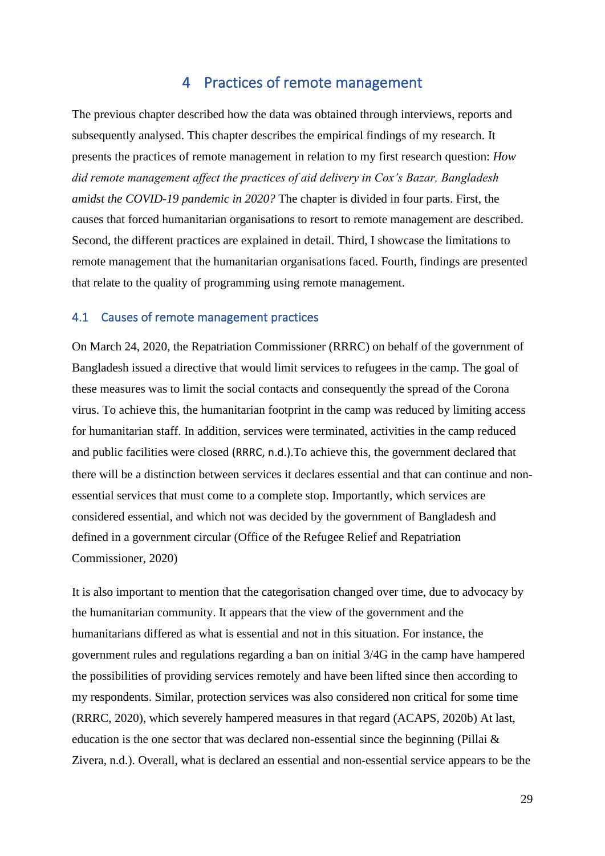### 4 Practices of remote management

The previous chapter described how the data was obtained through interviews, reports and subsequently analysed. This chapter describes the empirical findings of my research. It presents the practices of remote management in relation to my first research question: *How did remote management affect the practices of aid delivery in Cox's Bazar, Bangladesh amidst the COVID-19 pandemic in 2020?* The chapter is divided in four parts. First, the causes that forced humanitarian organisations to resort to remote management are described. Second, the different practices are explained in detail. Third, I showcase the limitations to remote management that the humanitarian organisations faced. Fourth, findings are presented that relate to the quality of programming using remote management.

#### 4.1 Causes of remote management practices

On March 24, 2020, the Repatriation Commissioner (RRRC) on behalf of the government of Bangladesh issued a directive that would limit services to refugees in the camp. The goal of these measures was to limit the social contacts and consequently the spread of the Corona virus. To achieve this, the humanitarian footprint in the camp was reduced by limiting access for humanitarian staff. In addition, services were terminated, activities in the camp reduced and public facilities were closed (RRRC, n.d.).To achieve this, the government declared that there will be a distinction between services it declares essential and that can continue and nonessential services that must come to a complete stop. Importantly, which services are considered essential, and which not was decided by the government of Bangladesh and defined in a government circular (Office of the Refugee Relief and Repatriation Commissioner, 2020)

It is also important to mention that the categorisation changed over time, due to advocacy by the humanitarian community. It appears that the view of the government and the humanitarians differed as what is essential and not in this situation. For instance, the government rules and regulations regarding a ban on initial 3/4G in the camp have hampered the possibilities of providing services remotely and have been lifted since then according to my respondents. Similar, protection services was also considered non critical for some time (RRRC, 2020), which severely hampered measures in that regard (ACAPS, 2020b) At last, education is the one sector that was declared non-essential since the beginning (Pillai  $\&$ Zivera, n.d.). Overall, what is declared an essential and non-essential service appears to be the

29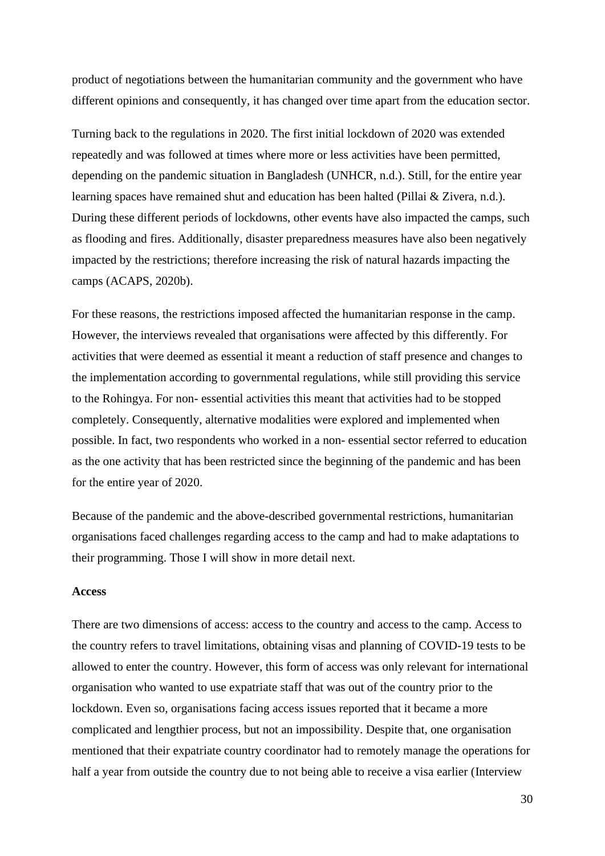product of negotiations between the humanitarian community and the government who have different opinions and consequently, it has changed over time apart from the education sector.

Turning back to the regulations in 2020. The first initial lockdown of 2020 was extended repeatedly and was followed at times where more or less activities have been permitted, depending on the pandemic situation in Bangladesh (UNHCR, n.d.). Still, for the entire year learning spaces have remained shut and education has been halted (Pillai & Zivera, n.d.). During these different periods of lockdowns, other events have also impacted the camps, such as flooding and fires. Additionally, disaster preparedness measures have also been negatively impacted by the restrictions; therefore increasing the risk of natural hazards impacting the camps (ACAPS, 2020b).

For these reasons, the restrictions imposed affected the humanitarian response in the camp. However, the interviews revealed that organisations were affected by this differently. For activities that were deemed as essential it meant a reduction of staff presence and changes to the implementation according to governmental regulations, while still providing this service to the Rohingya. For non- essential activities this meant that activities had to be stopped completely. Consequently, alternative modalities were explored and implemented when possible. In fact, two respondents who worked in a non- essential sector referred to education as the one activity that has been restricted since the beginning of the pandemic and has been for the entire year of 2020.

Because of the pandemic and the above-described governmental restrictions, humanitarian organisations faced challenges regarding access to the camp and had to make adaptations to their programming. Those I will show in more detail next.

#### **Access**

There are two dimensions of access: access to the country and access to the camp. Access to the country refers to travel limitations, obtaining visas and planning of COVID-19 tests to be allowed to enter the country. However, this form of access was only relevant for international organisation who wanted to use expatriate staff that was out of the country prior to the lockdown. Even so, organisations facing access issues reported that it became a more complicated and lengthier process, but not an impossibility. Despite that, one organisation mentioned that their expatriate country coordinator had to remotely manage the operations for half a year from outside the country due to not being able to receive a visa earlier (Interview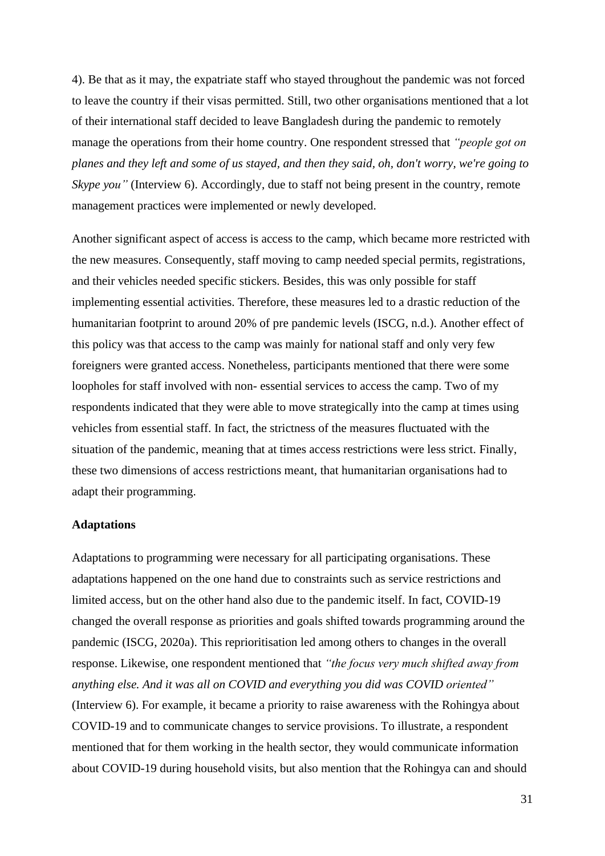4). Be that as it may, the expatriate staff who stayed throughout the pandemic was not forced to leave the country if their visas permitted. Still, two other organisations mentioned that a lot of their international staff decided to leave Bangladesh during the pandemic to remotely manage the operations from their home country. One respondent stressed that *"people got on planes and they left and some of us stayed, and then they said, oh, don't worry, we're going to Skype you*" (Interview 6). Accordingly, due to staff not being present in the country, remote management practices were implemented or newly developed.

Another significant aspect of access is access to the camp, which became more restricted with the new measures. Consequently, staff moving to camp needed special permits, registrations, and their vehicles needed specific stickers. Besides, this was only possible for staff implementing essential activities. Therefore, these measures led to a drastic reduction of the humanitarian footprint to around 20% of pre pandemic levels (ISCG, n.d.). Another effect of this policy was that access to the camp was mainly for national staff and only very few foreigners were granted access. Nonetheless, participants mentioned that there were some loopholes for staff involved with non- essential services to access the camp. Two of my respondents indicated that they were able to move strategically into the camp at times using vehicles from essential staff. In fact, the strictness of the measures fluctuated with the situation of the pandemic, meaning that at times access restrictions were less strict. Finally, these two dimensions of access restrictions meant, that humanitarian organisations had to adapt their programming.

#### **Adaptations**

Adaptations to programming were necessary for all participating organisations. These adaptations happened on the one hand due to constraints such as service restrictions and limited access, but on the other hand also due to the pandemic itself. In fact, COVID-19 changed the overall response as priorities and goals shifted towards programming around the pandemic (ISCG, 2020a). This reprioritisation led among others to changes in the overall response. Likewise, one respondent mentioned that *"the focus very much shifted away from anything else. And it was all on COVID and everything you did was COVID oriented"* (Interview 6). For example, it became a priority to raise awareness with the Rohingya about COVID-19 and to communicate changes to service provisions. To illustrate, a respondent mentioned that for them working in the health sector, they would communicate information about COVID-19 during household visits, but also mention that the Rohingya can and should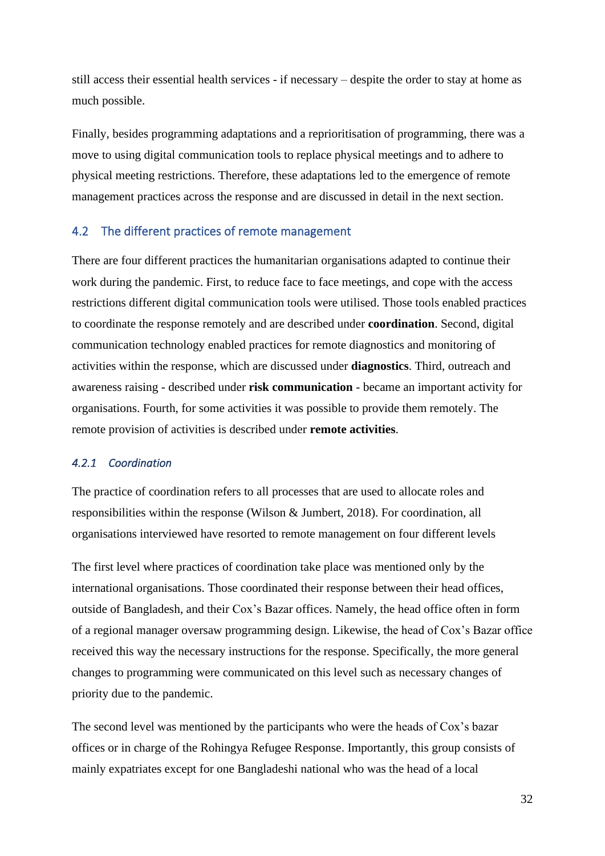still access their essential health services - if necessary – despite the order to stay at home as much possible.

Finally, besides programming adaptations and a reprioritisation of programming, there was a move to using digital communication tools to replace physical meetings and to adhere to physical meeting restrictions. Therefore, these adaptations led to the emergence of remote management practices across the response and are discussed in detail in the next section.

# 4.2 The different practices of remote management

There are four different practices the humanitarian organisations adapted to continue their work during the pandemic. First, to reduce face to face meetings, and cope with the access restrictions different digital communication tools were utilised. Those tools enabled practices to coordinate the response remotely and are described under **coordination**. Second, digital communication technology enabled practices for remote diagnostics and monitoring of activities within the response, which are discussed under **diagnostics**. Third, outreach and awareness raising - described under **risk communication** - became an important activity for organisations. Fourth, for some activities it was possible to provide them remotely. The remote provision of activities is described under **remote activities**.

# *4.2.1 Coordination*

The practice of coordination refers to all processes that are used to allocate roles and responsibilities within the response (Wilson & Jumbert, 2018). For coordination, all organisations interviewed have resorted to remote management on four different levels

The first level where practices of coordination take place was mentioned only by the international organisations. Those coordinated their response between their head offices, outside of Bangladesh, and their Cox's Bazar offices. Namely, the head office often in form of a regional manager oversaw programming design. Likewise, the head of Cox's Bazar office received this way the necessary instructions for the response. Specifically, the more general changes to programming were communicated on this level such as necessary changes of priority due to the pandemic.

The second level was mentioned by the participants who were the heads of Cox's bazar offices or in charge of the Rohingya Refugee Response. Importantly, this group consists of mainly expatriates except for one Bangladeshi national who was the head of a local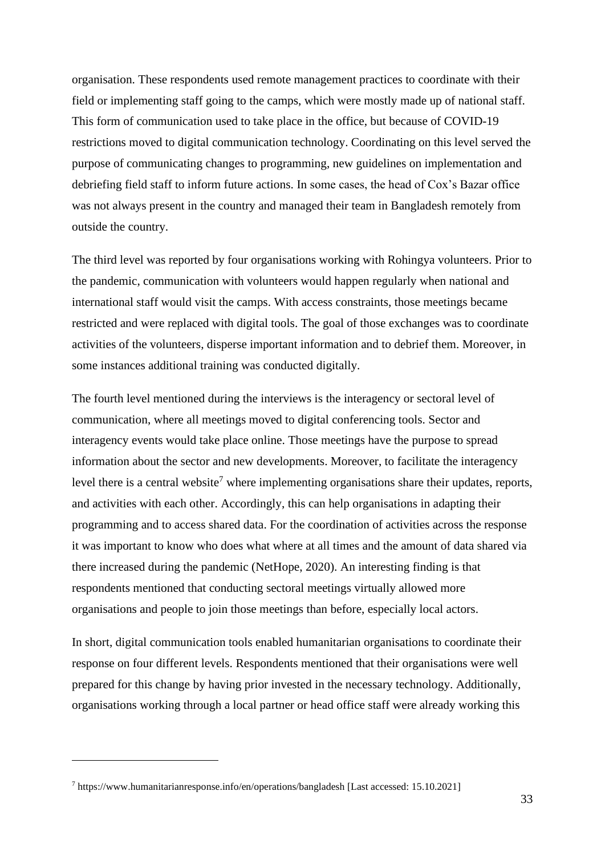organisation. These respondents used remote management practices to coordinate with their field or implementing staff going to the camps, which were mostly made up of national staff. This form of communication used to take place in the office, but because of COVID-19 restrictions moved to digital communication technology. Coordinating on this level served the purpose of communicating changes to programming, new guidelines on implementation and debriefing field staff to inform future actions. In some cases, the head of Cox's Bazar office was not always present in the country and managed their team in Bangladesh remotely from outside the country.

The third level was reported by four organisations working with Rohingya volunteers. Prior to the pandemic, communication with volunteers would happen regularly when national and international staff would visit the camps. With access constraints, those meetings became restricted and were replaced with digital tools. The goal of those exchanges was to coordinate activities of the volunteers, disperse important information and to debrief them. Moreover, in some instances additional training was conducted digitally.

The fourth level mentioned during the interviews is the interagency or sectoral level of communication, where all meetings moved to digital conferencing tools. Sector and interagency events would take place online. Those meetings have the purpose to spread information about the sector and new developments. Moreover, to facilitate the interagency level there is a central website<sup>7</sup> where implementing organisations share their updates, reports, and activities with each other. Accordingly, this can help organisations in adapting their programming and to access shared data. For the coordination of activities across the response it was important to know who does what where at all times and the amount of data shared via there increased during the pandemic (NetHope, 2020). An interesting finding is that respondents mentioned that conducting sectoral meetings virtually allowed more organisations and people to join those meetings than before, especially local actors.

In short, digital communication tools enabled humanitarian organisations to coordinate their response on four different levels. Respondents mentioned that their organisations were well prepared for this change by having prior invested in the necessary technology. Additionally, organisations working through a local partner or head office staff were already working this

<sup>7</sup> https://www.humanitarianresponse.info/en/operations/bangladesh [Last accessed: 15.10.2021]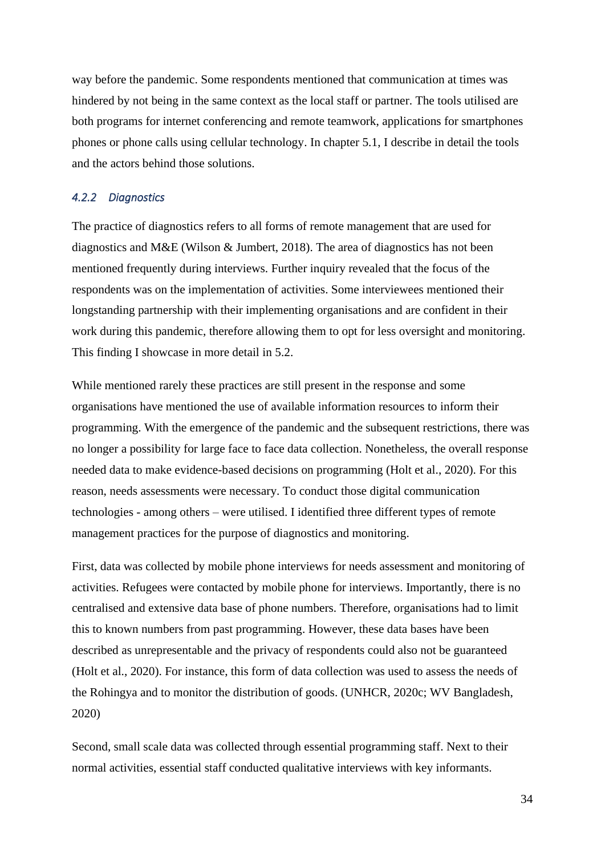way before the pandemic. Some respondents mentioned that communication at times was hindered by not being in the same context as the local staff or partner. The tools utilised are both programs for internet conferencing and remote teamwork, applications for smartphones phones or phone calls using cellular technology. In chapter 5.1, I describe in detail the tools and the actors behind those solutions.

# *4.2.2 Diagnostics*

The practice of diagnostics refers to all forms of remote management that are used for diagnostics and M&E (Wilson & Jumbert, 2018). The area of diagnostics has not been mentioned frequently during interviews. Further inquiry revealed that the focus of the respondents was on the implementation of activities. Some interviewees mentioned their longstanding partnership with their implementing organisations and are confident in their work during this pandemic, therefore allowing them to opt for less oversight and monitoring. This finding I showcase in more detail in 5.2.

While mentioned rarely these practices are still present in the response and some organisations have mentioned the use of available information resources to inform their programming. With the emergence of the pandemic and the subsequent restrictions, there was no longer a possibility for large face to face data collection. Nonetheless, the overall response needed data to make evidence-based decisions on programming (Holt et al., 2020). For this reason, needs assessments were necessary. To conduct those digital communication technologies - among others – were utilised. I identified three different types of remote management practices for the purpose of diagnostics and monitoring.

First, data was collected by mobile phone interviews for needs assessment and monitoring of activities. Refugees were contacted by mobile phone for interviews. Importantly, there is no centralised and extensive data base of phone numbers. Therefore, organisations had to limit this to known numbers from past programming. However, these data bases have been described as unrepresentable and the privacy of respondents could also not be guaranteed (Holt et al., 2020). For instance, this form of data collection was used to assess the needs of the Rohingya and to monitor the distribution of goods. (UNHCR, 2020c; WV Bangladesh, 2020)

Second, small scale data was collected through essential programming staff. Next to their normal activities, essential staff conducted qualitative interviews with key informants.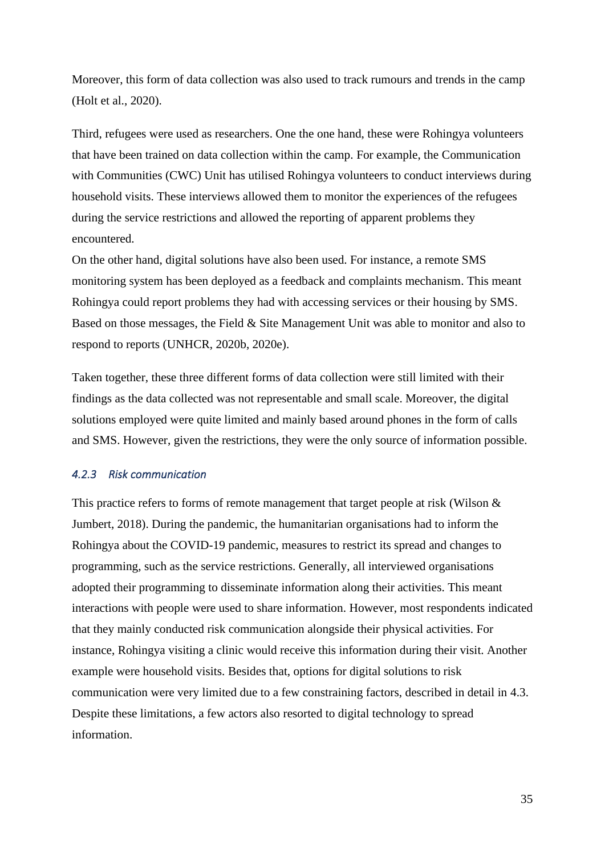Moreover, this form of data collection was also used to track rumours and trends in the camp (Holt et al., 2020).

Third, refugees were used as researchers. One the one hand, these were Rohingya volunteers that have been trained on data collection within the camp. For example, the Communication with Communities (CWC) Unit has utilised Rohingya volunteers to conduct interviews during household visits. These interviews allowed them to monitor the experiences of the refugees during the service restrictions and allowed the reporting of apparent problems they encountered.

On the other hand, digital solutions have also been used. For instance, a remote SMS monitoring system has been deployed as a feedback and complaints mechanism. This meant Rohingya could report problems they had with accessing services or their housing by SMS. Based on those messages, the Field & Site Management Unit was able to monitor and also to respond to reports (UNHCR, 2020b, 2020e).

Taken together, these three different forms of data collection were still limited with their findings as the data collected was not representable and small scale. Moreover, the digital solutions employed were quite limited and mainly based around phones in the form of calls and SMS. However, given the restrictions, they were the only source of information possible.

# *4.2.3 Risk communication*

This practice refers to forms of remote management that target people at risk (Wilson & Jumbert, 2018). During the pandemic, the humanitarian organisations had to inform the Rohingya about the COVID-19 pandemic, measures to restrict its spread and changes to programming, such as the service restrictions. Generally, all interviewed organisations adopted their programming to disseminate information along their activities. This meant interactions with people were used to share information. However, most respondents indicated that they mainly conducted risk communication alongside their physical activities. For instance, Rohingya visiting a clinic would receive this information during their visit. Another example were household visits. Besides that, options for digital solutions to risk communication were very limited due to a few constraining factors, described in detail in 4.3. Despite these limitations, a few actors also resorted to digital technology to spread information.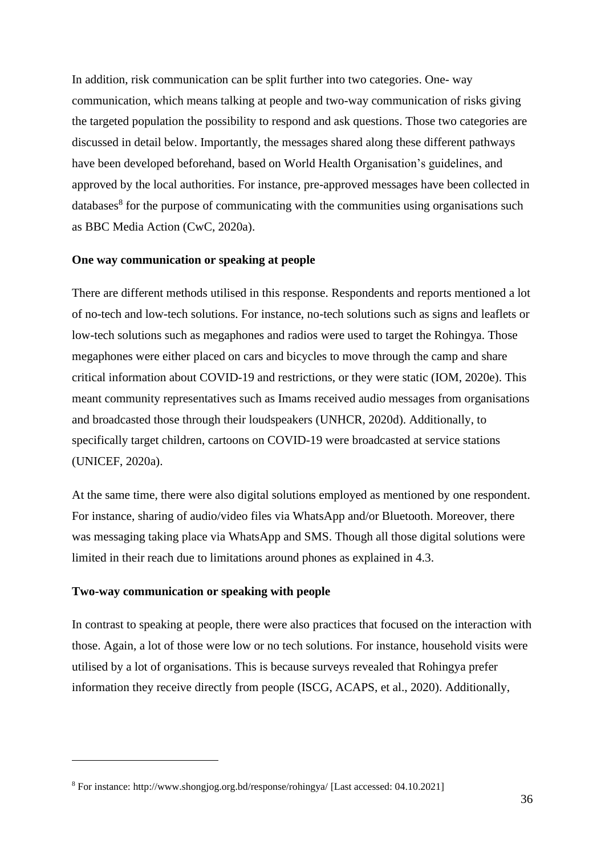In addition, risk communication can be split further into two categories. One- way communication, which means talking at people and two-way communication of risks giving the targeted population the possibility to respond and ask questions. Those two categories are discussed in detail below. Importantly, the messages shared along these different pathways have been developed beforehand, based on World Health Organisation's guidelines, and approved by the local authorities. For instance, pre-approved messages have been collected in databases<sup>8</sup> for the purpose of communicating with the communities using organisations such as BBC Media Action (CwC, 2020a).

#### **One way communication or speaking at people**

There are different methods utilised in this response. Respondents and reports mentioned a lot of no-tech and low-tech solutions. For instance, no-tech solutions such as signs and leaflets or low-tech solutions such as megaphones and radios were used to target the Rohingya. Those megaphones were either placed on cars and bicycles to move through the camp and share critical information about COVID-19 and restrictions, or they were static (IOM, 2020e). This meant community representatives such as Imams received audio messages from organisations and broadcasted those through their loudspeakers (UNHCR, 2020d). Additionally, to specifically target children, cartoons on COVID-19 were broadcasted at service stations (UNICEF, 2020a).

At the same time, there were also digital solutions employed as mentioned by one respondent. For instance, sharing of audio/video files via WhatsApp and/or Bluetooth. Moreover, there was messaging taking place via WhatsApp and SMS. Though all those digital solutions were limited in their reach due to limitations around phones as explained in 4.3.

#### **Two-way communication or speaking with people**

In contrast to speaking at people, there were also practices that focused on the interaction with those. Again, a lot of those were low or no tech solutions. For instance, household visits were utilised by a lot of organisations. This is because surveys revealed that Rohingya prefer information they receive directly from people (ISCG, ACAPS, et al., 2020). Additionally,

<sup>8</sup> For instance: http://www.shongjog.org.bd/response/rohingya/ [Last accessed: 04.10.2021]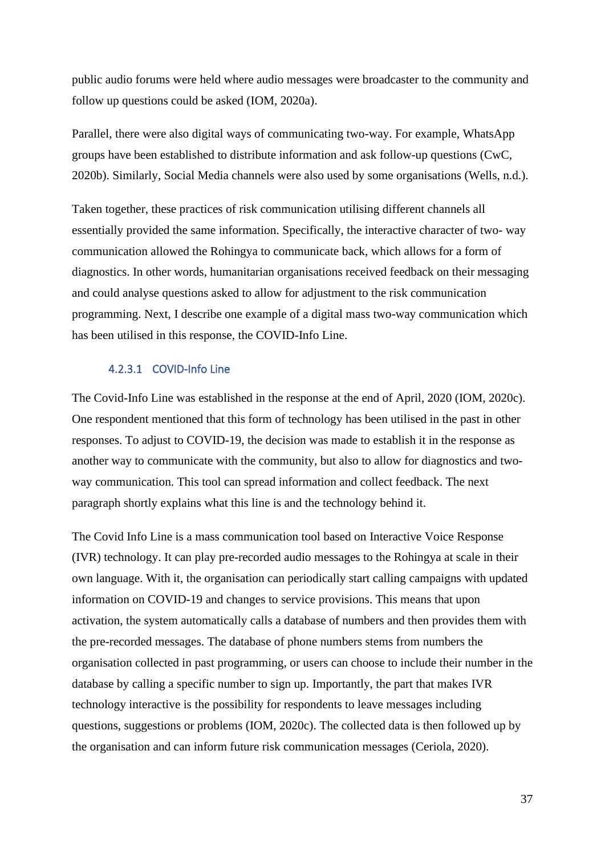public audio forums were held where audio messages were broadcaster to the community and follow up questions could be asked (IOM, 2020a).

Parallel, there were also digital ways of communicating two-way. For example, WhatsApp groups have been established to distribute information and ask follow-up questions (CwC, 2020b). Similarly, Social Media channels were also used by some organisations (Wells, n.d.).

Taken together, these practices of risk communication utilising different channels all essentially provided the same information. Specifically, the interactive character of two- way communication allowed the Rohingya to communicate back, which allows for a form of diagnostics. In other words, humanitarian organisations received feedback on their messaging and could analyse questions asked to allow for adjustment to the risk communication programming. Next, I describe one example of a digital mass two-way communication which has been utilised in this response, the COVID-Info Line.

## 4.2.3.1 COVID-Info Line

The Covid-Info Line was established in the response at the end of April, 2020 (IOM, 2020c). One respondent mentioned that this form of technology has been utilised in the past in other responses. To adjust to COVID-19, the decision was made to establish it in the response as another way to communicate with the community, but also to allow for diagnostics and twoway communication. This tool can spread information and collect feedback. The next paragraph shortly explains what this line is and the technology behind it.

The Covid Info Line is a mass communication tool based on Interactive Voice Response (IVR) technology. It can play pre-recorded audio messages to the Rohingya at scale in their own language. With it, the organisation can periodically start calling campaigns with updated information on COVID-19 and changes to service provisions. This means that upon activation, the system automatically calls a database of numbers and then provides them with the pre-recorded messages. The database of phone numbers stems from numbers the organisation collected in past programming, or users can choose to include their number in the database by calling a specific number to sign up. Importantly, the part that makes IVR technology interactive is the possibility for respondents to leave messages including questions, suggestions or problems (IOM, 2020c). The collected data is then followed up by the organisation and can inform future risk communication messages (Ceriola, 2020).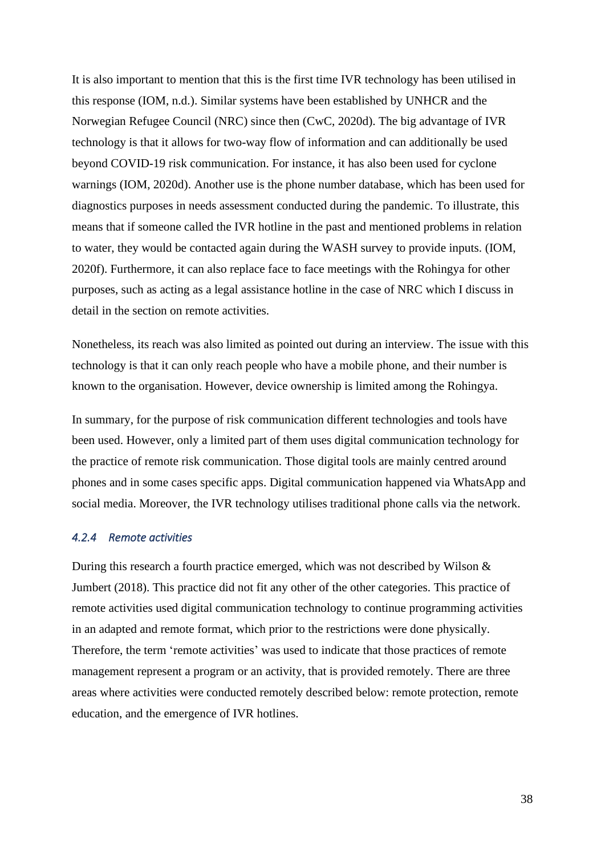It is also important to mention that this is the first time IVR technology has been utilised in this response (IOM, n.d.). Similar systems have been established by UNHCR and the Norwegian Refugee Council (NRC) since then (CwC, 2020d). The big advantage of IVR technology is that it allows for two-way flow of information and can additionally be used beyond COVID-19 risk communication. For instance, it has also been used for cyclone warnings (IOM, 2020d). Another use is the phone number database, which has been used for diagnostics purposes in needs assessment conducted during the pandemic. To illustrate, this means that if someone called the IVR hotline in the past and mentioned problems in relation to water, they would be contacted again during the WASH survey to provide inputs. (IOM, 2020f). Furthermore, it can also replace face to face meetings with the Rohingya for other purposes, such as acting as a legal assistance hotline in the case of NRC which I discuss in detail in the section on remote activities.

Nonetheless, its reach was also limited as pointed out during an interview. The issue with this technology is that it can only reach people who have a mobile phone, and their number is known to the organisation. However, device ownership is limited among the Rohingya.

In summary, for the purpose of risk communication different technologies and tools have been used. However, only a limited part of them uses digital communication technology for the practice of remote risk communication. Those digital tools are mainly centred around phones and in some cases specific apps. Digital communication happened via WhatsApp and social media. Moreover, the IVR technology utilises traditional phone calls via the network.

#### *4.2.4 Remote activities*

During this research a fourth practice emerged, which was not described by Wilson & Jumbert (2018). This practice did not fit any other of the other categories. This practice of remote activities used digital communication technology to continue programming activities in an adapted and remote format, which prior to the restrictions were done physically. Therefore, the term 'remote activities' was used to indicate that those practices of remote management represent a program or an activity, that is provided remotely. There are three areas where activities were conducted remotely described below: remote protection, remote education, and the emergence of IVR hotlines.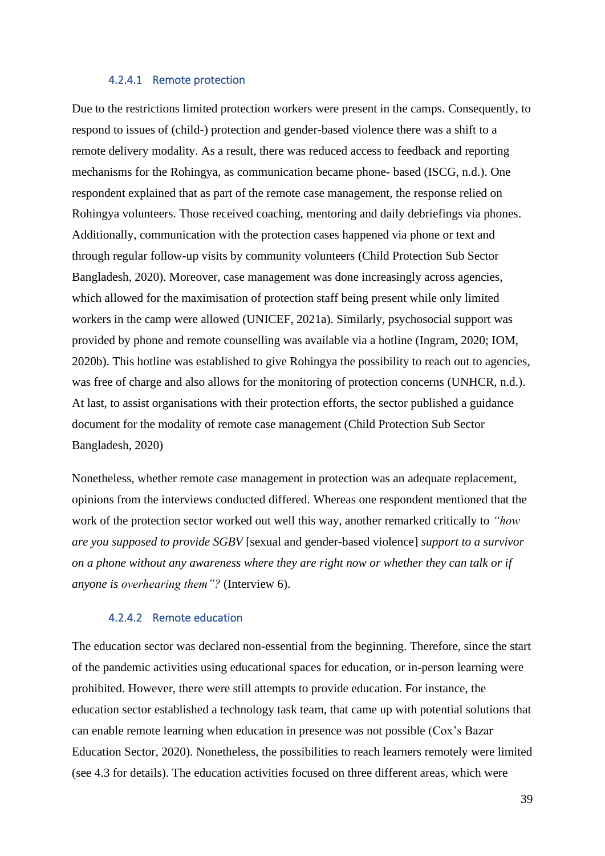#### 4.2.4.1 Remote protection

Due to the restrictions limited protection workers were present in the camps. Consequently, to respond to issues of (child-) protection and gender-based violence there was a shift to a remote delivery modality. As a result, there was reduced access to feedback and reporting mechanisms for the Rohingya, as communication became phone- based (ISCG, n.d.). One respondent explained that as part of the remote case management, the response relied on Rohingya volunteers. Those received coaching, mentoring and daily debriefings via phones. Additionally, communication with the protection cases happened via phone or text and through regular follow-up visits by community volunteers (Child Protection Sub Sector Bangladesh, 2020). Moreover, case management was done increasingly across agencies, which allowed for the maximisation of protection staff being present while only limited workers in the camp were allowed (UNICEF, 2021a). Similarly, psychosocial support was provided by phone and remote counselling was available via a hotline (Ingram, 2020; IOM, 2020b). This hotline was established to give Rohingya the possibility to reach out to agencies, was free of charge and also allows for the monitoring of protection concerns (UNHCR, n.d.). At last, to assist organisations with their protection efforts, the sector published a guidance document for the modality of remote case management (Child Protection Sub Sector Bangladesh, 2020)

Nonetheless, whether remote case management in protection was an adequate replacement, opinions from the interviews conducted differed. Whereas one respondent mentioned that the work of the protection sector worked out well this way, another remarked critically to *"how are you supposed to provide SGBV* [sexual and gender-based violence] *support to a survivor on a phone without any awareness where they are right now or whether they can talk or if anyone is overhearing them"?* (Interview 6).

# 4.2.4.2 Remote education

The education sector was declared non-essential from the beginning. Therefore, since the start of the pandemic activities using educational spaces for education, or in-person learning were prohibited. However, there were still attempts to provide education. For instance, the education sector established a technology task team, that came up with potential solutions that can enable remote learning when education in presence was not possible (Cox's Bazar Education Sector, 2020). Nonetheless, the possibilities to reach learners remotely were limited (see 4.3 for details). The education activities focused on three different areas, which were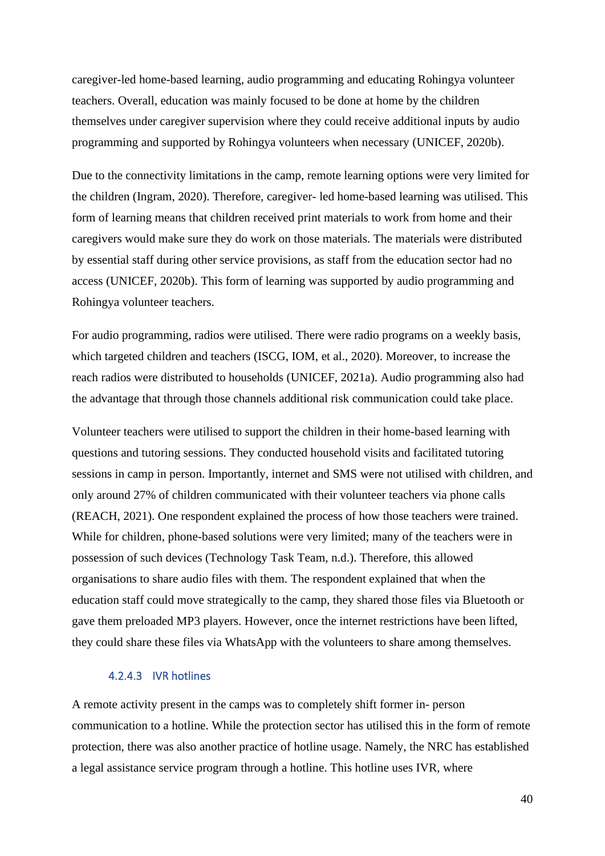caregiver-led home-based learning, audio programming and educating Rohingya volunteer teachers. Overall, education was mainly focused to be done at home by the children themselves under caregiver supervision where they could receive additional inputs by audio programming and supported by Rohingya volunteers when necessary (UNICEF, 2020b).

Due to the connectivity limitations in the camp, remote learning options were very limited for the children (Ingram, 2020). Therefore, caregiver- led home-based learning was utilised. This form of learning means that children received print materials to work from home and their caregivers would make sure they do work on those materials. The materials were distributed by essential staff during other service provisions, as staff from the education sector had no access (UNICEF, 2020b). This form of learning was supported by audio programming and Rohingya volunteer teachers.

For audio programming, radios were utilised. There were radio programs on a weekly basis, which targeted children and teachers (ISCG, IOM, et al., 2020). Moreover, to increase the reach radios were distributed to households (UNICEF, 2021a). Audio programming also had the advantage that through those channels additional risk communication could take place.

Volunteer teachers were utilised to support the children in their home-based learning with questions and tutoring sessions. They conducted household visits and facilitated tutoring sessions in camp in person. Importantly, internet and SMS were not utilised with children, and only around 27% of children communicated with their volunteer teachers via phone calls (REACH, 2021). One respondent explained the process of how those teachers were trained. While for children, phone-based solutions were very limited; many of the teachers were in possession of such devices (Technology Task Team, n.d.). Therefore, this allowed organisations to share audio files with them. The respondent explained that when the education staff could move strategically to the camp, they shared those files via Bluetooth or gave them preloaded MP3 players. However, once the internet restrictions have been lifted, they could share these files via WhatsApp with the volunteers to share among themselves.

# 4.2.4.3 IVR hotlines

A remote activity present in the camps was to completely shift former in- person communication to a hotline. While the protection sector has utilised this in the form of remote protection, there was also another practice of hotline usage. Namely, the NRC has established a legal assistance service program through a hotline. This hotline uses IVR, where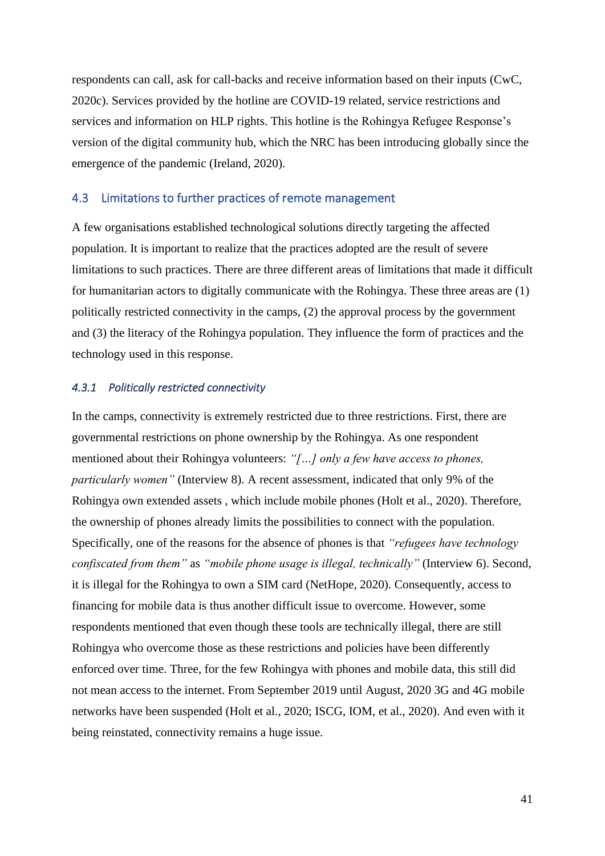respondents can call, ask for call-backs and receive information based on their inputs (CwC, 2020c). Services provided by the hotline are COVID-19 related, service restrictions and services and information on HLP rights. This hotline is the Rohingya Refugee Response's version of the digital community hub, which the NRC has been introducing globally since the emergence of the pandemic (Ireland, 2020).

# 4.3 Limitations to further practices of remote management

A few organisations established technological solutions directly targeting the affected population. It is important to realize that the practices adopted are the result of severe limitations to such practices. There are three different areas of limitations that made it difficult for humanitarian actors to digitally communicate with the Rohingya. These three areas are (1) politically restricted connectivity in the camps, (2) the approval process by the government and (3) the literacy of the Rohingya population. They influence the form of practices and the technology used in this response.

#### *4.3.1 Politically restricted connectivity*

In the camps, connectivity is extremely restricted due to three restrictions. First, there are governmental restrictions on phone ownership by the Rohingya. As one respondent mentioned about their Rohingya volunteers: *"[…] only a few have access to phones, particularly women"* (Interview 8). A recent assessment, indicated that only 9% of the Rohingya own extended assets , which include mobile phones (Holt et al., 2020). Therefore, the ownership of phones already limits the possibilities to connect with the population. Specifically, one of the reasons for the absence of phones is that *"refugees have technology confiscated from them"* as *"mobile phone usage is illegal, technically"* (Interview 6). Second, it is illegal for the Rohingya to own a SIM card (NetHope, 2020). Consequently, access to financing for mobile data is thus another difficult issue to overcome. However, some respondents mentioned that even though these tools are technically illegal, there are still Rohingya who overcome those as these restrictions and policies have been differently enforced over time. Three, for the few Rohingya with phones and mobile data, this still did not mean access to the internet. From September 2019 until August, 2020 3G and 4G mobile networks have been suspended (Holt et al., 2020; ISCG, IOM, et al., 2020). And even with it being reinstated, connectivity remains a huge issue.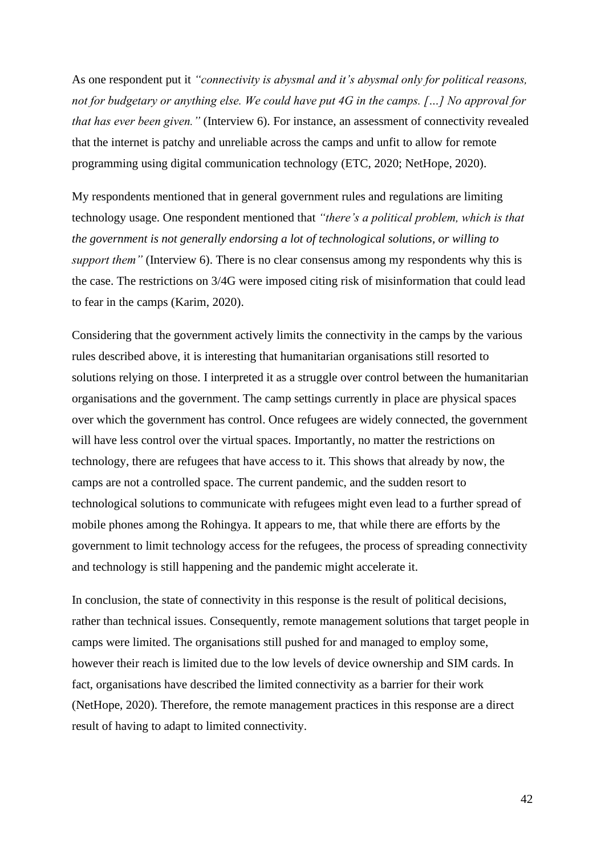As one respondent put it *"connectivity is abysmal and it's abysmal only for political reasons, not for budgetary or anything else. We could have put 4G in the camps. […] No approval for that has ever been given."* (Interview 6). For instance, an assessment of connectivity revealed that the internet is patchy and unreliable across the camps and unfit to allow for remote programming using digital communication technology (ETC, 2020; NetHope, 2020).

My respondents mentioned that in general government rules and regulations are limiting technology usage. One respondent mentioned that *"there's a political problem, which is that the government is not generally endorsing a lot of technological solutions, or willing to support them"* (Interview 6). There is no clear consensus among my respondents why this is the case. The restrictions on 3/4G were imposed citing risk of misinformation that could lead to fear in the camps (Karim, 2020).

Considering that the government actively limits the connectivity in the camps by the various rules described above, it is interesting that humanitarian organisations still resorted to solutions relying on those. I interpreted it as a struggle over control between the humanitarian organisations and the government. The camp settings currently in place are physical spaces over which the government has control. Once refugees are widely connected, the government will have less control over the virtual spaces. Importantly, no matter the restrictions on technology, there are refugees that have access to it. This shows that already by now, the camps are not a controlled space. The current pandemic, and the sudden resort to technological solutions to communicate with refugees might even lead to a further spread of mobile phones among the Rohingya. It appears to me, that while there are efforts by the government to limit technology access for the refugees, the process of spreading connectivity and technology is still happening and the pandemic might accelerate it.

In conclusion, the state of connectivity in this response is the result of political decisions, rather than technical issues. Consequently, remote management solutions that target people in camps were limited. The organisations still pushed for and managed to employ some, however their reach is limited due to the low levels of device ownership and SIM cards. In fact, organisations have described the limited connectivity as a barrier for their work (NetHope, 2020). Therefore, the remote management practices in this response are a direct result of having to adapt to limited connectivity.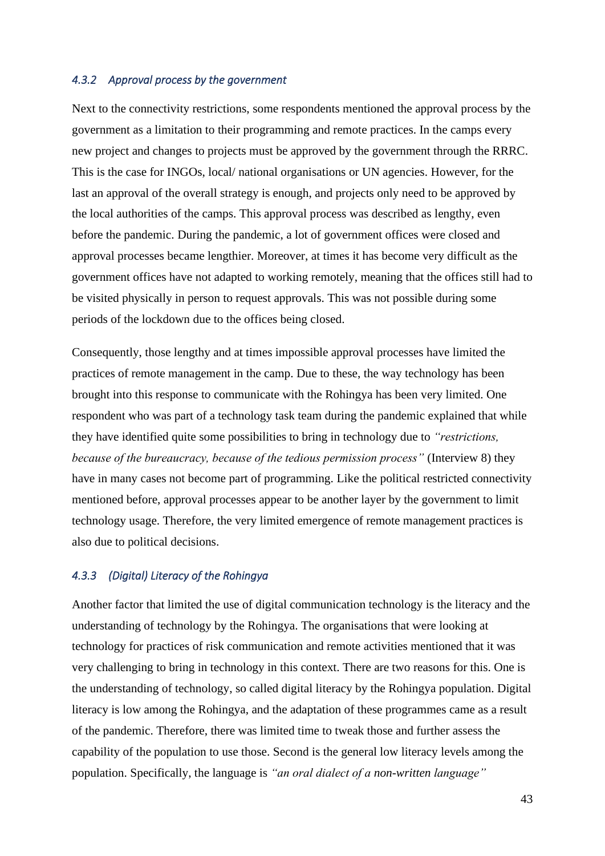#### *4.3.2 Approval process by the government*

Next to the connectivity restrictions, some respondents mentioned the approval process by the government as a limitation to their programming and remote practices. In the camps every new project and changes to projects must be approved by the government through the RRRC. This is the case for INGOs, local/ national organisations or UN agencies. However, for the last an approval of the overall strategy is enough, and projects only need to be approved by the local authorities of the camps. This approval process was described as lengthy, even before the pandemic. During the pandemic, a lot of government offices were closed and approval processes became lengthier. Moreover, at times it has become very difficult as the government offices have not adapted to working remotely, meaning that the offices still had to be visited physically in person to request approvals. This was not possible during some periods of the lockdown due to the offices being closed.

Consequently, those lengthy and at times impossible approval processes have limited the practices of remote management in the camp. Due to these, the way technology has been brought into this response to communicate with the Rohingya has been very limited. One respondent who was part of a technology task team during the pandemic explained that while they have identified quite some possibilities to bring in technology due to *"restrictions, because of the bureaucracy, because of the tedious permission process"* (Interview 8) they have in many cases not become part of programming. Like the political restricted connectivity mentioned before, approval processes appear to be another layer by the government to limit technology usage. Therefore, the very limited emergence of remote management practices is also due to political decisions.

# *4.3.3 (Digital) Literacy of the Rohingya*

Another factor that limited the use of digital communication technology is the literacy and the understanding of technology by the Rohingya. The organisations that were looking at technology for practices of risk communication and remote activities mentioned that it was very challenging to bring in technology in this context. There are two reasons for this. One is the understanding of technology, so called digital literacy by the Rohingya population. Digital literacy is low among the Rohingya, and the adaptation of these programmes came as a result of the pandemic. Therefore, there was limited time to tweak those and further assess the capability of the population to use those. Second is the general low literacy levels among the population. Specifically, the language is *"an oral dialect of a non-written language"*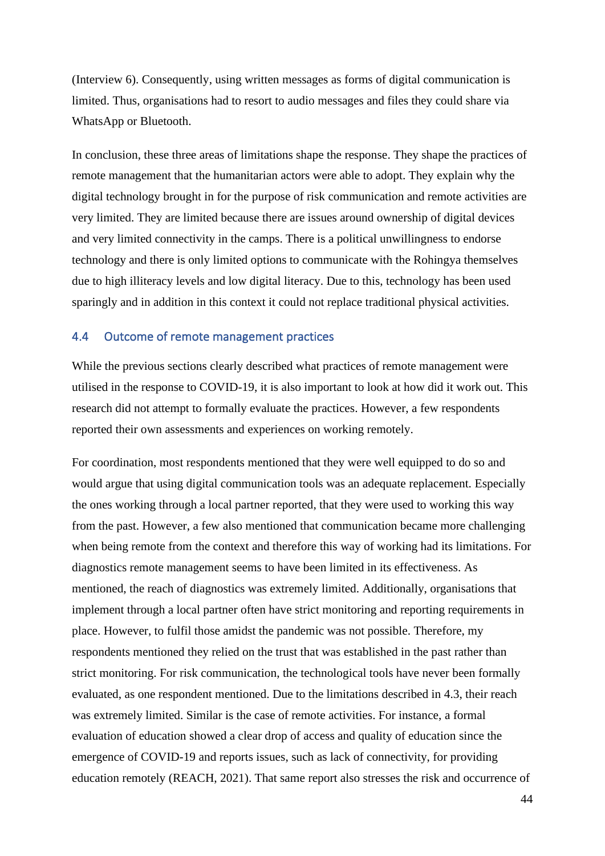(Interview 6). Consequently, using written messages as forms of digital communication is limited. Thus, organisations had to resort to audio messages and files they could share via WhatsApp or Bluetooth.

In conclusion, these three areas of limitations shape the response. They shape the practices of remote management that the humanitarian actors were able to adopt. They explain why the digital technology brought in for the purpose of risk communication and remote activities are very limited. They are limited because there are issues around ownership of digital devices and very limited connectivity in the camps. There is a political unwillingness to endorse technology and there is only limited options to communicate with the Rohingya themselves due to high illiteracy levels and low digital literacy. Due to this, technology has been used sparingly and in addition in this context it could not replace traditional physical activities.

# 4.4 Outcome of remote management practices

While the previous sections clearly described what practices of remote management were utilised in the response to COVID-19, it is also important to look at how did it work out. This research did not attempt to formally evaluate the practices. However, a few respondents reported their own assessments and experiences on working remotely.

For coordination, most respondents mentioned that they were well equipped to do so and would argue that using digital communication tools was an adequate replacement. Especially the ones working through a local partner reported, that they were used to working this way from the past. However, a few also mentioned that communication became more challenging when being remote from the context and therefore this way of working had its limitations. For diagnostics remote management seems to have been limited in its effectiveness. As mentioned, the reach of diagnostics was extremely limited. Additionally, organisations that implement through a local partner often have strict monitoring and reporting requirements in place. However, to fulfil those amidst the pandemic was not possible. Therefore, my respondents mentioned they relied on the trust that was established in the past rather than strict monitoring. For risk communication, the technological tools have never been formally evaluated, as one respondent mentioned. Due to the limitations described in 4.3, their reach was extremely limited. Similar is the case of remote activities. For instance, a formal evaluation of education showed a clear drop of access and quality of education since the emergence of COVID-19 and reports issues, such as lack of connectivity, for providing education remotely (REACH, 2021). That same report also stresses the risk and occurrence of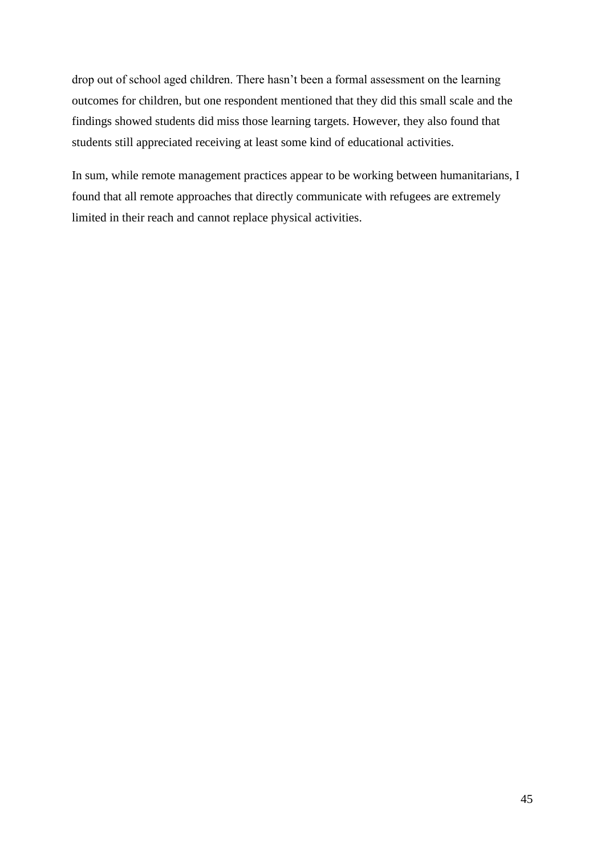drop out of school aged children. There hasn't been a formal assessment on the learning outcomes for children, but one respondent mentioned that they did this small scale and the findings showed students did miss those learning targets. However, they also found that students still appreciated receiving at least some kind of educational activities.

In sum, while remote management practices appear to be working between humanitarians, I found that all remote approaches that directly communicate with refugees are extremely limited in their reach and cannot replace physical activities.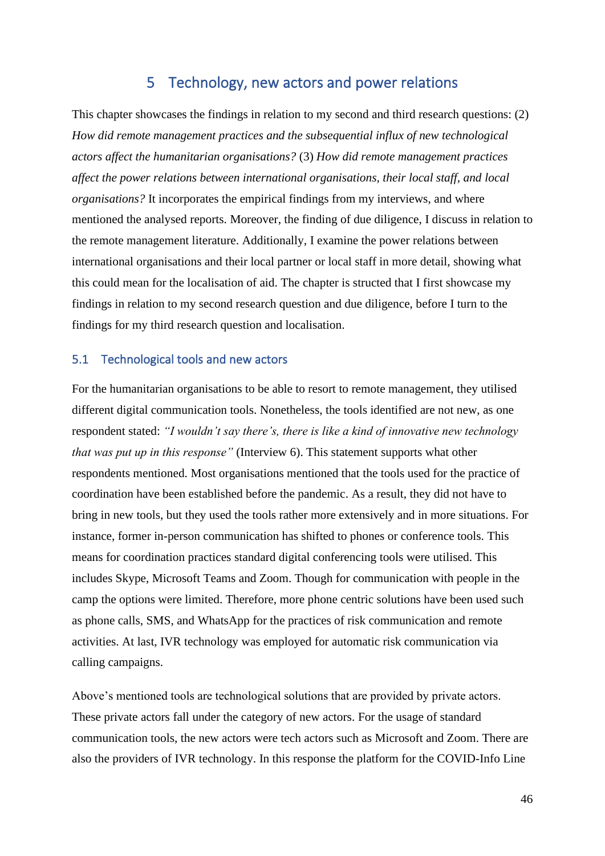# 5 Technology, new actors and power relations

This chapter showcases the findings in relation to my second and third research questions: (2) *How did remote management practices and the subsequential influx of new technological actors affect the humanitarian organisations?* (3) *How did remote management practices affect the power relations between international organisations, their local staff, and local organisations?* It incorporates the empirical findings from my interviews, and where mentioned the analysed reports. Moreover, the finding of due diligence, I discuss in relation to the remote management literature. Additionally, I examine the power relations between international organisations and their local partner or local staff in more detail, showing what this could mean for the localisation of aid. The chapter is structed that I first showcase my findings in relation to my second research question and due diligence, before I turn to the findings for my third research question and localisation.

# 5.1 Technological tools and new actors

For the humanitarian organisations to be able to resort to remote management, they utilised different digital communication tools. Nonetheless, the tools identified are not new, as one respondent stated: *"I wouldn't say there's, there is like a kind of innovative new technology that was put up in this response"* (Interview 6). This statement supports what other respondents mentioned. Most organisations mentioned that the tools used for the practice of coordination have been established before the pandemic. As a result, they did not have to bring in new tools, but they used the tools rather more extensively and in more situations. For instance, former in-person communication has shifted to phones or conference tools. This means for coordination practices standard digital conferencing tools were utilised. This includes Skype, Microsoft Teams and Zoom. Though for communication with people in the camp the options were limited. Therefore, more phone centric solutions have been used such as phone calls, SMS, and WhatsApp for the practices of risk communication and remote activities. At last, IVR technology was employed for automatic risk communication via calling campaigns.

Above's mentioned tools are technological solutions that are provided by private actors. These private actors fall under the category of new actors. For the usage of standard communication tools, the new actors were tech actors such as Microsoft and Zoom. There are also the providers of IVR technology. In this response the platform for the COVID-Info Line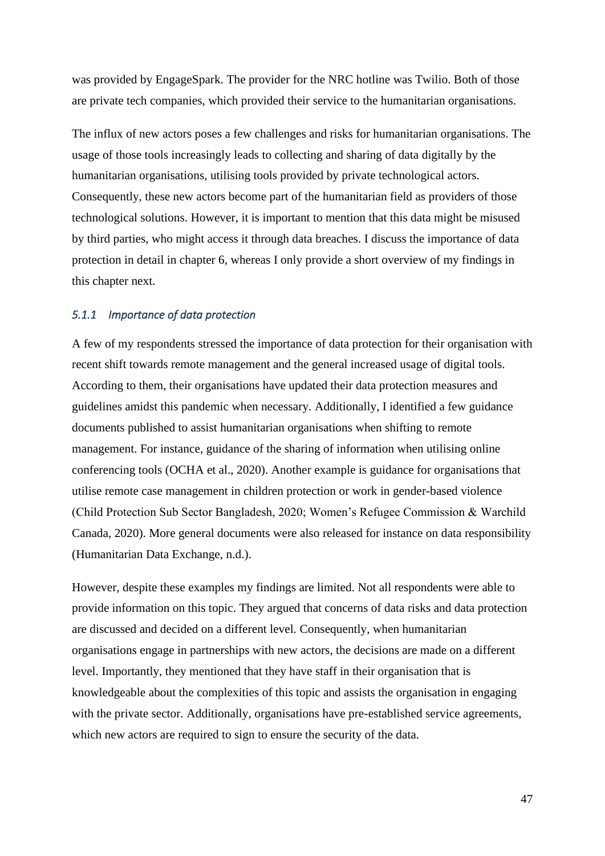was provided by EngageSpark. The provider for the NRC hotline was Twilio. Both of those are private tech companies, which provided their service to the humanitarian organisations.

The influx of new actors poses a few challenges and risks for humanitarian organisations. The usage of those tools increasingly leads to collecting and sharing of data digitally by the humanitarian organisations, utilising tools provided by private technological actors. Consequently, these new actors become part of the humanitarian field as providers of those technological solutions. However, it is important to mention that this data might be misused by third parties, who might access it through data breaches. I discuss the importance of data protection in detail in chapter 6, whereas I only provide a short overview of my findings in this chapter next.

# *5.1.1 Importance of data protection*

A few of my respondents stressed the importance of data protection for their organisation with recent shift towards remote management and the general increased usage of digital tools. According to them, their organisations have updated their data protection measures and guidelines amidst this pandemic when necessary. Additionally, I identified a few guidance documents published to assist humanitarian organisations when shifting to remote management. For instance, guidance of the sharing of information when utilising online conferencing tools (OCHA et al., 2020). Another example is guidance for organisations that utilise remote case management in children protection or work in gender-based violence (Child Protection Sub Sector Bangladesh, 2020; Women's Refugee Commission & Warchild Canada, 2020). More general documents were also released for instance on data responsibility (Humanitarian Data Exchange, n.d.).

However, despite these examples my findings are limited. Not all respondents were able to provide information on this topic. They argued that concerns of data risks and data protection are discussed and decided on a different level. Consequently, when humanitarian organisations engage in partnerships with new actors, the decisions are made on a different level. Importantly, they mentioned that they have staff in their organisation that is knowledgeable about the complexities of this topic and assists the organisation in engaging with the private sector. Additionally, organisations have pre-established service agreements, which new actors are required to sign to ensure the security of the data.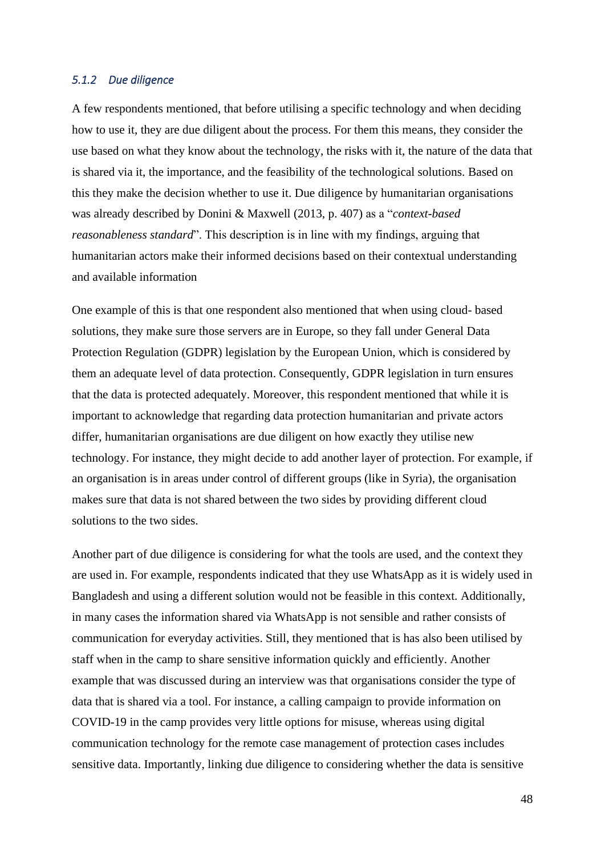#### *5.1.2 Due diligence*

A few respondents mentioned, that before utilising a specific technology and when deciding how to use it, they are due diligent about the process. For them this means, they consider the use based on what they know about the technology, the risks with it, the nature of the data that is shared via it, the importance, and the feasibility of the technological solutions. Based on this they make the decision whether to use it. Due diligence by humanitarian organisations was already described by Donini & Maxwell (2013, p. 407) as a "*context-based reasonableness standard*". This description is in line with my findings, arguing that humanitarian actors make their informed decisions based on their contextual understanding and available information

One example of this is that one respondent also mentioned that when using cloud- based solutions, they make sure those servers are in Europe, so they fall under General Data Protection Regulation (GDPR) legislation by the European Union, which is considered by them an adequate level of data protection. Consequently, GDPR legislation in turn ensures that the data is protected adequately. Moreover, this respondent mentioned that while it is important to acknowledge that regarding data protection humanitarian and private actors differ, humanitarian organisations are due diligent on how exactly they utilise new technology. For instance, they might decide to add another layer of protection. For example, if an organisation is in areas under control of different groups (like in Syria), the organisation makes sure that data is not shared between the two sides by providing different cloud solutions to the two sides.

Another part of due diligence is considering for what the tools are used, and the context they are used in. For example, respondents indicated that they use WhatsApp as it is widely used in Bangladesh and using a different solution would not be feasible in this context. Additionally, in many cases the information shared via WhatsApp is not sensible and rather consists of communication for everyday activities. Still, they mentioned that is has also been utilised by staff when in the camp to share sensitive information quickly and efficiently. Another example that was discussed during an interview was that organisations consider the type of data that is shared via a tool. For instance, a calling campaign to provide information on COVID-19 in the camp provides very little options for misuse, whereas using digital communication technology for the remote case management of protection cases includes sensitive data. Importantly, linking due diligence to considering whether the data is sensitive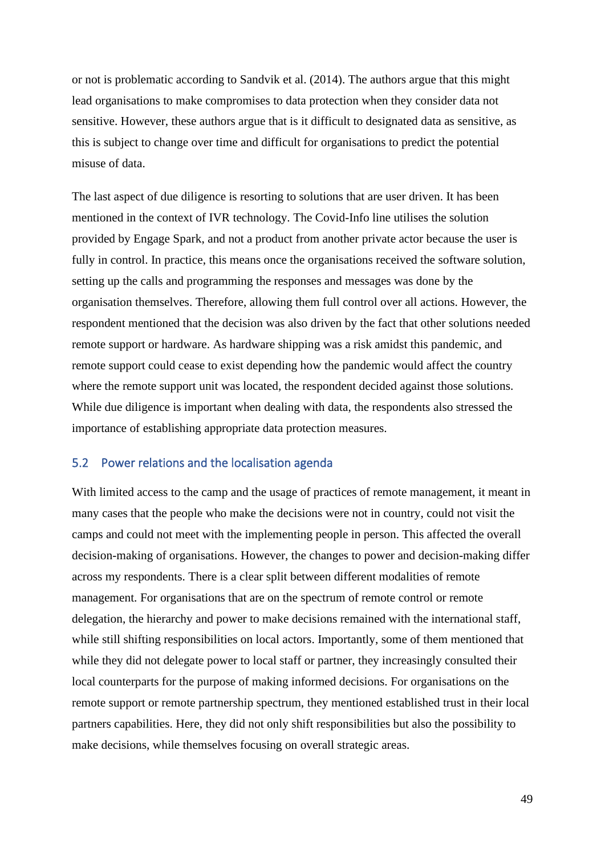or not is problematic according to Sandvik et al. (2014). The authors argue that this might lead organisations to make compromises to data protection when they consider data not sensitive. However, these authors argue that is it difficult to designated data as sensitive, as this is subject to change over time and difficult for organisations to predict the potential misuse of data.

The last aspect of due diligence is resorting to solutions that are user driven. It has been mentioned in the context of IVR technology. The Covid-Info line utilises the solution provided by Engage Spark, and not a product from another private actor because the user is fully in control. In practice, this means once the organisations received the software solution, setting up the calls and programming the responses and messages was done by the organisation themselves. Therefore, allowing them full control over all actions. However, the respondent mentioned that the decision was also driven by the fact that other solutions needed remote support or hardware. As hardware shipping was a risk amidst this pandemic, and remote support could cease to exist depending how the pandemic would affect the country where the remote support unit was located, the respondent decided against those solutions. While due diligence is important when dealing with data, the respondents also stressed the importance of establishing appropriate data protection measures.

#### 5.2 Power relations and the localisation agenda

With limited access to the camp and the usage of practices of remote management, it meant in many cases that the people who make the decisions were not in country, could not visit the camps and could not meet with the implementing people in person. This affected the overall decision-making of organisations. However, the changes to power and decision-making differ across my respondents. There is a clear split between different modalities of remote management. For organisations that are on the spectrum of remote control or remote delegation, the hierarchy and power to make decisions remained with the international staff, while still shifting responsibilities on local actors. Importantly, some of them mentioned that while they did not delegate power to local staff or partner, they increasingly consulted their local counterparts for the purpose of making informed decisions. For organisations on the remote support or remote partnership spectrum, they mentioned established trust in their local partners capabilities. Here, they did not only shift responsibilities but also the possibility to make decisions, while themselves focusing on overall strategic areas.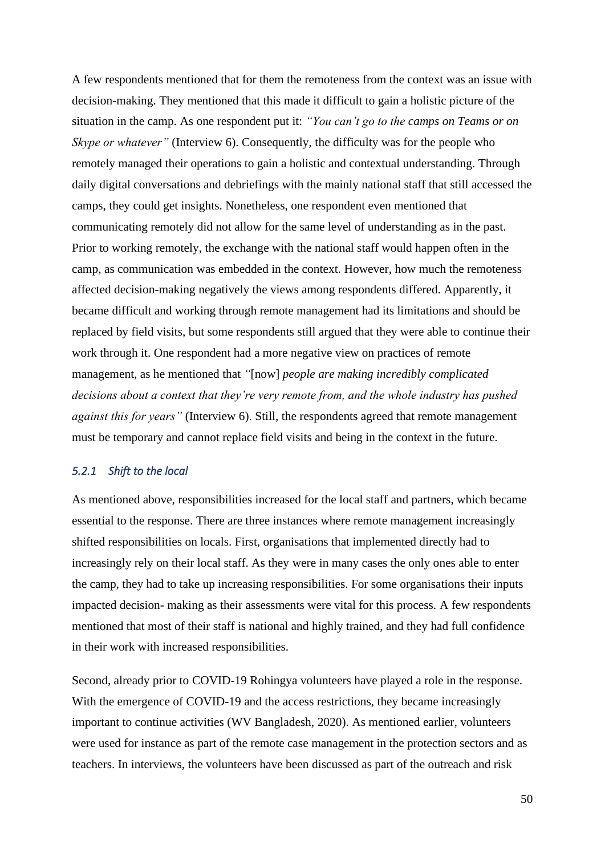A few respondents mentioned that for them the remoteness from the context was an issue with decision-making. They mentioned that this made it difficult to gain a holistic picture of the situation in the camp. As one respondent put it: *"You can't go to the camps on Teams or on Skype or whatever"* (Interview 6). Consequently, the difficulty was for the people who remotely managed their operations to gain a holistic and contextual understanding. Through daily digital conversations and debriefings with the mainly national staff that still accessed the camps, they could get insights. Nonetheless, one respondent even mentioned that communicating remotely did not allow for the same level of understanding as in the past. Prior to working remotely, the exchange with the national staff would happen often in the camp, as communication was embedded in the context. However, how much the remoteness affected decision-making negatively the views among respondents differed. Apparently, it became difficult and working through remote management had its limitations and should be replaced by field visits, but some respondents still argued that they were able to continue their work through it. One respondent had a more negative view on practices of remote management, as he mentioned that *"*[now] *people are making incredibly complicated decisions about a context that they're very remote from, and the whole industry has pushed against this for years"* (Interview 6). Still, the respondents agreed that remote management must be temporary and cannot replace field visits and being in the context in the future.

#### *5.2.1 Shift to the local*

As mentioned above, responsibilities increased for the local staff and partners, which became essential to the response. There are three instances where remote management increasingly shifted responsibilities on locals. First, organisations that implemented directly had to increasingly rely on their local staff. As they were in many cases the only ones able to enter the camp, they had to take up increasing responsibilities. For some organisations their inputs impacted decision- making as their assessments were vital for this process. A few respondents mentioned that most of their staff is national and highly trained, and they had full confidence in their work with increased responsibilities.

Second, already prior to COVID-19 Rohingya volunteers have played a role in the response. With the emergence of COVID-19 and the access restrictions, they became increasingly important to continue activities (WV Bangladesh, 2020). As mentioned earlier, volunteers were used for instance as part of the remote case management in the protection sectors and as teachers. In interviews, the volunteers have been discussed as part of the outreach and risk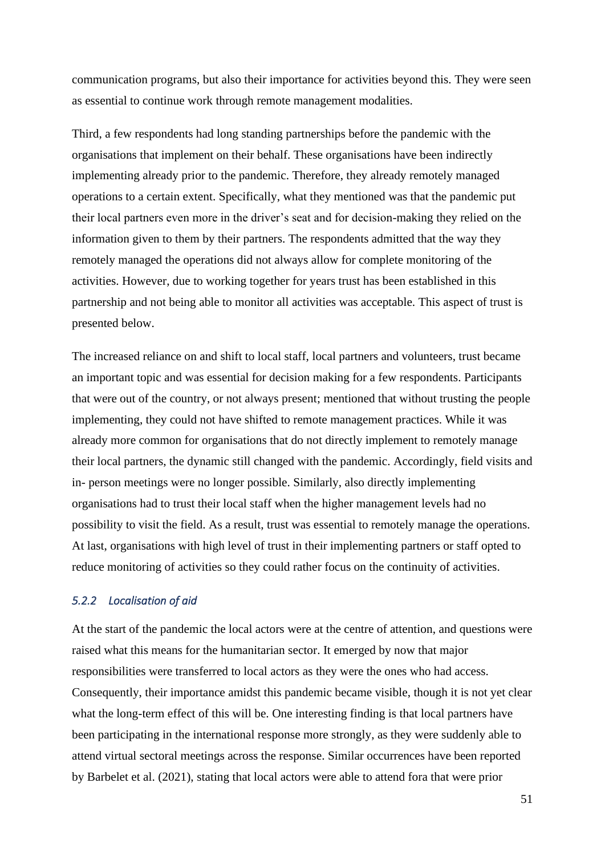communication programs, but also their importance for activities beyond this. They were seen as essential to continue work through remote management modalities.

Third, a few respondents had long standing partnerships before the pandemic with the organisations that implement on their behalf. These organisations have been indirectly implementing already prior to the pandemic. Therefore, they already remotely managed operations to a certain extent. Specifically, what they mentioned was that the pandemic put their local partners even more in the driver's seat and for decision-making they relied on the information given to them by their partners. The respondents admitted that the way they remotely managed the operations did not always allow for complete monitoring of the activities. However, due to working together for years trust has been established in this partnership and not being able to monitor all activities was acceptable. This aspect of trust is presented below.

The increased reliance on and shift to local staff, local partners and volunteers, trust became an important topic and was essential for decision making for a few respondents. Participants that were out of the country, or not always present; mentioned that without trusting the people implementing, they could not have shifted to remote management practices. While it was already more common for organisations that do not directly implement to remotely manage their local partners, the dynamic still changed with the pandemic. Accordingly, field visits and in- person meetings were no longer possible. Similarly, also directly implementing organisations had to trust their local staff when the higher management levels had no possibility to visit the field. As a result, trust was essential to remotely manage the operations. At last, organisations with high level of trust in their implementing partners or staff opted to reduce monitoring of activities so they could rather focus on the continuity of activities.

# *5.2.2 Localisation of aid*

At the start of the pandemic the local actors were at the centre of attention, and questions were raised what this means for the humanitarian sector. It emerged by now that major responsibilities were transferred to local actors as they were the ones who had access. Consequently, their importance amidst this pandemic became visible, though it is not yet clear what the long-term effect of this will be. One interesting finding is that local partners have been participating in the international response more strongly, as they were suddenly able to attend virtual sectoral meetings across the response. Similar occurrences have been reported by Barbelet et al. (2021), stating that local actors were able to attend fora that were prior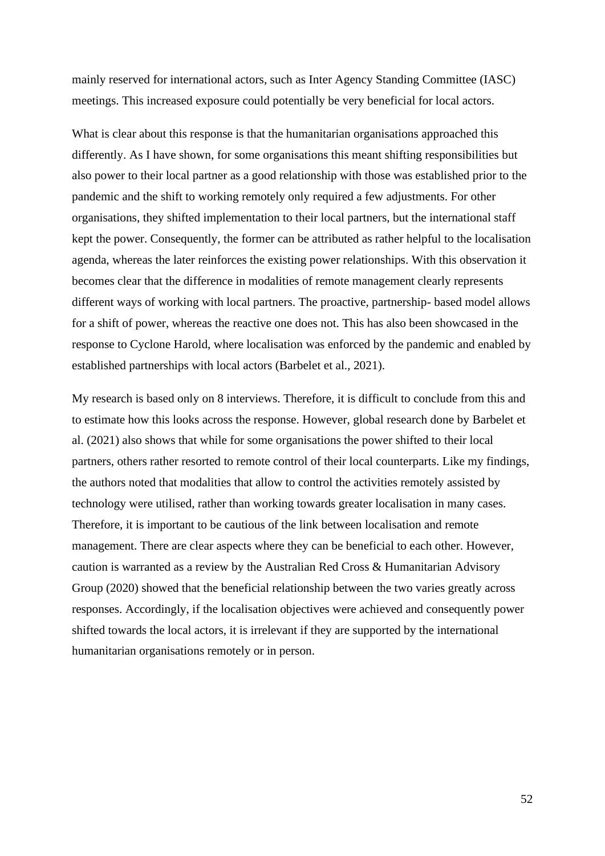mainly reserved for international actors, such as Inter Agency Standing Committee (IASC) meetings. This increased exposure could potentially be very beneficial for local actors.

What is clear about this response is that the humanitarian organisations approached this differently. As I have shown, for some organisations this meant shifting responsibilities but also power to their local partner as a good relationship with those was established prior to the pandemic and the shift to working remotely only required a few adjustments. For other organisations, they shifted implementation to their local partners, but the international staff kept the power. Consequently, the former can be attributed as rather helpful to the localisation agenda, whereas the later reinforces the existing power relationships. With this observation it becomes clear that the difference in modalities of remote management clearly represents different ways of working with local partners. The proactive, partnership- based model allows for a shift of power, whereas the reactive one does not. This has also been showcased in the response to Cyclone Harold, where localisation was enforced by the pandemic and enabled by established partnerships with local actors (Barbelet et al., 2021).

My research is based only on 8 interviews. Therefore, it is difficult to conclude from this and to estimate how this looks across the response. However, global research done by Barbelet et al. (2021) also shows that while for some organisations the power shifted to their local partners, others rather resorted to remote control of their local counterparts. Like my findings, the authors noted that modalities that allow to control the activities remotely assisted by technology were utilised, rather than working towards greater localisation in many cases. Therefore, it is important to be cautious of the link between localisation and remote management. There are clear aspects where they can be beneficial to each other. However, caution is warranted as a review by the Australian Red Cross & Humanitarian Advisory Group (2020) showed that the beneficial relationship between the two varies greatly across responses. Accordingly, if the localisation objectives were achieved and consequently power shifted towards the local actors, it is irrelevant if they are supported by the international humanitarian organisations remotely or in person.

52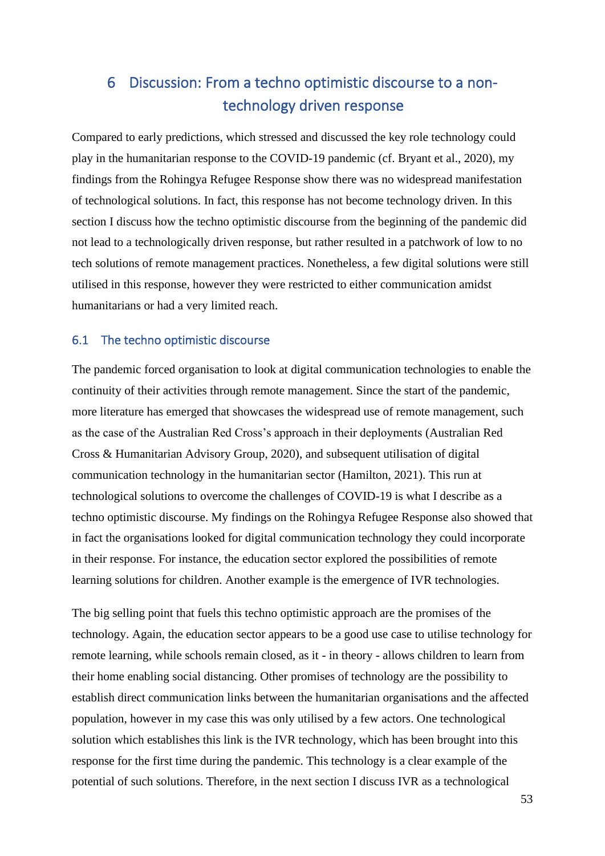# 6 Discussion: From a techno optimistic discourse to a nontechnology driven response

Compared to early predictions, which stressed and discussed the key role technology could play in the humanitarian response to the COVID-19 pandemic (cf. Bryant et al., 2020), my findings from the Rohingya Refugee Response show there was no widespread manifestation of technological solutions. In fact, this response has not become technology driven. In this section I discuss how the techno optimistic discourse from the beginning of the pandemic did not lead to a technologically driven response, but rather resulted in a patchwork of low to no tech solutions of remote management practices. Nonetheless, a few digital solutions were still utilised in this response, however they were restricted to either communication amidst humanitarians or had a very limited reach.

# 6.1 The techno optimistic discourse

The pandemic forced organisation to look at digital communication technologies to enable the continuity of their activities through remote management. Since the start of the pandemic, more literature has emerged that showcases the widespread use of remote management, such as the case of the Australian Red Cross's approach in their deployments (Australian Red Cross & Humanitarian Advisory Group, 2020), and subsequent utilisation of digital communication technology in the humanitarian sector (Hamilton, 2021). This run at technological solutions to overcome the challenges of COVID-19 is what I describe as a techno optimistic discourse. My findings on the Rohingya Refugee Response also showed that in fact the organisations looked for digital communication technology they could incorporate in their response. For instance, the education sector explored the possibilities of remote learning solutions for children. Another example is the emergence of IVR technologies.

The big selling point that fuels this techno optimistic approach are the promises of the technology. Again, the education sector appears to be a good use case to utilise technology for remote learning, while schools remain closed, as it - in theory - allows children to learn from their home enabling social distancing. Other promises of technology are the possibility to establish direct communication links between the humanitarian organisations and the affected population, however in my case this was only utilised by a few actors. One technological solution which establishes this link is the IVR technology, which has been brought into this response for the first time during the pandemic. This technology is a clear example of the potential of such solutions. Therefore, in the next section I discuss IVR as a technological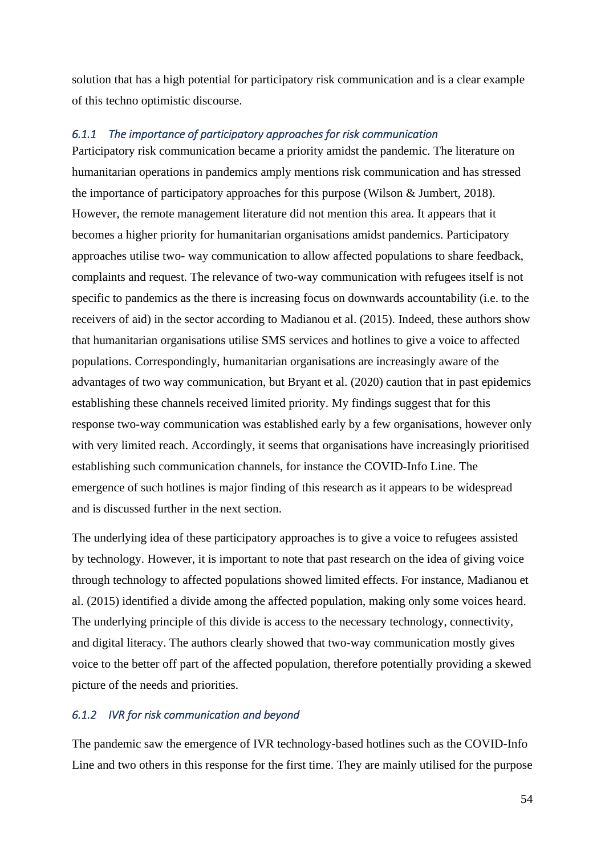solution that has a high potential for participatory risk communication and is a clear example of this techno optimistic discourse.

# *6.1.1 The importance of participatory approaches for risk communication*

Participatory risk communication became a priority amidst the pandemic. The literature on humanitarian operations in pandemics amply mentions risk communication and has stressed the importance of participatory approaches for this purpose (Wilson & Jumbert, 2018). However, the remote management literature did not mention this area. It appears that it becomes a higher priority for humanitarian organisations amidst pandemics. Participatory approaches utilise two- way communication to allow affected populations to share feedback, complaints and request. The relevance of two-way communication with refugees itself is not specific to pandemics as the there is increasing focus on downwards accountability (i.e. to the receivers of aid) in the sector according to Madianou et al. (2015). Indeed, these authors show that humanitarian organisations utilise SMS services and hotlines to give a voice to affected populations. Correspondingly, humanitarian organisations are increasingly aware of the advantages of two way communication, but Bryant et al. (2020) caution that in past epidemics establishing these channels received limited priority. My findings suggest that for this response two-way communication was established early by a few organisations, however only with very limited reach. Accordingly, it seems that organisations have increasingly prioritised establishing such communication channels, for instance the COVID-Info Line. The emergence of such hotlines is major finding of this research as it appears to be widespread and is discussed further in the next section.

The underlying idea of these participatory approaches is to give a voice to refugees assisted by technology. However, it is important to note that past research on the idea of giving voice through technology to affected populations showed limited effects. For instance, Madianou et al. (2015) identified a divide among the affected population, making only some voices heard. The underlying principle of this divide is access to the necessary technology, connectivity, and digital literacy. The authors clearly showed that two-way communication mostly gives voice to the better off part of the affected population, therefore potentially providing a skewed picture of the needs and priorities.

# *6.1.2 IVR for risk communication and beyond*

The pandemic saw the emergence of IVR technology-based hotlines such as the COVID-Info Line and two others in this response for the first time. They are mainly utilised for the purpose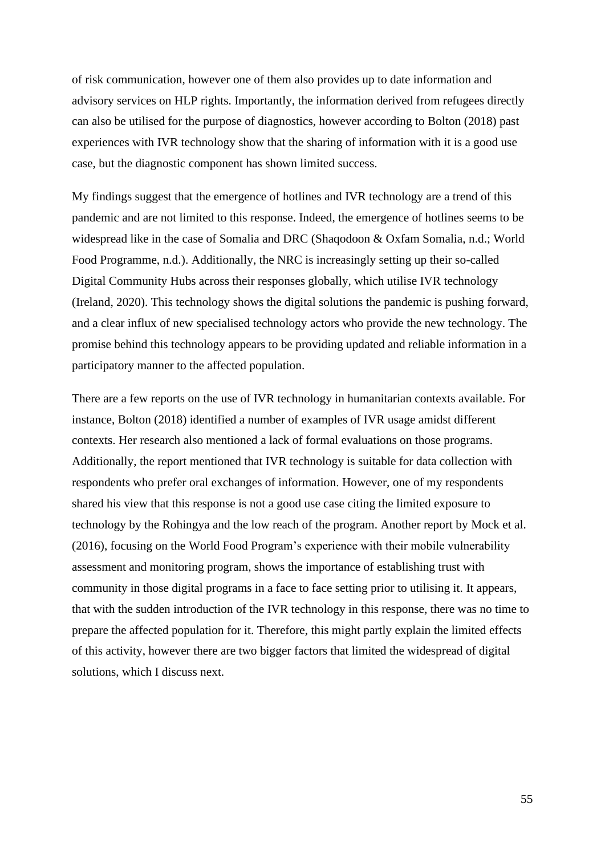of risk communication, however one of them also provides up to date information and advisory services on HLP rights. Importantly, the information derived from refugees directly can also be utilised for the purpose of diagnostics, however according to Bolton (2018) past experiences with IVR technology show that the sharing of information with it is a good use case, but the diagnostic component has shown limited success.

My findings suggest that the emergence of hotlines and IVR technology are a trend of this pandemic and are not limited to this response. Indeed, the emergence of hotlines seems to be widespread like in the case of Somalia and DRC (Shaqodoon & Oxfam Somalia, n.d.; World Food Programme, n.d.). Additionally, the NRC is increasingly setting up their so-called Digital Community Hubs across their responses globally, which utilise IVR technology (Ireland, 2020). This technology shows the digital solutions the pandemic is pushing forward, and a clear influx of new specialised technology actors who provide the new technology. The promise behind this technology appears to be providing updated and reliable information in a participatory manner to the affected population.

There are a few reports on the use of IVR technology in humanitarian contexts available. For instance, Bolton (2018) identified a number of examples of IVR usage amidst different contexts. Her research also mentioned a lack of formal evaluations on those programs. Additionally, the report mentioned that IVR technology is suitable for data collection with respondents who prefer oral exchanges of information. However, one of my respondents shared his view that this response is not a good use case citing the limited exposure to technology by the Rohingya and the low reach of the program. Another report by Mock et al. (2016), focusing on the World Food Program's experience with their mobile vulnerability assessment and monitoring program, shows the importance of establishing trust with community in those digital programs in a face to face setting prior to utilising it. It appears, that with the sudden introduction of the IVR technology in this response, there was no time to prepare the affected population for it. Therefore, this might partly explain the limited effects of this activity, however there are two bigger factors that limited the widespread of digital solutions, which I discuss next.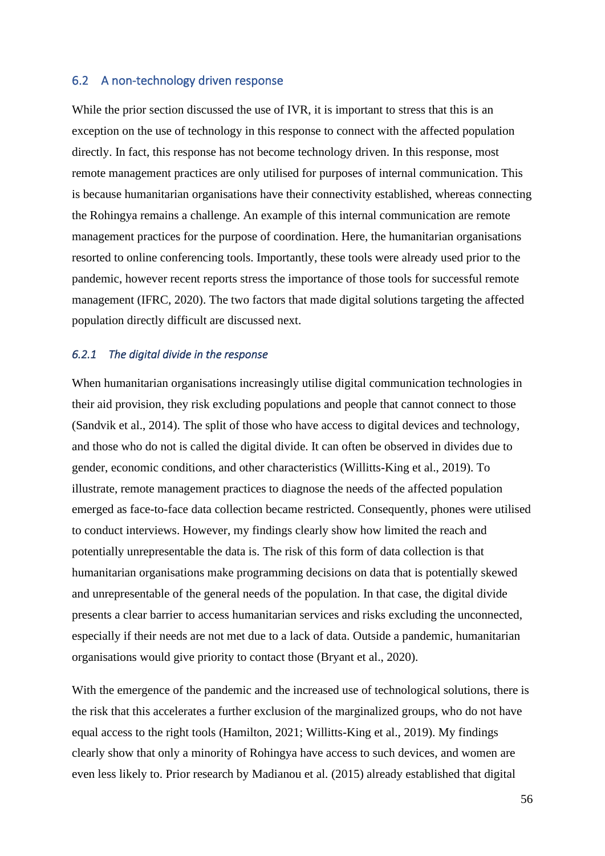# 6.2 A non-technology driven response

While the prior section discussed the use of IVR, it is important to stress that this is an exception on the use of technology in this response to connect with the affected population directly. In fact, this response has not become technology driven. In this response, most remote management practices are only utilised for purposes of internal communication. This is because humanitarian organisations have their connectivity established, whereas connecting the Rohingya remains a challenge. An example of this internal communication are remote management practices for the purpose of coordination. Here, the humanitarian organisations resorted to online conferencing tools. Importantly, these tools were already used prior to the pandemic, however recent reports stress the importance of those tools for successful remote management (IFRC, 2020). The two factors that made digital solutions targeting the affected population directly difficult are discussed next.

#### *6.2.1 The digital divide in the response*

When humanitarian organisations increasingly utilise digital communication technologies in their aid provision, they risk excluding populations and people that cannot connect to those (Sandvik et al., 2014). The split of those who have access to digital devices and technology, and those who do not is called the digital divide. It can often be observed in divides due to gender, economic conditions, and other characteristics (Willitts-King et al., 2019). To illustrate, remote management practices to diagnose the needs of the affected population emerged as face-to-face data collection became restricted. Consequently, phones were utilised to conduct interviews. However, my findings clearly show how limited the reach and potentially unrepresentable the data is. The risk of this form of data collection is that humanitarian organisations make programming decisions on data that is potentially skewed and unrepresentable of the general needs of the population. In that case, the digital divide presents a clear barrier to access humanitarian services and risks excluding the unconnected, especially if their needs are not met due to a lack of data. Outside a pandemic, humanitarian organisations would give priority to contact those (Bryant et al., 2020).

With the emergence of the pandemic and the increased use of technological solutions, there is the risk that this accelerates a further exclusion of the marginalized groups, who do not have equal access to the right tools (Hamilton, 2021; Willitts-King et al., 2019). My findings clearly show that only a minority of Rohingya have access to such devices, and women are even less likely to. Prior research by Madianou et al. (2015) already established that digital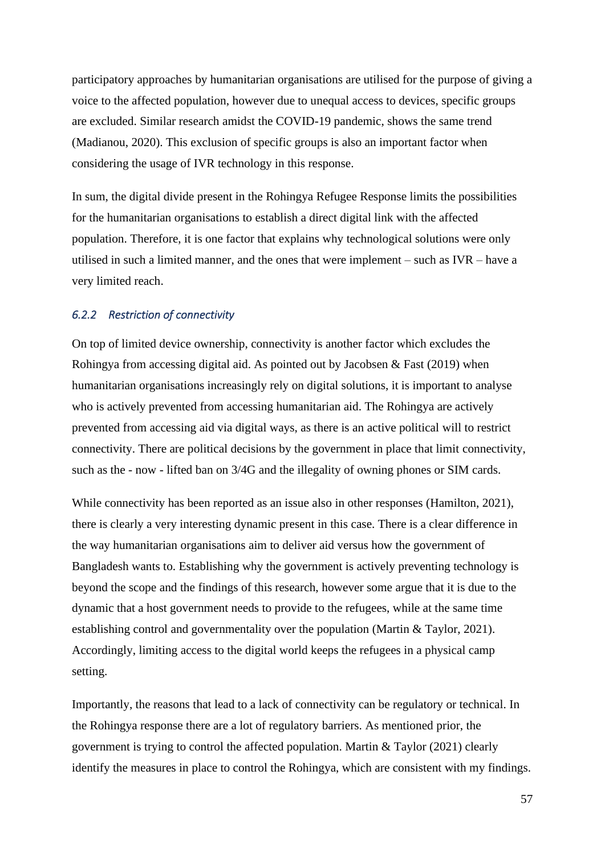participatory approaches by humanitarian organisations are utilised for the purpose of giving a voice to the affected population, however due to unequal access to devices, specific groups are excluded. Similar research amidst the COVID-19 pandemic, shows the same trend (Madianou, 2020). This exclusion of specific groups is also an important factor when considering the usage of IVR technology in this response.

In sum, the digital divide present in the Rohingya Refugee Response limits the possibilities for the humanitarian organisations to establish a direct digital link with the affected population. Therefore, it is one factor that explains why technological solutions were only utilised in such a limited manner, and the ones that were implement – such as IVR – have a very limited reach.

#### *6.2.2 Restriction of connectivity*

On top of limited device ownership, connectivity is another factor which excludes the Rohingya from accessing digital aid. As pointed out by Jacobsen & Fast (2019) when humanitarian organisations increasingly rely on digital solutions, it is important to analyse who is actively prevented from accessing humanitarian aid. The Rohingya are actively prevented from accessing aid via digital ways, as there is an active political will to restrict connectivity. There are political decisions by the government in place that limit connectivity, such as the - now - lifted ban on 3/4G and the illegality of owning phones or SIM cards.

While connectivity has been reported as an issue also in other responses (Hamilton, 2021), there is clearly a very interesting dynamic present in this case. There is a clear difference in the way humanitarian organisations aim to deliver aid versus how the government of Bangladesh wants to. Establishing why the government is actively preventing technology is beyond the scope and the findings of this research, however some argue that it is due to the dynamic that a host government needs to provide to the refugees, while at the same time establishing control and governmentality over the population (Martin & Taylor, 2021). Accordingly, limiting access to the digital world keeps the refugees in a physical camp setting.

Importantly, the reasons that lead to a lack of connectivity can be regulatory or technical. In the Rohingya response there are a lot of regulatory barriers. As mentioned prior, the government is trying to control the affected population. Martin & Taylor (2021) clearly identify the measures in place to control the Rohingya, which are consistent with my findings.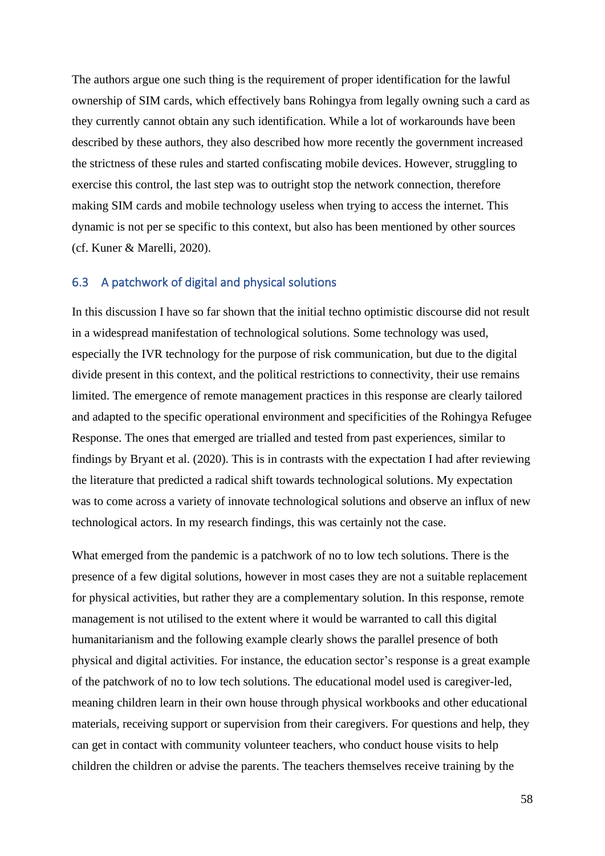The authors argue one such thing is the requirement of proper identification for the lawful ownership of SIM cards, which effectively bans Rohingya from legally owning such a card as they currently cannot obtain any such identification. While a lot of workarounds have been described by these authors, they also described how more recently the government increased the strictness of these rules and started confiscating mobile devices. However, struggling to exercise this control, the last step was to outright stop the network connection, therefore making SIM cards and mobile technology useless when trying to access the internet. This dynamic is not per se specific to this context, but also has been mentioned by other sources (cf. Kuner & Marelli, 2020).

### 6.3 A patchwork of digital and physical solutions

In this discussion I have so far shown that the initial techno optimistic discourse did not result in a widespread manifestation of technological solutions. Some technology was used, especially the IVR technology for the purpose of risk communication, but due to the digital divide present in this context, and the political restrictions to connectivity, their use remains limited. The emergence of remote management practices in this response are clearly tailored and adapted to the specific operational environment and specificities of the Rohingya Refugee Response. The ones that emerged are trialled and tested from past experiences, similar to findings by Bryant et al. (2020). This is in contrasts with the expectation I had after reviewing the literature that predicted a radical shift towards technological solutions. My expectation was to come across a variety of innovate technological solutions and observe an influx of new technological actors. In my research findings, this was certainly not the case.

What emerged from the pandemic is a patchwork of no to low tech solutions. There is the presence of a few digital solutions, however in most cases they are not a suitable replacement for physical activities, but rather they are a complementary solution. In this response, remote management is not utilised to the extent where it would be warranted to call this digital humanitarianism and the following example clearly shows the parallel presence of both physical and digital activities. For instance, the education sector's response is a great example of the patchwork of no to low tech solutions. The educational model used is caregiver-led, meaning children learn in their own house through physical workbooks and other educational materials, receiving support or supervision from their caregivers. For questions and help, they can get in contact with community volunteer teachers, who conduct house visits to help children the children or advise the parents. The teachers themselves receive training by the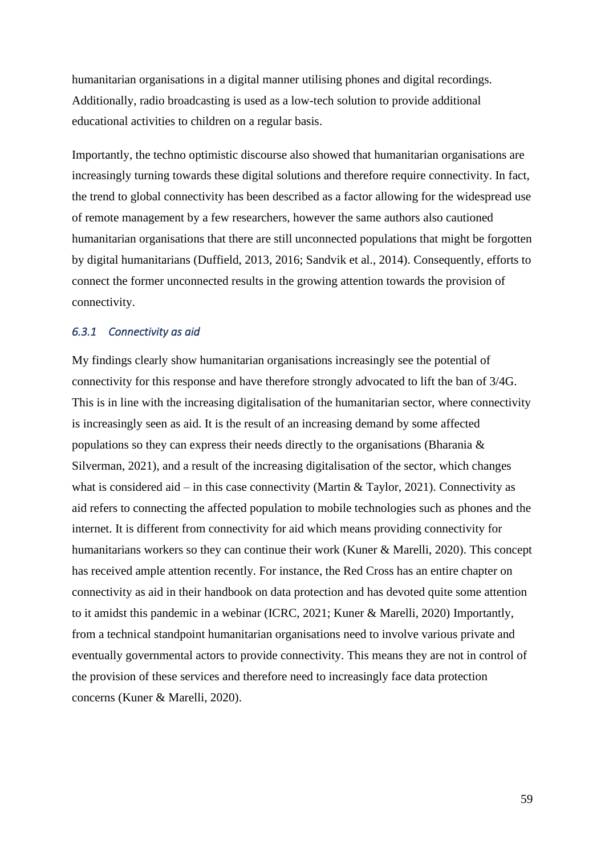humanitarian organisations in a digital manner utilising phones and digital recordings. Additionally, radio broadcasting is used as a low-tech solution to provide additional educational activities to children on a regular basis.

Importantly, the techno optimistic discourse also showed that humanitarian organisations are increasingly turning towards these digital solutions and therefore require connectivity. In fact, the trend to global connectivity has been described as a factor allowing for the widespread use of remote management by a few researchers, however the same authors also cautioned humanitarian organisations that there are still unconnected populations that might be forgotten by digital humanitarians (Duffield, 2013, 2016; Sandvik et al., 2014). Consequently, efforts to connect the former unconnected results in the growing attention towards the provision of connectivity.

# *6.3.1 Connectivity as aid*

My findings clearly show humanitarian organisations increasingly see the potential of connectivity for this response and have therefore strongly advocated to lift the ban of 3/4G. This is in line with the increasing digitalisation of the humanitarian sector, where connectivity is increasingly seen as aid. It is the result of an increasing demand by some affected populations so they can express their needs directly to the organisations (Bharania & Silverman, 2021), and a result of the increasing digitalisation of the sector, which changes what is considered aid – in this case connectivity (Martin & Taylor, 2021). Connectivity as aid refers to connecting the affected population to mobile technologies such as phones and the internet. It is different from connectivity for aid which means providing connectivity for humanitarians workers so they can continue their work (Kuner & Marelli, 2020). This concept has received ample attention recently. For instance, the Red Cross has an entire chapter on connectivity as aid in their handbook on data protection and has devoted quite some attention to it amidst this pandemic in a webinar (ICRC, 2021; Kuner & Marelli, 2020) Importantly, from a technical standpoint humanitarian organisations need to involve various private and eventually governmental actors to provide connectivity. This means they are not in control of the provision of these services and therefore need to increasingly face data protection concerns (Kuner & Marelli, 2020).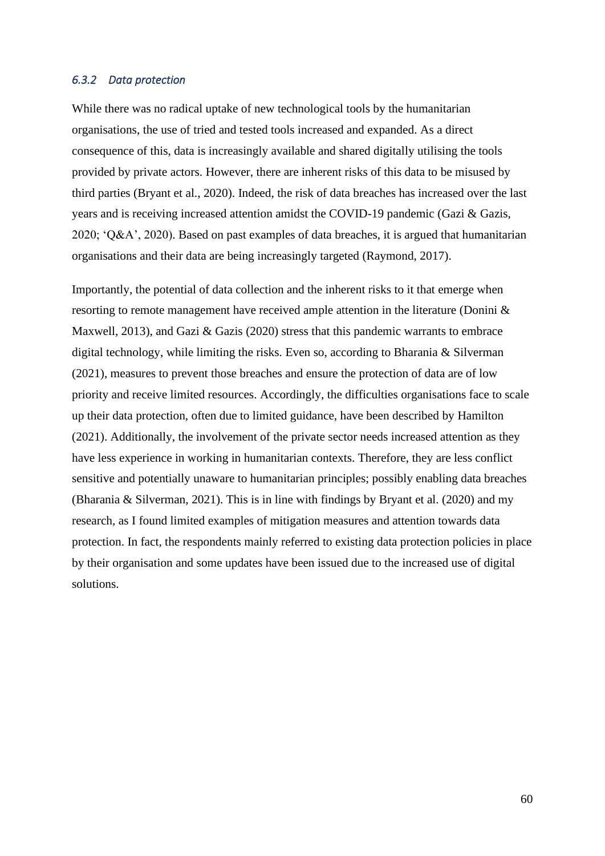#### *6.3.2 Data protection*

While there was no radical uptake of new technological tools by the humanitarian organisations, the use of tried and tested tools increased and expanded. As a direct consequence of this, data is increasingly available and shared digitally utilising the tools provided by private actors. However, there are inherent risks of this data to be misused by third parties (Bryant et al., 2020). Indeed, the risk of data breaches has increased over the last years and is receiving increased attention amidst the COVID-19 pandemic (Gazi & Gazis, 2020; 'Q&A', 2020). Based on past examples of data breaches, it is argued that humanitarian organisations and their data are being increasingly targeted (Raymond, 2017).

Importantly, the potential of data collection and the inherent risks to it that emerge when resorting to remote management have received ample attention in the literature (Donini & Maxwell, 2013), and Gazi & Gazis (2020) stress that this pandemic warrants to embrace digital technology, while limiting the risks. Even so, according to Bharania & Silverman (2021), measures to prevent those breaches and ensure the protection of data are of low priority and receive limited resources. Accordingly, the difficulties organisations face to scale up their data protection, often due to limited guidance, have been described by Hamilton (2021). Additionally, the involvement of the private sector needs increased attention as they have less experience in working in humanitarian contexts. Therefore, they are less conflict sensitive and potentially unaware to humanitarian principles; possibly enabling data breaches (Bharania & Silverman, 2021). This is in line with findings by Bryant et al. (2020) and my research, as I found limited examples of mitigation measures and attention towards data protection. In fact, the respondents mainly referred to existing data protection policies in place by their organisation and some updates have been issued due to the increased use of digital solutions.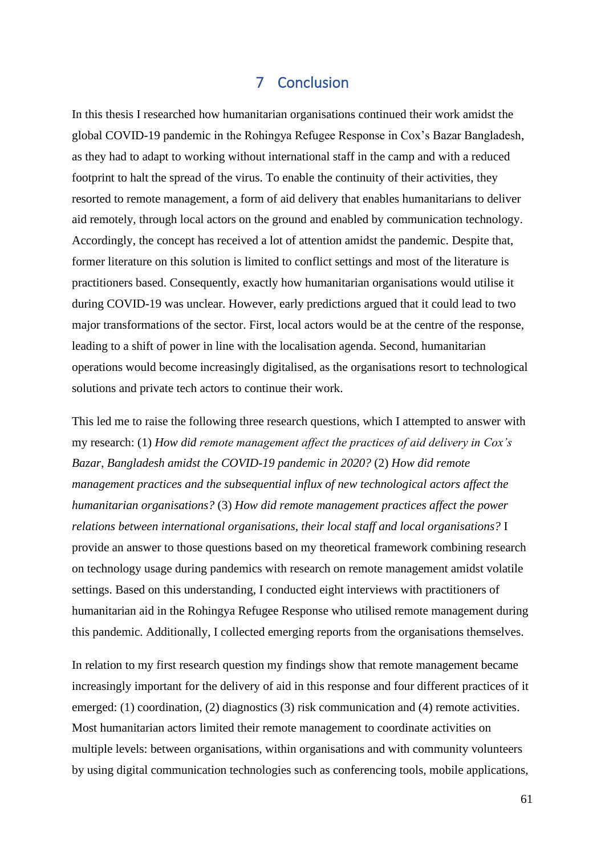# 7 Conclusion

In this thesis I researched how humanitarian organisations continued their work amidst the global COVID-19 pandemic in the Rohingya Refugee Response in Cox's Bazar Bangladesh, as they had to adapt to working without international staff in the camp and with a reduced footprint to halt the spread of the virus. To enable the continuity of their activities, they resorted to remote management, a form of aid delivery that enables humanitarians to deliver aid remotely, through local actors on the ground and enabled by communication technology. Accordingly, the concept has received a lot of attention amidst the pandemic. Despite that, former literature on this solution is limited to conflict settings and most of the literature is practitioners based. Consequently, exactly how humanitarian organisations would utilise it during COVID-19 was unclear. However, early predictions argued that it could lead to two major transformations of the sector. First, local actors would be at the centre of the response, leading to a shift of power in line with the localisation agenda. Second, humanitarian operations would become increasingly digitalised, as the organisations resort to technological solutions and private tech actors to continue their work.

This led me to raise the following three research questions, which I attempted to answer with my research: (1) *How did remote management affect the practices of aid delivery in Cox's Bazar, Bangladesh amidst the COVID-19 pandemic in 2020?* (2) *How did remote management practices and the subsequential influx of new technological actors affect the humanitarian organisations?* (3) *How did remote management practices affect the power relations between international organisations, their local staff and local organisations?* I provide an answer to those questions based on my theoretical framework combining research on technology usage during pandemics with research on remote management amidst volatile settings. Based on this understanding, I conducted eight interviews with practitioners of humanitarian aid in the Rohingya Refugee Response who utilised remote management during this pandemic. Additionally, I collected emerging reports from the organisations themselves.

In relation to my first research question my findings show that remote management became increasingly important for the delivery of aid in this response and four different practices of it emerged: (1) coordination, (2) diagnostics (3) risk communication and (4) remote activities. Most humanitarian actors limited their remote management to coordinate activities on multiple levels: between organisations, within organisations and with community volunteers by using digital communication technologies such as conferencing tools, mobile applications,

61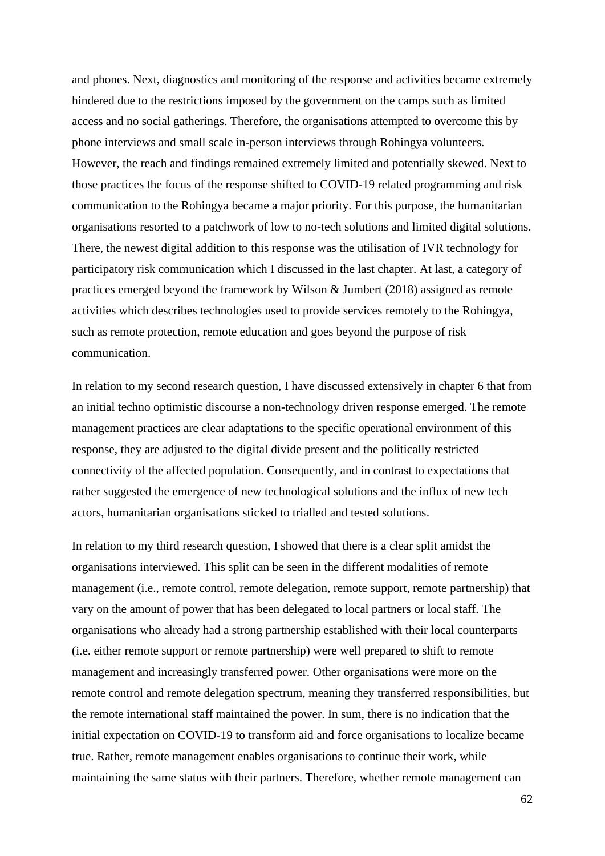and phones. Next, diagnostics and monitoring of the response and activities became extremely hindered due to the restrictions imposed by the government on the camps such as limited access and no social gatherings. Therefore, the organisations attempted to overcome this by phone interviews and small scale in-person interviews through Rohingya volunteers. However, the reach and findings remained extremely limited and potentially skewed. Next to those practices the focus of the response shifted to COVID-19 related programming and risk communication to the Rohingya became a major priority. For this purpose, the humanitarian organisations resorted to a patchwork of low to no-tech solutions and limited digital solutions. There, the newest digital addition to this response was the utilisation of IVR technology for participatory risk communication which I discussed in the last chapter. At last, a category of practices emerged beyond the framework by Wilson & Jumbert (2018) assigned as remote activities which describes technologies used to provide services remotely to the Rohingya, such as remote protection, remote education and goes beyond the purpose of risk communication.

In relation to my second research question, I have discussed extensively in chapter 6 that from an initial techno optimistic discourse a non-technology driven response emerged. The remote management practices are clear adaptations to the specific operational environment of this response, they are adjusted to the digital divide present and the politically restricted connectivity of the affected population. Consequently, and in contrast to expectations that rather suggested the emergence of new technological solutions and the influx of new tech actors, humanitarian organisations sticked to trialled and tested solutions.

In relation to my third research question, I showed that there is a clear split amidst the organisations interviewed. This split can be seen in the different modalities of remote management (i.e., remote control, remote delegation, remote support, remote partnership) that vary on the amount of power that has been delegated to local partners or local staff. The organisations who already had a strong partnership established with their local counterparts (i.e. either remote support or remote partnership) were well prepared to shift to remote management and increasingly transferred power. Other organisations were more on the remote control and remote delegation spectrum, meaning they transferred responsibilities, but the remote international staff maintained the power. In sum, there is no indication that the initial expectation on COVID-19 to transform aid and force organisations to localize became true. Rather, remote management enables organisations to continue their work, while maintaining the same status with their partners. Therefore, whether remote management can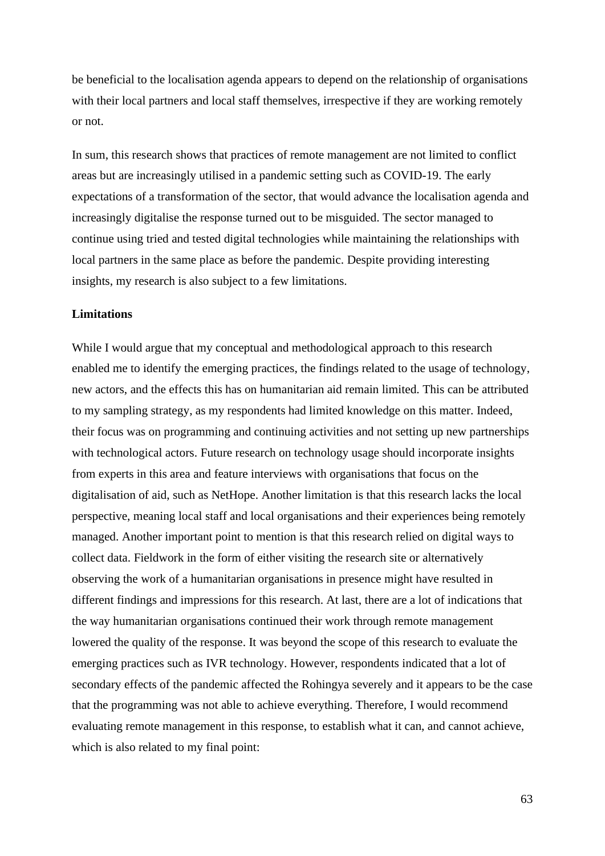be beneficial to the localisation agenda appears to depend on the relationship of organisations with their local partners and local staff themselves, irrespective if they are working remotely or not.

In sum, this research shows that practices of remote management are not limited to conflict areas but are increasingly utilised in a pandemic setting such as COVID-19. The early expectations of a transformation of the sector, that would advance the localisation agenda and increasingly digitalise the response turned out to be misguided. The sector managed to continue using tried and tested digital technologies while maintaining the relationships with local partners in the same place as before the pandemic. Despite providing interesting insights, my research is also subject to a few limitations.

#### **Limitations**

While I would argue that my conceptual and methodological approach to this research enabled me to identify the emerging practices, the findings related to the usage of technology, new actors, and the effects this has on humanitarian aid remain limited. This can be attributed to my sampling strategy, as my respondents had limited knowledge on this matter. Indeed, their focus was on programming and continuing activities and not setting up new partnerships with technological actors. Future research on technology usage should incorporate insights from experts in this area and feature interviews with organisations that focus on the digitalisation of aid, such as NetHope. Another limitation is that this research lacks the local perspective, meaning local staff and local organisations and their experiences being remotely managed. Another important point to mention is that this research relied on digital ways to collect data. Fieldwork in the form of either visiting the research site or alternatively observing the work of a humanitarian organisations in presence might have resulted in different findings and impressions for this research. At last, there are a lot of indications that the way humanitarian organisations continued their work through remote management lowered the quality of the response. It was beyond the scope of this research to evaluate the emerging practices such as IVR technology. However, respondents indicated that a lot of secondary effects of the pandemic affected the Rohingya severely and it appears to be the case that the programming was not able to achieve everything. Therefore, I would recommend evaluating remote management in this response, to establish what it can, and cannot achieve, which is also related to my final point: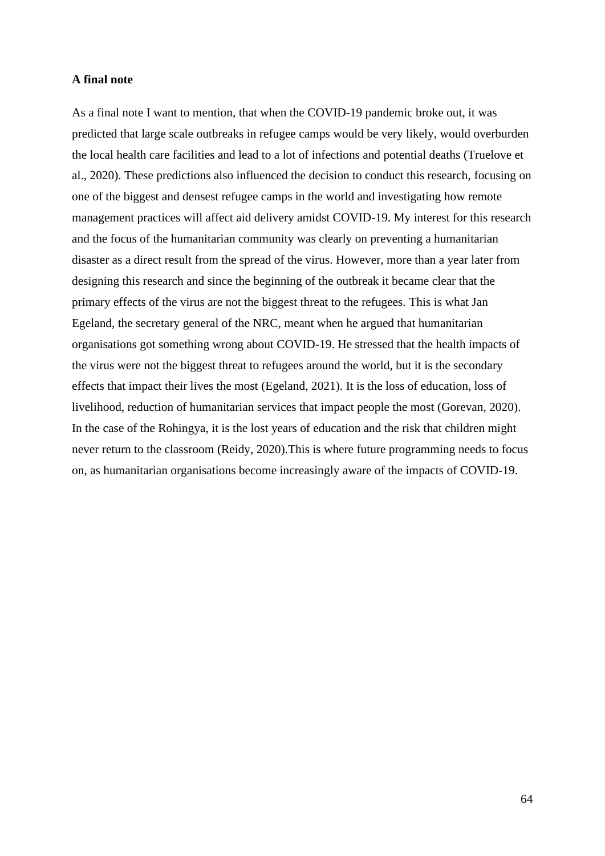#### **A final note**

As a final note I want to mention, that when the COVID-19 pandemic broke out, it was predicted that large scale outbreaks in refugee camps would be very likely, would overburden the local health care facilities and lead to a lot of infections and potential deaths (Truelove et al., 2020). These predictions also influenced the decision to conduct this research, focusing on one of the biggest and densest refugee camps in the world and investigating how remote management practices will affect aid delivery amidst COVID-19. My interest for this research and the focus of the humanitarian community was clearly on preventing a humanitarian disaster as a direct result from the spread of the virus. However, more than a year later from designing this research and since the beginning of the outbreak it became clear that the primary effects of the virus are not the biggest threat to the refugees. This is what Jan Egeland, the secretary general of the NRC, meant when he argued that humanitarian organisations got something wrong about COVID-19. He stressed that the health impacts of the virus were not the biggest threat to refugees around the world, but it is the secondary effects that impact their lives the most (Egeland, 2021). It is the loss of education, loss of livelihood, reduction of humanitarian services that impact people the most (Gorevan, 2020). In the case of the Rohingya, it is the lost years of education and the risk that children might never return to the classroom (Reidy, 2020).This is where future programming needs to focus on, as humanitarian organisations become increasingly aware of the impacts of COVID-19.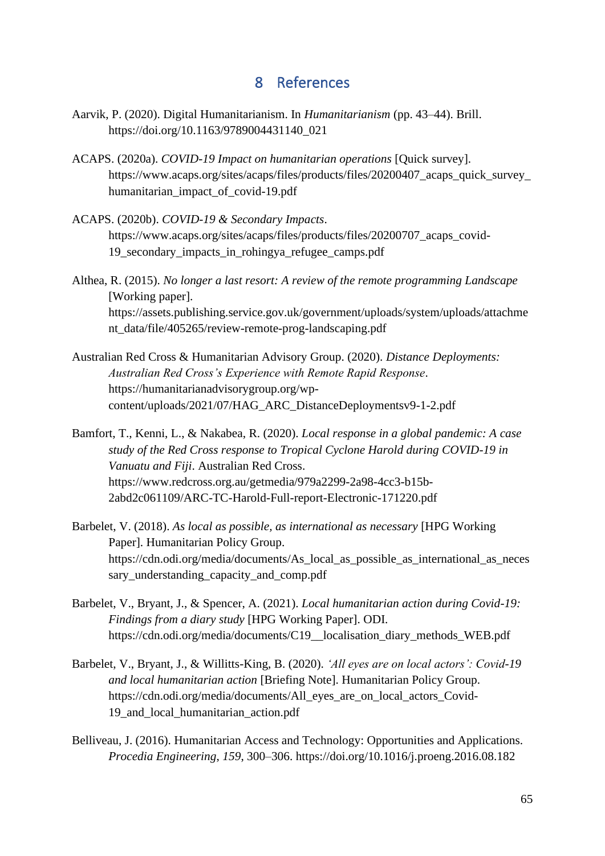# 8 References

- Aarvik, P. (2020). Digital Humanitarianism. In *Humanitarianism* (pp. 43–44). Brill. https://doi.org/10.1163/9789004431140\_021
- ACAPS. (2020a). *COVID-19 Impact on humanitarian operations* [Quick survey]. https://www.acaps.org/sites/acaps/files/products/files/20200407\_acaps\_quick\_survey\_ humanitarian\_impact\_of\_covid-19.pdf
- ACAPS. (2020b). *COVID-19 & Secondary Impacts*. https://www.acaps.org/sites/acaps/files/products/files/20200707\_acaps\_covid-19\_secondary\_impacts\_in\_rohingya\_refugee\_camps.pdf
- Althea, R. (2015). *No longer a last resort: A review of the remote programming Landscape* [Working paper]. https://assets.publishing.service.gov.uk/government/uploads/system/uploads/attachme nt\_data/file/405265/review-remote-prog-landscaping.pdf
- Australian Red Cross & Humanitarian Advisory Group. (2020). *Distance Deployments: Australian Red Cross's Experience with Remote Rapid Response*. https://humanitarianadvisorygroup.org/wpcontent/uploads/2021/07/HAG\_ARC\_DistanceDeploymentsv9-1-2.pdf
- Bamfort, T., Kenni, L., & Nakabea, R. (2020). *Local response in a global pandemic: A case study of the Red Cross response to Tropical Cyclone Harold during COVID-19 in Vanuatu and Fiji*. Australian Red Cross. https://www.redcross.org.au/getmedia/979a2299-2a98-4cc3-b15b-2abd2c061109/ARC-TC-Harold-Full-report-Electronic-171220.pdf
- Barbelet, V. (2018). *As local as possible, as international as necessary* [HPG Working Paper]. Humanitarian Policy Group. https://cdn.odi.org/media/documents/As\_local\_as\_possible\_as\_international\_as\_neces sary understanding capacity and comp.pdf
- Barbelet, V., Bryant, J., & Spencer, A. (2021). *Local humanitarian action during Covid-19: Findings from a diary study* [HPG Working Paper]. ODI. https://cdn.odi.org/media/documents/C19\_\_localisation\_diary\_methods\_WEB.pdf
- Barbelet, V., Bryant, J., & Willitts-King, B. (2020). *'All eyes are on local actors': Covid-19 and local humanitarian action* [Briefing Note]. Humanitarian Policy Group. https://cdn.odi.org/media/documents/All\_eyes\_are\_on\_local\_actors\_Covid-19\_and\_local\_humanitarian\_action.pdf
- Belliveau, J. (2016). Humanitarian Access and Technology: Opportunities and Applications. *Procedia Engineering*, *159*, 300–306. https://doi.org/10.1016/j.proeng.2016.08.182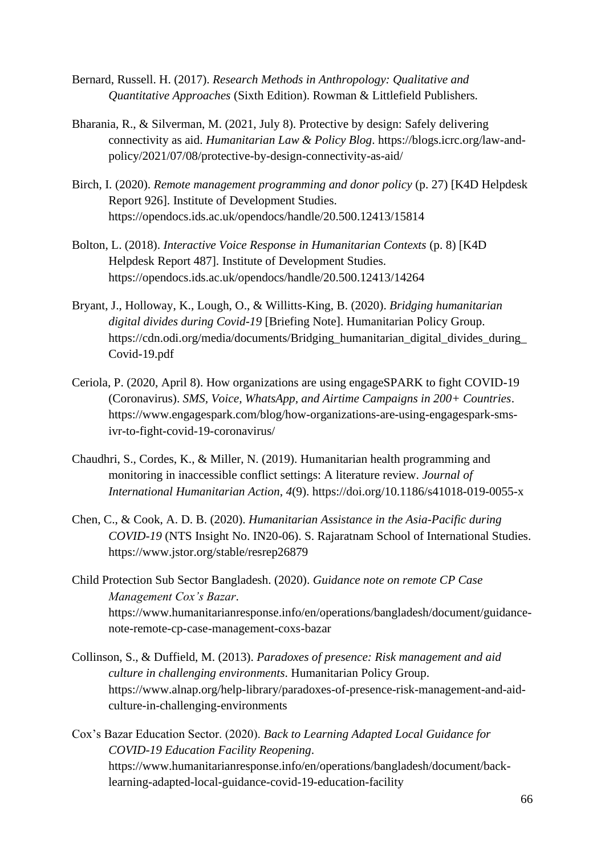- Bernard, Russell. H. (2017). *Research Methods in Anthropology: Qualitative and Quantitative Approaches* (Sixth Edition). Rowman & Littlefield Publishers.
- Bharania, R., & Silverman, M. (2021, July 8). Protective by design: Safely delivering connectivity as aid. *Humanitarian Law & Policy Blog*. https://blogs.icrc.org/law-andpolicy/2021/07/08/protective-by-design-connectivity-as-aid/
- Birch, I. (2020). *Remote management programming and donor policy* (p. 27) [K4D Helpdesk Report 926]. Institute of Development Studies. https://opendocs.ids.ac.uk/opendocs/handle/20.500.12413/15814
- Bolton, L. (2018). *Interactive Voice Response in Humanitarian Contexts* (p. 8) [K4D Helpdesk Report 487]. Institute of Development Studies. https://opendocs.ids.ac.uk/opendocs/handle/20.500.12413/14264
- Bryant, J., Holloway, K., Lough, O., & Willitts-King, B. (2020). *Bridging humanitarian digital divides during Covid-19* [Briefing Note]. Humanitarian Policy Group. https://cdn.odi.org/media/documents/Bridging\_humanitarian\_digital\_divides\_during\_ Covid-19.pdf
- Ceriola, P. (2020, April 8). How organizations are using engageSPARK to fight COVID-19 (Coronavirus). *SMS, Voice, WhatsApp, and Airtime Campaigns in 200+ Countries*. https://www.engagespark.com/blog/how-organizations-are-using-engagespark-smsivr-to-fight-covid-19-coronavirus/
- Chaudhri, S., Cordes, K., & Miller, N. (2019). Humanitarian health programming and monitoring in inaccessible conflict settings: A literature review. *Journal of International Humanitarian Action*, *4*(9). https://doi.org/10.1186/s41018-019-0055-x
- Chen, C., & Cook, A. D. B. (2020). *Humanitarian Assistance in the Asia-Pacific during COVID-19* (NTS Insight No. IN20-06). S. Rajaratnam School of International Studies. https://www.jstor.org/stable/resrep26879
- Child Protection Sub Sector Bangladesh. (2020). *Guidance note on remote CP Case Management Cox's Bazar*. https://www.humanitarianresponse.info/en/operations/bangladesh/document/guidancenote-remote-cp-case-management-coxs-bazar
- Collinson, S., & Duffield, M. (2013). *Paradoxes of presence: Risk management and aid culture in challenging environments*. Humanitarian Policy Group. https://www.alnap.org/help-library/paradoxes-of-presence-risk-management-and-aidculture-in-challenging-environments
- Cox's Bazar Education Sector. (2020). *Back to Learning Adapted Local Guidance for COVID-19 Education Facility Reopening*. https://www.humanitarianresponse.info/en/operations/bangladesh/document/backlearning-adapted-local-guidance-covid-19-education-facility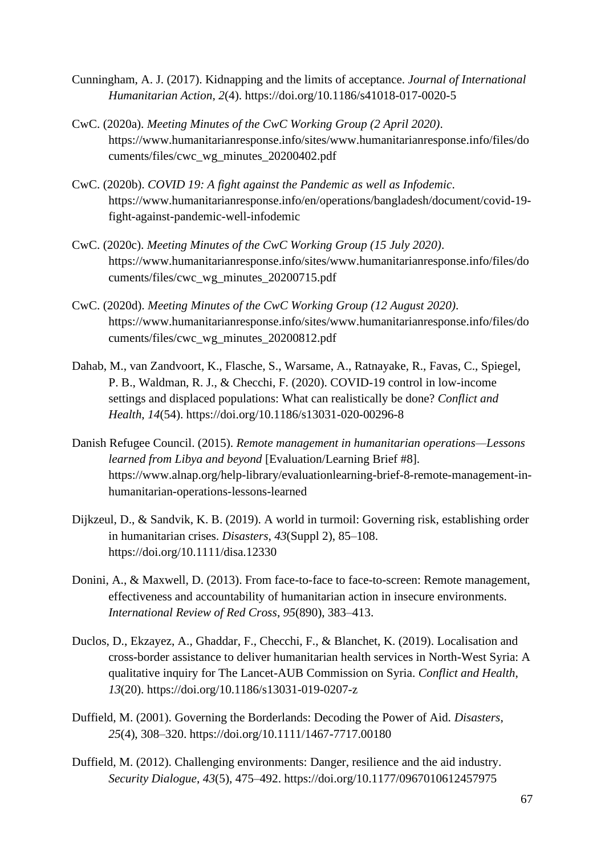- Cunningham, A. J. (2017). Kidnapping and the limits of acceptance. *Journal of International Humanitarian Action*, *2*(4). https://doi.org/10.1186/s41018-017-0020-5
- CwC. (2020a). *Meeting Minutes of the CwC Working Group (2 April 2020)*. https://www.humanitarianresponse.info/sites/www.humanitarianresponse.info/files/do cuments/files/cwc\_wg\_minutes\_20200402.pdf
- CwC. (2020b). *COVID 19: A fight against the Pandemic as well as Infodemic*. https://www.humanitarianresponse.info/en/operations/bangladesh/document/covid-19 fight-against-pandemic-well-infodemic
- CwC. (2020c). *Meeting Minutes of the CwC Working Group (15 July 2020)*. https://www.humanitarianresponse.info/sites/www.humanitarianresponse.info/files/do cuments/files/cwc\_wg\_minutes\_20200715.pdf
- CwC. (2020d). *Meeting Minutes of the CwC Working Group (12 August 2020)*. https://www.humanitarianresponse.info/sites/www.humanitarianresponse.info/files/do cuments/files/cwc\_wg\_minutes\_20200812.pdf
- Dahab, M., van Zandvoort, K., Flasche, S., Warsame, A., Ratnayake, R., Favas, C., Spiegel, P. B., Waldman, R. J., & Checchi, F. (2020). COVID-19 control in low-income settings and displaced populations: What can realistically be done? *Conflict and Health*, *14*(54). https://doi.org/10.1186/s13031-020-00296-8
- Danish Refugee Council. (2015). *Remote management in humanitarian operations—Lessons learned from Libya and beyond* [Evaluation/Learning Brief #8]. https://www.alnap.org/help-library/evaluationlearning-brief-8-remote-management-inhumanitarian-operations-lessons-learned
- Dijkzeul, D., & Sandvik, K. B. (2019). A world in turmoil: Governing risk, establishing order in humanitarian crises. *Disasters*, *43*(Suppl 2), 85–108. https://doi.org/10.1111/disa.12330
- Donini, A., & Maxwell, D. (2013). From face-to-face to face-to-screen: Remote management, effectiveness and accountability of humanitarian action in insecure environments. *International Review of Red Cross*, *95*(890), 383–413.
- Duclos, D., Ekzayez, A., Ghaddar, F., Checchi, F., & Blanchet, K. (2019). Localisation and cross-border assistance to deliver humanitarian health services in North-West Syria: A qualitative inquiry for The Lancet-AUB Commission on Syria. *Conflict and Health*, *13*(20). https://doi.org/10.1186/s13031-019-0207-z
- Duffield, M. (2001). Governing the Borderlands: Decoding the Power of Aid. *Disasters*, *25*(4), 308–320. https://doi.org/10.1111/1467-7717.00180
- Duffield, M. (2012). Challenging environments: Danger, resilience and the aid industry. *Security Dialogue*, *43*(5), 475–492. https://doi.org/10.1177/0967010612457975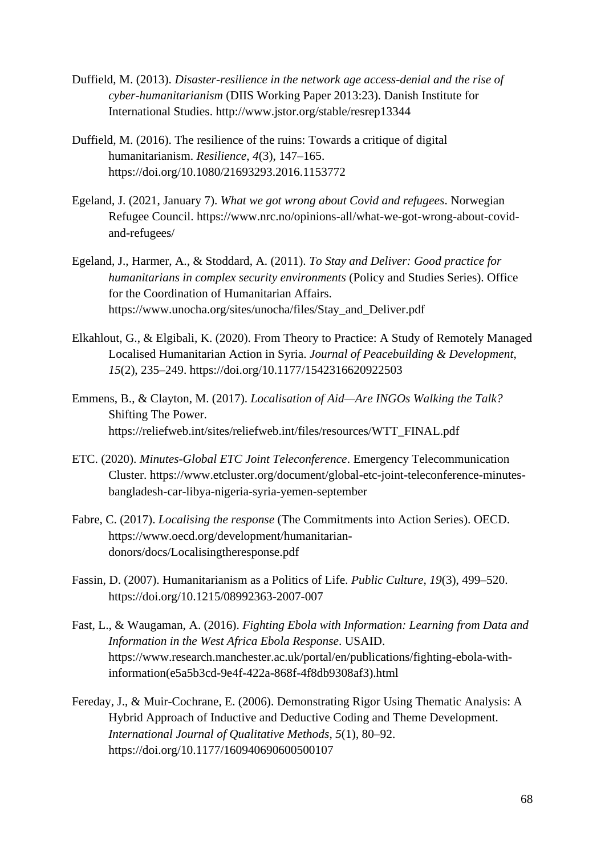- Duffield, M. (2013). *Disaster-resilience in the network age access-denial and the rise of cyber-humanitarianism* (DIIS Working Paper 2013:23). Danish Institute for International Studies. http://www.jstor.org/stable/resrep13344
- Duffield, M. (2016). The resilience of the ruins: Towards a critique of digital humanitarianism. *Resilience*, *4*(3), 147–165. https://doi.org/10.1080/21693293.2016.1153772
- Egeland, J. (2021, January 7). *What we got wrong about Covid and refugees*. Norwegian Refugee Council. https://www.nrc.no/opinions-all/what-we-got-wrong-about-covidand-refugees/
- Egeland, J., Harmer, A., & Stoddard, A. (2011). *To Stay and Deliver: Good practice for humanitarians in complex security environments* (Policy and Studies Series). Office for the Coordination of Humanitarian Affairs. https://www.unocha.org/sites/unocha/files/Stay\_and\_Deliver.pdf
- Elkahlout, G., & Elgibali, K. (2020). From Theory to Practice: A Study of Remotely Managed Localised Humanitarian Action in Syria. *Journal of Peacebuilding & Development*, *15*(2), 235–249. https://doi.org/10.1177/1542316620922503
- Emmens, B., & Clayton, M. (2017). *Localisation of Aid—Are INGOs Walking the Talk?* Shifting The Power. https://reliefweb.int/sites/reliefweb.int/files/resources/WTT\_FINAL.pdf
- ETC. (2020). *Minutes-Global ETC Joint Teleconference*. Emergency Telecommunication Cluster. https://www.etcluster.org/document/global-etc-joint-teleconference-minutesbangladesh-car-libya-nigeria-syria-yemen-september
- Fabre, C. (2017). *Localising the response* (The Commitments into Action Series). OECD. https://www.oecd.org/development/humanitariandonors/docs/Localisingtheresponse.pdf
- Fassin, D. (2007). Humanitarianism as a Politics of Life. *Public Culture*, *19*(3), 499–520. https://doi.org/10.1215/08992363-2007-007
- Fast, L., & Waugaman, A. (2016). *Fighting Ebola with Information: Learning from Data and Information in the West Africa Ebola Response*. USAID. https://www.research.manchester.ac.uk/portal/en/publications/fighting-ebola-withinformation(e5a5b3cd-9e4f-422a-868f-4f8db9308af3).html
- Fereday, J., & Muir-Cochrane, E. (2006). Demonstrating Rigor Using Thematic Analysis: A Hybrid Approach of Inductive and Deductive Coding and Theme Development. *International Journal of Qualitative Methods*, *5*(1), 80–92. https://doi.org/10.1177/160940690600500107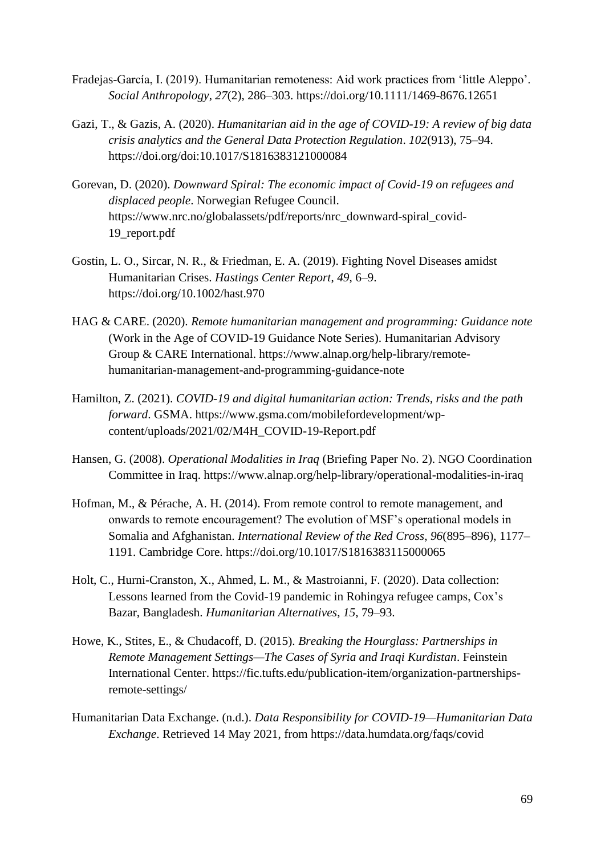- Fradejas-García, I. (2019). Humanitarian remoteness: Aid work practices from 'little Aleppo'. *Social Anthropology*, *27*(2), 286–303. https://doi.org/10.1111/1469-8676.12651
- Gazi, T., & Gazis, A. (2020). *Humanitarian aid in the age of COVID-19: A review of big data crisis analytics and the General Data Protection Regulation*. *102*(913), 75–94. https://doi.org/doi:10.1017/S1816383121000084
- Gorevan, D. (2020). *Downward Spiral: The economic impact of Covid-19 on refugees and displaced people*. Norwegian Refugee Council. https://www.nrc.no/globalassets/pdf/reports/nrc\_downward-spiral\_covid-19\_report.pdf
- Gostin, L. O., Sircar, N. R., & Friedman, E. A. (2019). Fighting Novel Diseases amidst Humanitarian Crises. *Hastings Center Report*, *49*, 6–9. https://doi.org/10.1002/hast.970
- HAG & CARE. (2020). *Remote humanitarian management and programming: Guidance note* (Work in the Age of COVID-19 Guidance Note Series). Humanitarian Advisory Group & CARE International. https://www.alnap.org/help-library/remotehumanitarian-management-and-programming-guidance-note
- Hamilton, Z. (2021). *COVID-19 and digital humanitarian action: Trends, risks and the path forward*. GSMA. https://www.gsma.com/mobilefordevelopment/wpcontent/uploads/2021/02/M4H\_COVID-19-Report.pdf
- Hansen, G. (2008). *Operational Modalities in Iraq* (Briefing Paper No. 2). NGO Coordination Committee in Iraq. https://www.alnap.org/help-library/operational-modalities-in-iraq
- Hofman, M., & Pérache, A. H. (2014). From remote control to remote management, and onwards to remote encouragement? The evolution of MSF's operational models in Somalia and Afghanistan. *International Review of the Red Cross*, *96*(895–896), 1177– 1191. Cambridge Core. https://doi.org/10.1017/S1816383115000065
- Holt, C., Hurni-Cranston, X., Ahmed, L. M., & Mastroianni, F. (2020). Data collection: Lessons learned from the Covid-19 pandemic in Rohingya refugee camps, Cox's Bazar, Bangladesh. *Humanitarian Alternatives*, *15*, 79–93.
- Howe, K., Stites, E., & Chudacoff, D. (2015). *Breaking the Hourglass: Partnerships in Remote Management Settings—The Cases of Syria and Iraqi Kurdistan*. Feinstein International Center. https://fic.tufts.edu/publication-item/organization-partnershipsremote-settings/
- Humanitarian Data Exchange. (n.d.). *Data Responsibility for COVID-19—Humanitarian Data Exchange*. Retrieved 14 May 2021, from https://data.humdata.org/faqs/covid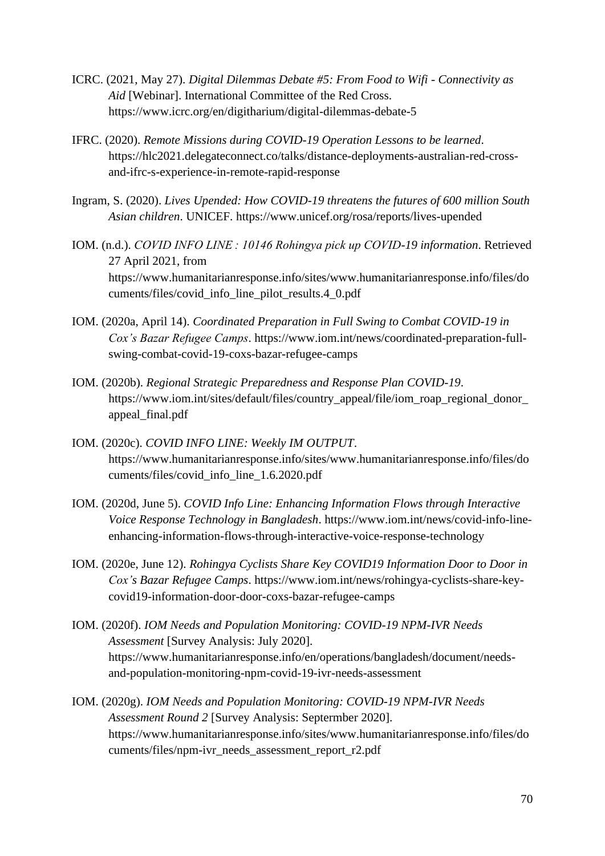- ICRC. (2021, May 27). *Digital Dilemmas Debate #5: From Food to Wifi - Connectivity as Aid* [Webinar]. International Committee of the Red Cross. https://www.icrc.org/en/digitharium/digital-dilemmas-debate-5
- IFRC. (2020). *Remote Missions during COVID-19 Operation Lessons to be learned*. https://hlc2021.delegateconnect.co/talks/distance-deployments-australian-red-crossand-ifrc-s-experience-in-remote-rapid-response
- Ingram, S. (2020). *Lives Upended: How COVID-19 threatens the futures of 600 million South Asian children*. UNICEF. https://www.unicef.org/rosa/reports/lives-upended
- IOM. (n.d.). *COVID INFO LINE : 10146 Rohingya pick up COVID-19 information*. Retrieved 27 April 2021, from https://www.humanitarianresponse.info/sites/www.humanitarianresponse.info/files/do cuments/files/covid\_info\_line\_pilot\_results.4\_0.pdf
- IOM. (2020a, April 14). *Coordinated Preparation in Full Swing to Combat COVID-19 in Cox's Bazar Refugee Camps*. https://www.iom.int/news/coordinated-preparation-fullswing-combat-covid-19-coxs-bazar-refugee-camps
- IOM. (2020b). *Regional Strategic Preparedness and Response Plan COVID-19*. https://www.iom.int/sites/default/files/country\_appeal/file/iom\_roap\_regional\_donor\_ appeal\_final.pdf
- IOM. (2020c). *COVID INFO LINE: Weekly IM OUTPUT*. https://www.humanitarianresponse.info/sites/www.humanitarianresponse.info/files/do cuments/files/covid\_info\_line\_1.6.2020.pdf
- IOM. (2020d, June 5). *COVID Info Line: Enhancing Information Flows through Interactive Voice Response Technology in Bangladesh*. https://www.iom.int/news/covid-info-lineenhancing-information-flows-through-interactive-voice-response-technology
- IOM. (2020e, June 12). *Rohingya Cyclists Share Key COVID19 Information Door to Door in Cox's Bazar Refugee Camps*. https://www.iom.int/news/rohingya-cyclists-share-keycovid19-information-door-door-coxs-bazar-refugee-camps
- IOM. (2020f). *IOM Needs and Population Monitoring: COVID-19 NPM-IVR Needs Assessment* [Survey Analysis: July 2020]. https://www.humanitarianresponse.info/en/operations/bangladesh/document/needsand-population-monitoring-npm-covid-19-ivr-needs-assessment
- IOM. (2020g). *IOM Needs and Population Monitoring: COVID-19 NPM-IVR Needs Assessment Round 2* [Survey Analysis: Septermber 2020]. https://www.humanitarianresponse.info/sites/www.humanitarianresponse.info/files/do cuments/files/npm-ivr\_needs\_assessment\_report\_r2.pdf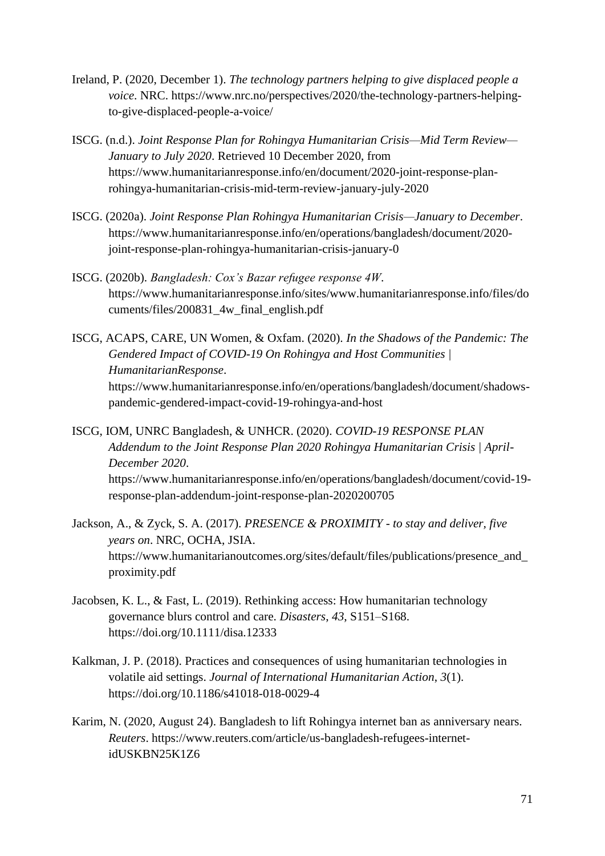- Ireland, P. (2020, December 1). *The technology partners helping to give displaced people a voice*. NRC. https://www.nrc.no/perspectives/2020/the-technology-partners-helpingto-give-displaced-people-a-voice/
- ISCG. (n.d.). *Joint Response Plan for Rohingya Humanitarian Crisis—Mid Term Review— January to July 2020*. Retrieved 10 December 2020, from https://www.humanitarianresponse.info/en/document/2020-joint-response-planrohingya-humanitarian-crisis-mid-term-review-january-july-2020
- ISCG. (2020a). *Joint Response Plan Rohingya Humanitarian Crisis—January to December*. https://www.humanitarianresponse.info/en/operations/bangladesh/document/2020 joint-response-plan-rohingya-humanitarian-crisis-january-0
- ISCG. (2020b). *Bangladesh: Cox's Bazar refugee response 4W*. https://www.humanitarianresponse.info/sites/www.humanitarianresponse.info/files/do cuments/files/200831\_4w\_final\_english.pdf
- ISCG, ACAPS, CARE, UN Women, & Oxfam. (2020). *In the Shadows of the Pandemic: The Gendered Impact of COVID-19 On Rohingya and Host Communities | HumanitarianResponse*. https://www.humanitarianresponse.info/en/operations/bangladesh/document/shadowspandemic-gendered-impact-covid-19-rohingya-and-host
- ISCG, IOM, UNRC Bangladesh, & UNHCR. (2020). *COVID-19 RESPONSE PLAN Addendum to the Joint Response Plan 2020 Rohingya Humanitarian Crisis | April-December 2020*. https://www.humanitarianresponse.info/en/operations/bangladesh/document/covid-19 response-plan-addendum-joint-response-plan-2020200705
- Jackson, A., & Zyck, S. A. (2017). *PRESENCE & PROXIMITY - to stay and deliver, five years on*. NRC, OCHA, JSIA. https://www.humanitarianoutcomes.org/sites/default/files/publications/presence\_and\_ proximity.pdf
- Jacobsen, K. L., & Fast, L. (2019). Rethinking access: How humanitarian technology governance blurs control and care. *Disasters*, *43*, S151–S168. https://doi.org/10.1111/disa.12333
- Kalkman, J. P. (2018). Practices and consequences of using humanitarian technologies in volatile aid settings. *Journal of International Humanitarian Action*, *3*(1). https://doi.org/10.1186/s41018-018-0029-4
- Karim, N. (2020, August 24). Bangladesh to lift Rohingya internet ban as anniversary nears. *Reuters*. https://www.reuters.com/article/us-bangladesh-refugees-internetidUSKBN25K1Z6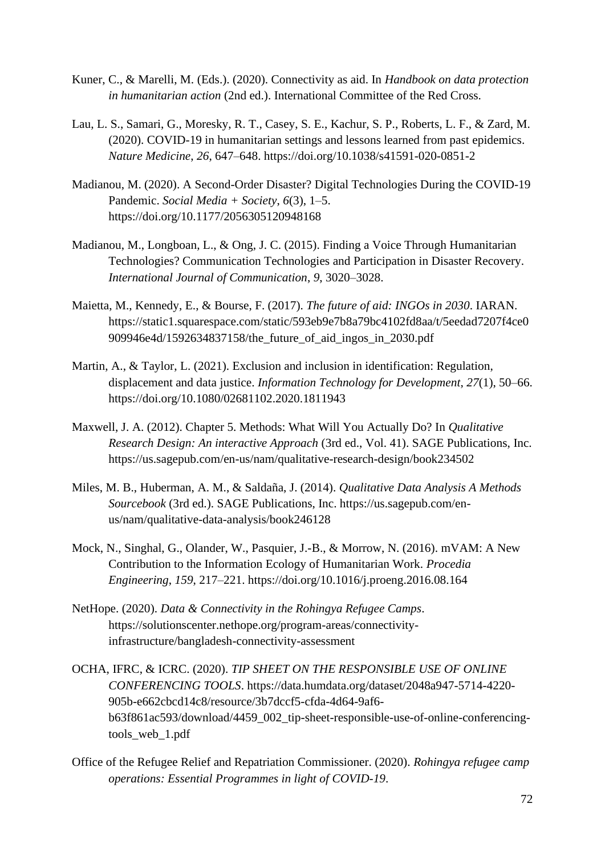- Kuner, C., & Marelli, M. (Eds.). (2020). Connectivity as aid. In *Handbook on data protection in humanitarian action* (2nd ed.). International Committee of the Red Cross.
- Lau, L. S., Samari, G., Moresky, R. T., Casey, S. E., Kachur, S. P., Roberts, L. F., & Zard, M. (2020). COVID-19 in humanitarian settings and lessons learned from past epidemics. *Nature Medicine*, *26*, 647–648. https://doi.org/10.1038/s41591-020-0851-2
- Madianou, M. (2020). A Second-Order Disaster? Digital Technologies During the COVID-19 Pandemic. *Social Media + Society*, *6*(3), 1–5. https://doi.org/10.1177/2056305120948168
- Madianou, M., Longboan, L., & Ong, J. C. (2015). Finding a Voice Through Humanitarian Technologies? Communication Technologies and Participation in Disaster Recovery. *International Journal of Communication*, *9*, 3020–3028.
- Maietta, M., Kennedy, E., & Bourse, F. (2017). *The future of aid: INGOs in 2030*. IARAN. https://static1.squarespace.com/static/593eb9e7b8a79bc4102fd8aa/t/5eedad7207f4ce0 909946e4d/1592634837158/the\_future\_of\_aid\_ingos\_in\_2030.pdf
- Martin, A., & Taylor, L. (2021). Exclusion and inclusion in identification: Regulation, displacement and data justice. *Information Technology for Development*, *27*(1), 50–66. https://doi.org/10.1080/02681102.2020.1811943
- Maxwell, J. A. (2012). Chapter 5. Methods: What Will You Actually Do? In *Qualitative Research Design: An interactive Approach* (3rd ed., Vol. 41). SAGE Publications, Inc. https://us.sagepub.com/en-us/nam/qualitative-research-design/book234502
- Miles, M. B., Huberman, A. M., & Saldaña, J. (2014). *Qualitative Data Analysis A Methods Sourcebook* (3rd ed.). SAGE Publications, Inc. https://us.sagepub.com/enus/nam/qualitative-data-analysis/book246128
- Mock, N., Singhal, G., Olander, W., Pasquier, J.-B., & Morrow, N. (2016). mVAM: A New Contribution to the Information Ecology of Humanitarian Work. *Procedia Engineering*, *159*, 217–221. https://doi.org/10.1016/j.proeng.2016.08.164
- NetHope. (2020). *Data & Connectivity in the Rohingya Refugee Camps*. https://solutionscenter.nethope.org/program-areas/connectivityinfrastructure/bangladesh-connectivity-assessment
- OCHA, IFRC, & ICRC. (2020). *TIP SHEET ON THE RESPONSIBLE USE OF ONLINE CONFERENCING TOOLS*. https://data.humdata.org/dataset/2048a947-5714-4220- 905b-e662cbcd14c8/resource/3b7dccf5-cfda-4d64-9af6 b63f861ac593/download/4459\_002\_tip-sheet-responsible-use-of-online-conferencingtools\_web\_1.pdf
- Office of the Refugee Relief and Repatriation Commissioner. (2020). *Rohingya refugee camp operations: Essential Programmes in light of COVID-19*.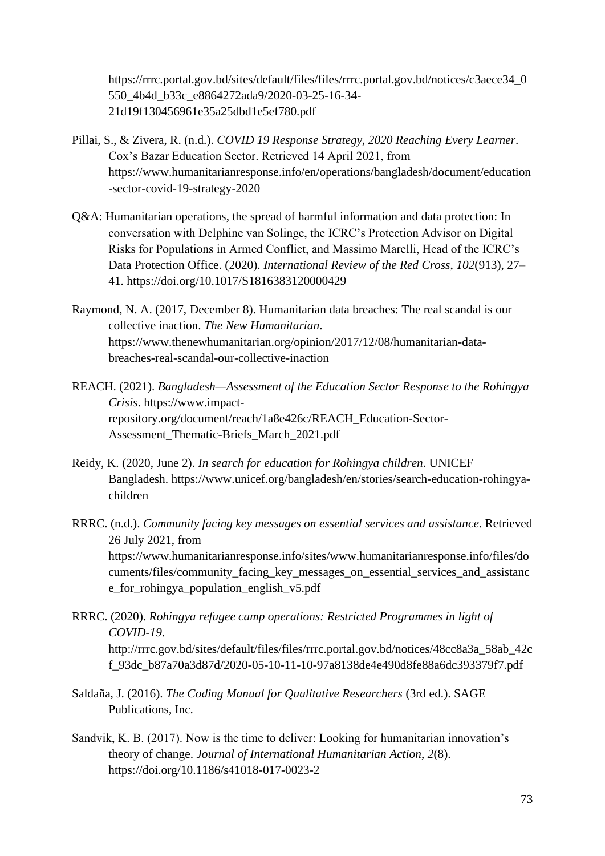https://rrrc.portal.gov.bd/sites/default/files/files/rrrc.portal.gov.bd/notices/c3aece34\_0 550\_4b4d\_b33c\_e8864272ada9/2020-03-25-16-34- 21d19f130456961e35a25dbd1e5ef780.pdf

- Pillai, S., & Zivera, R. (n.d.). *COVID 19 Response Strategy, 2020 Reaching Every Learner*. Cox's Bazar Education Sector. Retrieved 14 April 2021, from https://www.humanitarianresponse.info/en/operations/bangladesh/document/education -sector-covid-19-strategy-2020
- Q&A: Humanitarian operations, the spread of harmful information and data protection: In conversation with Delphine van Solinge, the ICRC's Protection Advisor on Digital Risks for Populations in Armed Conflict, and Massimo Marelli, Head of the ICRC's Data Protection Office. (2020). *International Review of the Red Cross*, *102*(913), 27– 41. https://doi.org/10.1017/S1816383120000429
- Raymond, N. A. (2017, December 8). Humanitarian data breaches: The real scandal is our collective inaction. *The New Humanitarian*. https://www.thenewhumanitarian.org/opinion/2017/12/08/humanitarian-databreaches-real-scandal-our-collective-inaction
- REACH. (2021). *Bangladesh—Assessment of the Education Sector Response to the Rohingya Crisis*. https://www.impactrepository.org/document/reach/1a8e426c/REACH\_Education-Sector-Assessment\_Thematic-Briefs\_March\_2021.pdf
- Reidy, K. (2020, June 2). *In search for education for Rohingya children*. UNICEF Bangladesh. https://www.unicef.org/bangladesh/en/stories/search-education-rohingyachildren
- RRRC. (n.d.). *Community facing key messages on essential services and assistance*. Retrieved 26 July 2021, from https://www.humanitarianresponse.info/sites/www.humanitarianresponse.info/files/do cuments/files/community\_facing\_key\_messages\_on\_essential\_services\_and\_assistanc e\_for\_rohingya\_population\_english\_v5.pdf
- RRRC. (2020). *Rohingya refugee camp operations: Restricted Programmes in light of COVID-19*. http://rrrc.gov.bd/sites/default/files/files/rrrc.portal.gov.bd/notices/48cc8a3a\_58ab\_42c f\_93dc\_b87a70a3d87d/2020-05-10-11-10-97a8138de4e490d8fe88a6dc393379f7.pdf
- Saldaña, J. (2016). *The Coding Manual for Qualitative Researchers* (3rd ed.). SAGE Publications, Inc.
- Sandvik, K. B. (2017). Now is the time to deliver: Looking for humanitarian innovation's theory of change. *Journal of International Humanitarian Action*, *2*(8). https://doi.org/10.1186/s41018-017-0023-2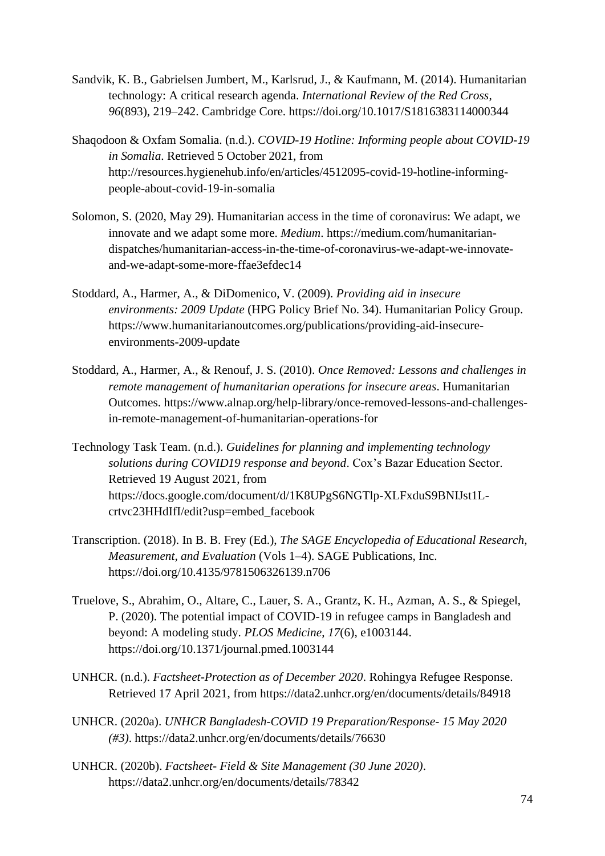- Sandvik, K. B., Gabrielsen Jumbert, M., Karlsrud, J., & Kaufmann, M. (2014). Humanitarian technology: A critical research agenda. *International Review of the Red Cross*, *96*(893), 219–242. Cambridge Core. https://doi.org/10.1017/S1816383114000344
- Shaqodoon & Oxfam Somalia. (n.d.). *COVID-19 Hotline: Informing people about COVID-19 in Somalia*. Retrieved 5 October 2021, from http://resources.hygienehub.info/en/articles/4512095-covid-19-hotline-informingpeople-about-covid-19-in-somalia
- Solomon, S. (2020, May 29). Humanitarian access in the time of coronavirus: We adapt, we innovate and we adapt some more. *Medium*. https://medium.com/humanitariandispatches/humanitarian-access-in-the-time-of-coronavirus-we-adapt-we-innovateand-we-adapt-some-more-ffae3efdec14
- Stoddard, A., Harmer, A., & DiDomenico, V. (2009). *Providing aid in insecure environments: 2009 Update* (HPG Policy Brief No. 34). Humanitarian Policy Group. https://www.humanitarianoutcomes.org/publications/providing-aid-insecureenvironments-2009-update
- Stoddard, A., Harmer, A., & Renouf, J. S. (2010). *Once Removed: Lessons and challenges in remote management of humanitarian operations for insecure areas*. Humanitarian Outcomes. https://www.alnap.org/help-library/once-removed-lessons-and-challengesin-remote-management-of-humanitarian-operations-for
- Technology Task Team. (n.d.). *Guidelines for planning and implementing technology solutions during COVID19 response and beyond*. Cox's Bazar Education Sector. Retrieved 19 August 2021, from https://docs.google.com/document/d/1K8UPgS6NGTlp-XLFxduS9BNIJst1Lcrtvc23HHdIfI/edit?usp=embed\_facebook
- Transcription. (2018). In B. B. Frey (Ed.), *The SAGE Encyclopedia of Educational Research, Measurement, and Evaluation* (Vols 1–4). SAGE Publications, Inc. https://doi.org/10.4135/9781506326139.n706
- Truelove, S., Abrahim, O., Altare, C., Lauer, S. A., Grantz, K. H., Azman, A. S., & Spiegel, P. (2020). The potential impact of COVID-19 in refugee camps in Bangladesh and beyond: A modeling study. *PLOS Medicine*, *17*(6), e1003144. https://doi.org/10.1371/journal.pmed.1003144
- UNHCR. (n.d.). *Factsheet-Protection as of December 2020*. Rohingya Refugee Response. Retrieved 17 April 2021, from https://data2.unhcr.org/en/documents/details/84918
- UNHCR. (2020a). *UNHCR Bangladesh-COVID 19 Preparation/Response- 15 May 2020 (#3)*. https://data2.unhcr.org/en/documents/details/76630
- UNHCR. (2020b). *Factsheet- Field & Site Management (30 June 2020)*. https://data2.unhcr.org/en/documents/details/78342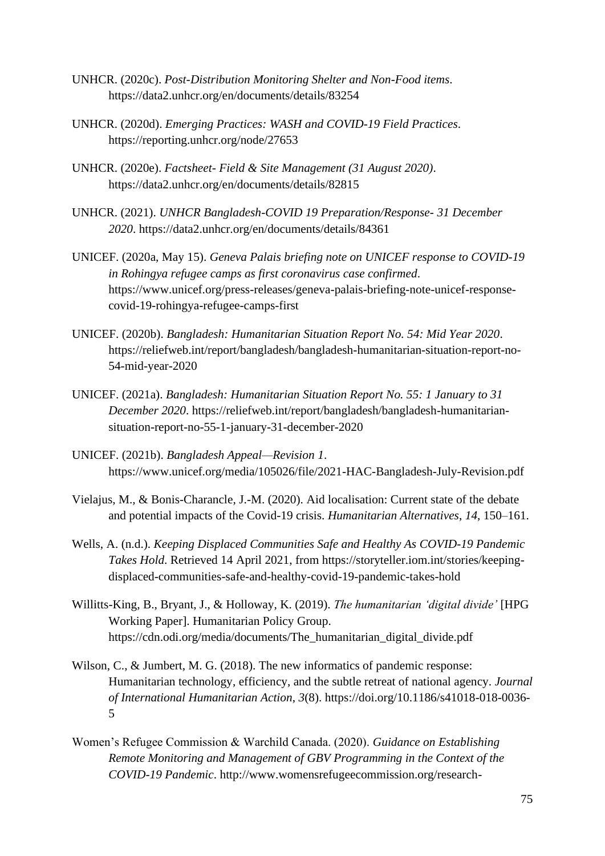- UNHCR. (2020c). *Post-Distribution Monitoring Shelter and Non-Food items*. https://data2.unhcr.org/en/documents/details/83254
- UNHCR. (2020d). *Emerging Practices: WASH and COVID-19 Field Practices*. https://reporting.unhcr.org/node/27653
- UNHCR. (2020e). *Factsheet- Field & Site Management (31 August 2020)*. https://data2.unhcr.org/en/documents/details/82815
- UNHCR. (2021). *UNHCR Bangladesh-COVID 19 Preparation/Response- 31 December 2020*. https://data2.unhcr.org/en/documents/details/84361
- UNICEF. (2020a, May 15). *Geneva Palais briefing note on UNICEF response to COVID-19 in Rohingya refugee camps as first coronavirus case confirmed*. https://www.unicef.org/press-releases/geneva-palais-briefing-note-unicef-responsecovid-19-rohingya-refugee-camps-first
- UNICEF. (2020b). *Bangladesh: Humanitarian Situation Report No. 54: Mid Year 2020*. https://reliefweb.int/report/bangladesh/bangladesh-humanitarian-situation-report-no-54-mid-year-2020
- UNICEF. (2021a). *Bangladesh: Humanitarian Situation Report No. 55: 1 January to 31 December 2020*. https://reliefweb.int/report/bangladesh/bangladesh-humanitariansituation-report-no-55-1-january-31-december-2020
- UNICEF. (2021b). *Bangladesh Appeal—Revision 1*. https://www.unicef.org/media/105026/file/2021-HAC-Bangladesh-July-Revision.pdf
- Vielajus, M., & Bonis-Charancle, J.-M. (2020). Aid localisation: Current state of the debate and potential impacts of the Covid-19 crisis. *Humanitarian Alternatives*, *14*, 150–161.
- Wells, A. (n.d.). *Keeping Displaced Communities Safe and Healthy As COVID-19 Pandemic Takes Hold*. Retrieved 14 April 2021, from https://storyteller.iom.int/stories/keepingdisplaced-communities-safe-and-healthy-covid-19-pandemic-takes-hold
- Willitts-King, B., Bryant, J., & Holloway, K. (2019). *The humanitarian 'digital divide'* [HPG Working Paper]. Humanitarian Policy Group. https://cdn.odi.org/media/documents/The\_humanitarian\_digital\_divide.pdf
- Wilson, C., & Jumbert, M. G. (2018). The new informatics of pandemic response: Humanitarian technology, efficiency, and the subtle retreat of national agency. *Journal of International Humanitarian Action*, *3*(8). https://doi.org/10.1186/s41018-018-0036- 5
- Women's Refugee Commission & Warchild Canada. (2020). *Guidance on Establishing Remote Monitoring and Management of GBV Programming in the Context of the COVID-19 Pandemic*. http://www.womensrefugeecommission.org/research-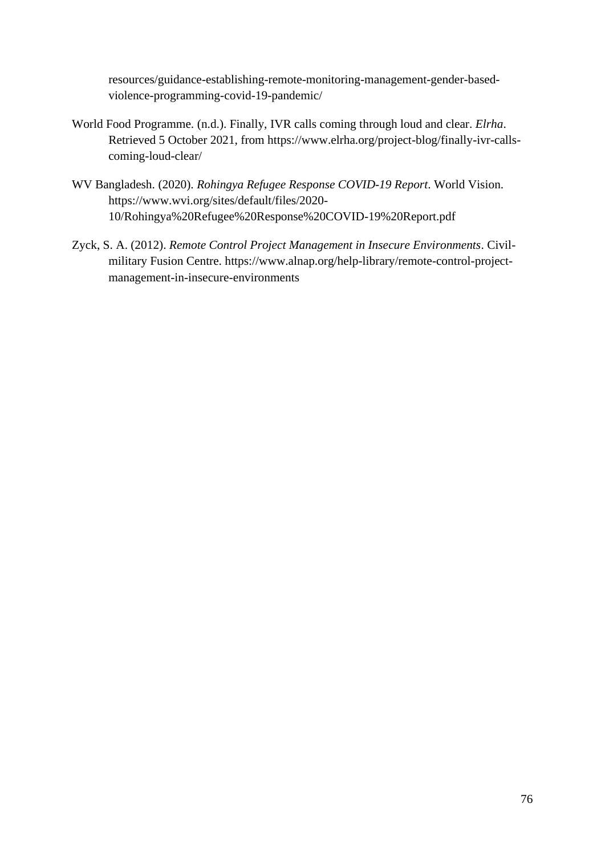resources/guidance-establishing-remote-monitoring-management-gender-basedviolence-programming-covid-19-pandemic/

- World Food Programme. (n.d.). Finally, IVR calls coming through loud and clear. *Elrha*. Retrieved 5 October 2021, from https://www.elrha.org/project-blog/finally-ivr-callscoming-loud-clear/
- WV Bangladesh. (2020). *Rohingya Refugee Response COVID-19 Report*. World Vision. https://www.wvi.org/sites/default/files/2020- 10/Rohingya%20Refugee%20Response%20COVID-19%20Report.pdf
- Zyck, S. A. (2012). *Remote Control Project Management in Insecure Environments*. Civilmilitary Fusion Centre. https://www.alnap.org/help-library/remote-control-projectmanagement-in-insecure-environments